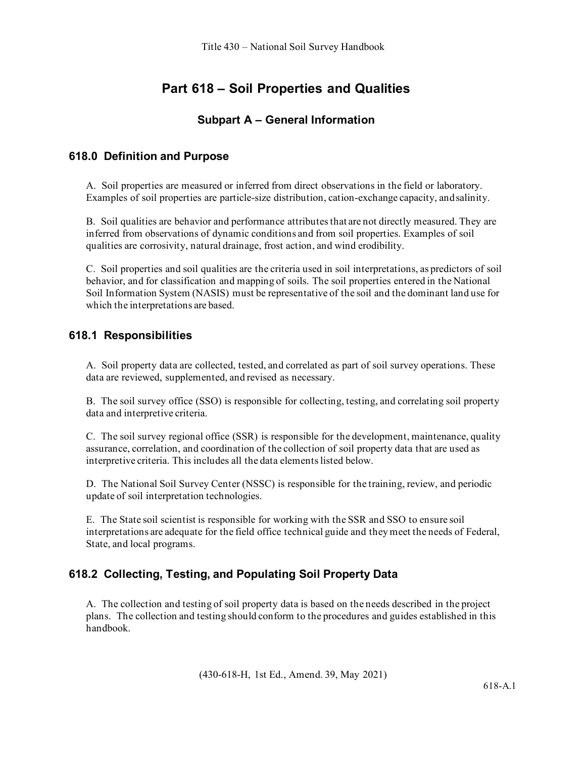# **Part 618 – Soil Properties and Qualities**

## **Subpart A – General Information**

### **618.0 Definition and Purpose**

A. Soil properties are measured or inferred from direct observations in the field or laboratory. Examples of soil properties are particle-size distribution, cation-exchange capacity, andsalinity.

B. Soil qualities are behavior and performance attributes that are not directly measured. They are inferred from observations of dynamic conditions and from soil properties. Examples of soil qualities are corrosivity, natural drainage, frost action, and wind erodibility.

C. Soil properties and soil qualities are the criteria used in soil interpretations, as predictors of soil behavior, and for classification and mapping of soils. The soil properties entered in the National Soil Information System (NASIS) must be representative of the soil and the dominant land use for which the interpretations are based.

### **618.1 Responsibilities**

A. Soil property data are collected, tested, and correlated as part of soil survey operations. These data are reviewed, supplemented, and revised as necessary.

B. The soil survey office (SSO) is responsible for collecting, testing, and correlating soil property data and interpretive criteria.

C. The soil survey regional office (SSR) is responsible for the development, maintenance, quality assurance, correlation, and coordination of the collection of soil property data that are used as interpretive criteria. This includes all the data elements listed below.

D. The National Soil Survey Center (NSSC) is responsible for the training, review, and periodic update of soil interpretation technologies.

E. The State soil scientist is responsible for working with the SSR and SSO to ensure soil interpretations are adequate for the field office technical guide and they meet the needs of Federal, State, and local programs.

### **618.2 Collecting, Testing, and Populating Soil Property Data**

A. The collection and testing of soil property data is based on the needs described in the project plans. The collection and testing should conform to the procedures and guides established in this handbook.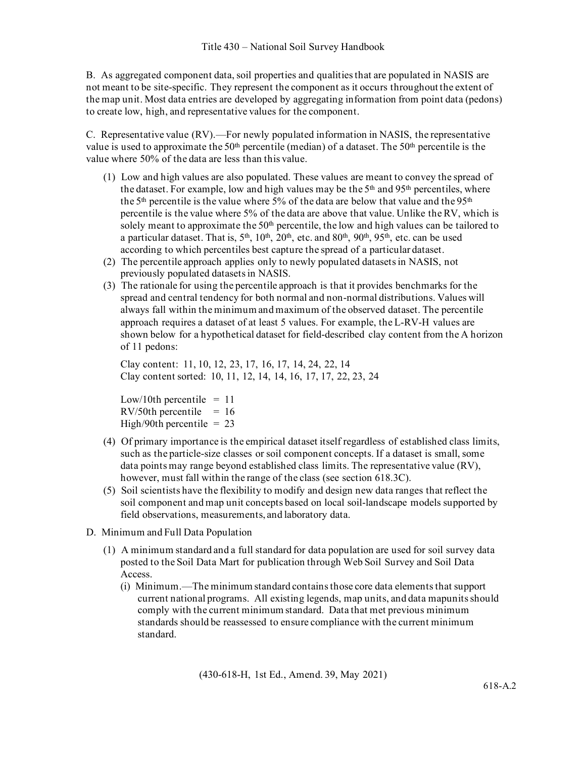B. As aggregated component data, soil properties and qualities that are populated in NASIS are not meant to be site-specific. They represent the component as it occurs throughout the extent of the map unit. Most data entries are developed by aggregating information from point data (pedons) to create low, high, and representative values for the component.

C. Representative value (RV).—For newly populated information in NASIS, the representative value is used to approximate the  $50<sup>th</sup>$  percentile (median) of a dataset. The  $50<sup>th</sup>$  percentile is the value where 50% of the data are less than this value.

- (1) Low and high values are also populated. These values are meant to convey the spread of the dataset. For example, low and high values may be the  $5<sup>th</sup>$  and  $95<sup>th</sup>$  percentiles, where the 5<sup>th</sup> percentile is the value where 5% of the data are below that value and the 95<sup>th</sup> percentile is the value where 5% of the data are above that value. Unlike the RV, which is solely meant to approximate the  $50<sup>th</sup>$  percentile, the low and high values can be tailored to a particular dataset. That is,  $5<sup>th</sup>$ ,  $10<sup>th</sup>$ ,  $20<sup>th</sup>$ , etc. and  $80<sup>th</sup>$ ,  $90<sup>th</sup>$ ,  $95<sup>th</sup>$ , etc. can be used according to which percentiles best capture the spread of a particular dataset.
- (2) The percentile approach applies only to newly populated datasets in NASIS, not previously populated datasets in NASIS.
- (3) The rationale for using the percentile approach is that it provides benchmarks for the spread and central tendency for both normal and non-normal distributions. Values will always fall within the minimum and maximum of the observed dataset. The percentile approach requires a dataset of at least 5 values. For example, the L-RV-H values are shown below for a hypothetical dataset for field-described clay content from the A horizon of 11 pedons:

Clay content: 11, 10, 12, 23, 17, 16, 17, 14, 24, 22, 14 Clay content sorted: 10, 11, 12, 14, 14, 16, 17, 17, 22, 23, 24

Low/10th percentile  $= 11$  $RV/50$ th percentile = 16 High/90th percentile  $= 23$ 

- (4) Of primary importance is the empirical dataset itself regardless of established class limits, such as the particle-size classes or soil component concepts. If a dataset is small, some data points may range beyond established class limits. The representative value (RV), however, must fall within the range of the class (see section 618.3C).
- (5) Soil scientists have the flexibility to modify and design new data ranges that reflect the soil component and map unit concepts based on local soil-landscape models supported by field observations, measurements, and laboratory data.
- D. Minimum and Full Data Population
	- (1) A minimum standard and a full standard for data population are used for soil survey data posted to the Soil Data Mart for publication through Web Soil Survey and Soil Data Access.
		- (i) Minimum.—The minimum standard contains those core data elements that support current national programs. All existing legends, map units, and data mapunits should comply with the current minimum standard. Data that met previous minimum standards should be reassessed to ensure compliance with the current minimum standard.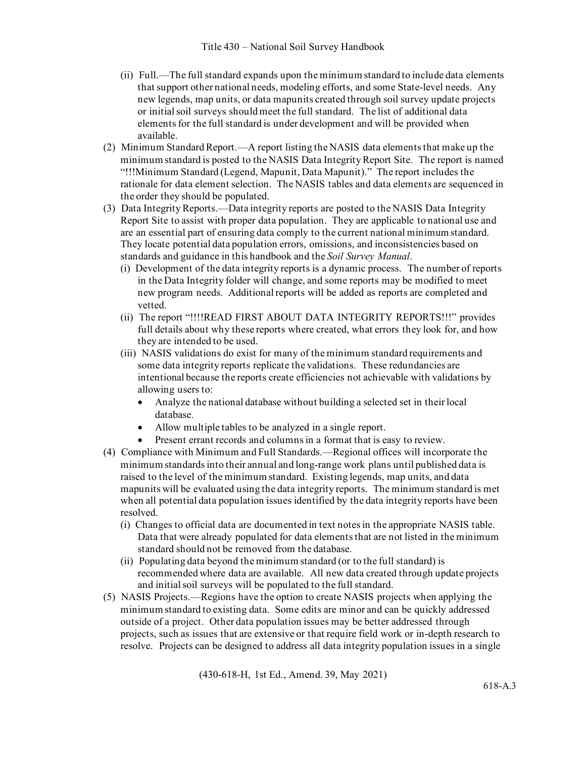- (ii) Full.—The full standard expands upon the minimum standard to include data elements that support other national needs, modeling efforts, and some State-level needs. Any new legends, map units, or data mapunits created through soil survey update projects or initial soil surveys should meet the full standard. The list of additional data elements for the full standard is under development and will be provided when available.
- (2) Minimum Standard Report.—A report listing the NASIS data elements that make up the minimum standard is posted to the NASIS Data Integrity Report Site. The report is named "!!!Minimum Standard (Legend, Mapunit, Data Mapunit)." The report includes the rationale for data element selection. The NASIS tables and data elements are sequenced in the order they should be populated.
- (3) Data Integrity Reports.—Data integrity reports are posted to the NASIS Data Integrity Report Site to assist with proper data population. They are applicable to national use and are an essential part of ensuring data comply to the current national minimum standard. They locate potential data population errors, omissions, and inconsistencies based on standards and guidance in this handbook and the *Soil Survey Manual*.
	- (i) Development of the data integrity reports is a dynamic process. The number of reports in the Data Integrity folder will change, and some reports may be modified to meet new program needs. Additional reports will be added as reports are completed and vetted.
	- (ii) The report "!!!!READ FIRST ABOUT DATA INTEGRITY REPORTS!!!" provides full details about why these reports where created, what errors they look for, and how they are intended to be used.
	- (iii) NASIS validations do exist for many of the minimum standard requirements and some data integrity reports replicate the validations. These redundancies are intentional because the reports create efficiencies not achievable with validations by allowing users to:
		- Analyze the national database without building a selected set in their local database.
		- Allow multiple tables to be analyzed in a single report.
		- Present errant records and columns in a format that is easy to review.
- (4) Compliance with Minimum and Full Standards.—Regional offices will incorporate the minimum standards into their annual and long-range work plans until published data is raised to the level of the minimum standard. Existing legends, map units, and data mapunits will be evaluated using the data integrity reports. The minimum standard is met when all potential data population issues identified by the data integrity reports have been resolved.
	- (i) Changes to official data are documented in text notes in the appropriate NASIS table. Data that were already populated for data elements that are not listed in the minimum standard should not be removed from the database.
	- (ii) Populating data beyond the minimum standard (or to the full standard) is recommended where data are available. All new data created through update projects and initial soil surveys will be populated to the full standard.
- (5) NASIS Projects.—Regions have the option to create NASIS projects when applying the minimum standard to existing data. Some edits are minor and can be quickly addressed outside of a project. Other data population issues may be better addressed through projects, such as issues that are extensive or that require field work or in-depth research to resolve. Projects can be designed to address all data integrity population issues in a single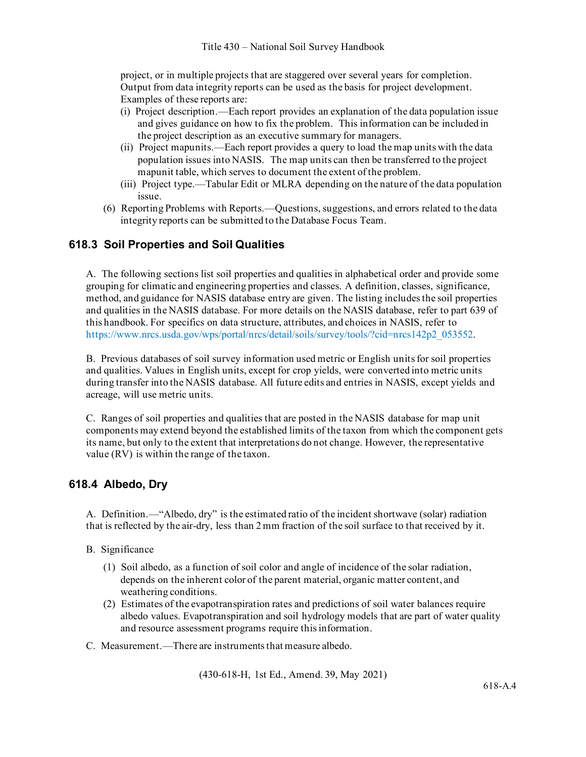project, or in multiple projects that are staggered over several years for completion. Output from data integrity reports can be used as the basis for project development. Examples of these reports are:

- (i) Project description.—Each report provides an explanation of the data population issue and gives guidance on how to fix the problem. This information can be included in the project description as an executive summary for managers.
- (ii) Project mapunits.—Each report provides a query to load the map units with the data population issues into NASIS. The map units can then be transferred to the project mapunit table, which serves to document the extent of the problem.
- (iii) Project type.—Tabular Edit or MLRA depending on the nature of the data population issue.
- (6) Reporting Problems with Reports.—Questions, suggestions, and errors related to the data integrity reports can be submitted to the Database Focus Team.

### **618.3 Soil Properties and Soil Qualities**

A. The following sections list soil properties and qualities in alphabetical order and provide some grouping for climatic and engineering properties and classes. A definition, classes, significance, method, and guidance for NASIS database entry are given. The listing includes the soil properties and qualities in the NASIS database. For more details on the NASIS database, refer to part 639 of this handbook. For specifics on data structure, attributes, and choices in NASIS, refer to [https://www.nrcs.usda.gov/wps/portal/nrcs/detail/soils/survey/tools/?cid=nrcs142p2\\_053552.](https://www.nrcs.usda.gov/wps/portal/nrcs/detail/soils/survey/tools/?cid=nrcs142p2_053552)

B. Previous databases of soil survey information used metric or English units for soil properties and qualities. Values in English units, except for crop yields, were converted into metric units during transfer into the NASIS database. All future edits and entries in NASIS, except yields and acreage, will use metric units.

C. Ranges of soil properties and qualities that are posted in the NASIS database for map unit components may extend beyond the established limits of the taxon from which the component gets its name, but only to the extent that interpretations do not change. However, the representative value (RV) is within the range of the taxon.

### **618.4 Albedo, Dry**

A. Definition.—"Albedo, dry" is the estimated ratio of the incident shortwave (solar) radiation that is reflected by the air-dry, less than 2 mm fraction of the soil surface to that received by it.

#### B. Significance

- (1) Soil albedo, as a function of soil color and angle of incidence of the solar radiation, depends on the inherent color of the parent material, organic matter content, and weathering conditions.
- (2) Estimates of the evapotranspiration rates and predictions of soil water balances require albedo values. Evapotranspiration and soil hydrology models that are part of water quality and resource assessment programs require this information.
- C. Measurement.—There are instruments that measure albedo.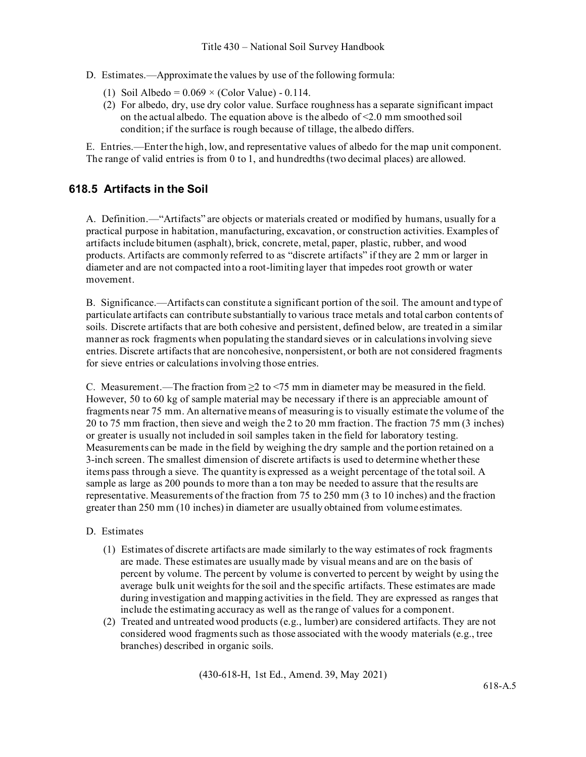- D. Estimates.—Approximate the values by use of the following formula:
	- (1) Soil Albedo =  $0.069 \times$  (Color Value) 0.114.
	- (2) For albedo, dry, use dry color value. Surface roughness has a separate significant impact on the actual albedo. The equation above is the albedo of <2.0 mm smoothed soil condition; if the surface is rough because of tillage, the albedo differs.

E. Entries.—Enter the high, low, and representative values of albedo for the map unit component. The range of valid entries is from 0 to 1, and hundredths (two decimal places) are allowed.

#### **618.5 Artifacts in the Soil**

A. Definition.—"Artifacts" are objects or materials created or modified by humans, usually for a practical purpose in habitation, manufacturing, excavation, or construction activities. Examples of artifacts include bitumen (asphalt), brick, concrete, metal, paper, plastic, rubber, and wood products. Artifacts are commonly referred to as "discrete artifacts" if they are 2 mm or larger in diameter and are not compacted into a root-limiting layer that impedes root growth or water movement.

B. Significance.—Artifacts can constitute a significant portion of the soil. The amount and type of particulate artifacts can contribute substantially to various trace metals and total carbon contents of soils. Discrete artifacts that are both cohesive and persistent, defined below, are treated in a similar manner as rock fragments when populating the standard sieves or in calculations involving sieve entries. Discrete artifacts that are noncohesive, nonpersistent, or both are not considered fragments for sieve entries or calculations involving those entries.

C. Measurement.—The fraction from  $\geq 2$  to <75 mm in diameter may be measured in the field. However, 50 to 60 kg of sample material may be necessary if there is an appreciable amount of fragments near 75 mm. An alternative means of measuring is to visually estimate the volume of the 20 to 75 mm fraction, then sieve and weigh the 2 to 20 mm fraction. The fraction 75 mm (3 inches) or greater is usually not included in soil samples taken in the field for laboratory testing. Measurements can be made in the field by weighing the dry sample and the portion retained on a 3-inch screen. The smallest dimension of discrete artifacts is used to determine whether these items pass through a sieve. The quantity is expressed as a weight percentage of the total soil. A sample as large as 200 pounds to more than a ton may be needed to assure that the results are representative. Measurements of the fraction from 75 to 250 mm (3 to 10 inches) and the fraction greater than 250 mm (10 inches) in diameter are usually obtained from volume estimates.

#### D. Estimates

- (1) Estimates of discrete artifacts are made similarly to the way estimates of rock fragments are made. These estimates are usually made by visual means and are on the basis of percent by volume. The percent by volume is converted to percent by weight by using the average bulk unit weights for the soil and the specific artifacts. These estimates are made during investigation and mapping activities in the field. They are expressed as ranges that include the estimating accuracy as well as the range of values for a component.
- (2) Treated and untreated wood products (e.g., lumber) are considered artifacts. They are not considered wood fragments such as those associated with the woody materials (e.g., tree branches) described in organic soils.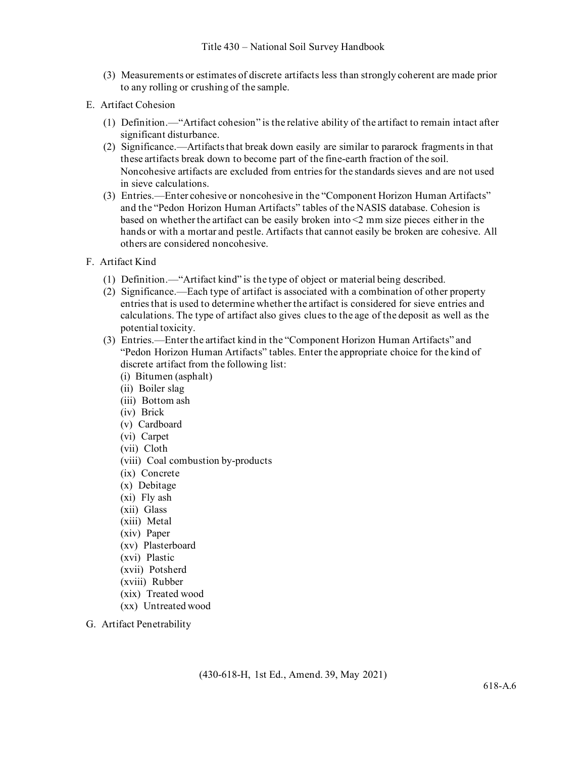- (3) Measurements or estimates of discrete artifacts less than strongly coherent are made prior to any rolling or crushing of the sample.
- E. Artifact Cohesion
	- (1) Definition.—"Artifact cohesion" is the relative ability of the artifact to remain intact after significant disturbance.
	- (2) Significance.—Artifacts that break down easily are similar to pararock fragments in that these artifacts break down to become part of the fine-earth fraction of the soil. Noncohesive artifacts are excluded from entries for the standards sieves and are not used in sieve calculations.
	- (3) Entries.—Enter cohesive or noncohesive in the "Component Horizon Human Artifacts" and the "Pedon Horizon Human Artifacts" tables of the NASIS database. Cohesion is based on whether the artifact can be easily broken into <2 mm size pieces either in the hands or with a mortar and pestle. Artifacts that cannot easily be broken are cohesive. All others are considered noncohesive.
- F. Artifact Kind
	- (1) Definition.—"Artifact kind" is the type of object or material being described.
	- (2) Significance.—Each type of artifact is associated with a combination of other property entries that is used to determine whether the artifact is considered for sieve entries and calculations. The type of artifact also gives clues to the age of the deposit as well as the potential toxicity.
	- (3) Entries.—Enter the artifact kind in the "Component Horizon Human Artifacts" and "Pedon Horizon Human Artifacts" tables. Enter the appropriate choice for the kind of discrete artifact from the following list:
		- (i) Bitumen (asphalt)
		- (ii) Boiler slag
		- (iii) Bottom ash
		- (iv) Brick
		- (v) Cardboard
		- (vi) Carpet
		- (vii) Cloth
		- (viii) Coal combustion by-products
		- (ix) Concrete
		- (x) Debitage
		- (xi) Fly ash
		- (xii) Glass
		- (xiii) Metal
		- (xiv) Paper
		- (xv) Plasterboard
		- (xvi) Plastic
		- (xvii) Potsherd
		- (xviii) Rubber
		- (xix) Treated wood
		- (xx) Untreated wood
- G. Artifact Penetrability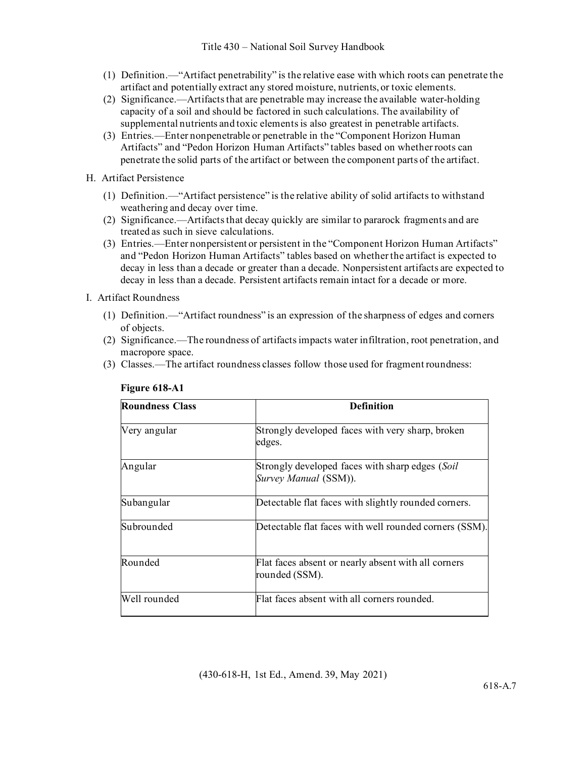- (1) Definition.—"Artifact penetrability" is the relative ease with which roots can penetrate the artifact and potentially extract any stored moisture, nutrients, or toxic elements.
- (2) Significance.—Artifacts that are penetrable may increase the available water-holding capacity of a soil and should be factored in such calculations. The availability of supplemental nutrients and toxic elements is also greatest in penetrable artifacts.
- (3) Entries.—Enter nonpenetrable or penetrable in the "Component Horizon Human Artifacts" and "Pedon Horizon Human Artifacts" tables based on whether roots can penetrate the solid parts of the artifact or between the component parts of the artifact.
- H. Artifact Persistence
	- (1) Definition.—"Artifact persistence" is the relative ability of solid artifacts to withstand weathering and decay over time.
	- (2) Significance.—Artifacts that decay quickly are similar to pararock fragments and are treated as such in sieve calculations.
	- (3) Entries.—Enter nonpersistent or persistent in the "Component Horizon Human Artifacts" and "Pedon Horizon Human Artifacts" tables based on whether the artifact is expected to decay in less than a decade or greater than a decade. Nonpersistent artifacts are expected to decay in less than a decade. Persistent artifacts remain intact for a decade or more.
- I. Artifact Roundness
	- (1) Definition.—"Artifact roundness" is an expression of the sharpness of edges and corners of objects.
	- (2) Significance.—The roundness of artifacts impacts water infiltration, root penetration, and macropore space.
	- (3) Classes.—The artifact roundness classes follow those used for fragment roundness:

| <b>Roundness Class</b> | <b>Definition</b>                                                        |
|------------------------|--------------------------------------------------------------------------|
| Very angular           | Strongly developed faces with very sharp, broken<br>edges.               |
| Angular                | Strongly developed faces with sharp edges (Soil<br>Survey Manual (SSM)). |
| Subangular             | Detectable flat faces with slightly rounded corners.                     |
| Subrounded             | Detectable flat faces with well rounded corners (SSM).                   |
| Rounded                | Flat faces absent or nearly absent with all corners<br>rounded (SSM).    |
| Well rounded           | Flat faces absent with all corners rounded.                              |

#### **Figure 618-A1**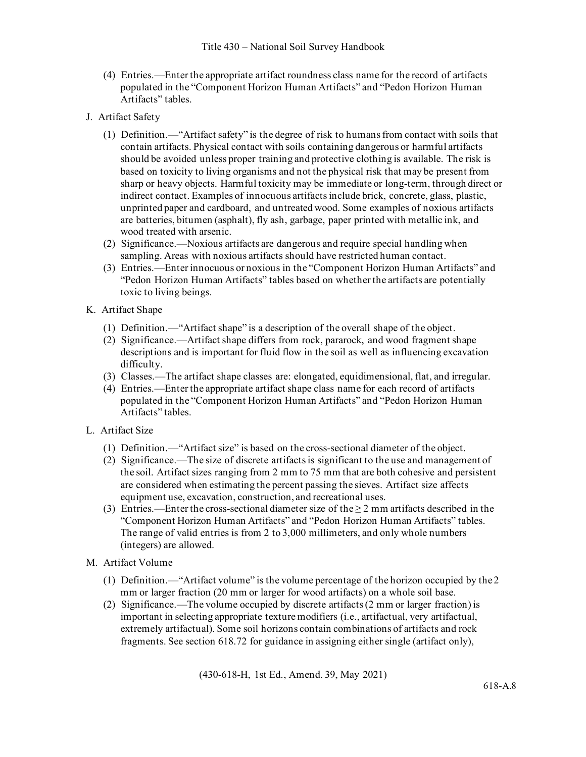- (4) Entries.—Enter the appropriate artifact roundness class name for the record of artifacts populated in the "Component Horizon Human Artifacts" and "Pedon Horizon Human Artifacts" tables.
- J. Artifact Safety
	- (1) Definition.—"Artifact safety" is the degree of risk to humans from contact with soils that contain artifacts. Physical contact with soils containing dangerous or harmful artifacts should be avoided unless proper training and protective clothing is available. The risk is based on toxicity to living organisms and not the physical risk that may be present from sharp or heavy objects. Harmful toxicity may be immediate or long-term, through direct or indirect contact. Examples of innocuous artifacts include brick, concrete, glass, plastic, unprinted paper and cardboard, and untreated wood. Some examples of noxious artifacts are batteries, bitumen (asphalt), fly ash, garbage, paper printed with metallic ink, and wood treated with arsenic.
	- (2) Significance.—Noxious artifacts are dangerous and require special handling when sampling. Areas with noxious artifacts should have restricted human contact.
	- (3) Entries.—Enter innocuous or noxious in the "Component Horizon Human Artifacts" and "Pedon Horizon Human Artifacts" tables based on whether the artifacts are potentially toxic to living beings.
- K. Artifact Shape
	- (1) Definition.—"Artifact shape" is a description of the overall shape of the object.
	- (2) Significance.—Artifact shape differs from rock, pararock, and wood fragment shape descriptions and is important for fluid flow in the soil as well as influencing excavation difficulty.
	- (3) Classes.—The artifact shape classes are: elongated, equidimensional, flat, and irregular.
	- (4) Entries.—Enter the appropriate artifact shape class name for each record of artifacts populated in the "Component Horizon Human Artifacts" and "Pedon Horizon Human Artifacts" tables.
- L. Artifact Size
	- (1) Definition.—"Artifact size" is based on the cross-sectional diameter of the object.
	- (2) Significance.—The size of discrete artifacts is significant to the use and management of the soil. Artifact sizes ranging from 2 mm to 75 mm that are both cohesive and persistent are considered when estimating the percent passing the sieves. Artifact size affects equipment use, excavation, construction, and recreational uses.
	- (3) Entries.—Enter the cross-sectional diameter size of the  $\geq 2$  mm artifacts described in the "Component Horizon Human Artifacts" and "Pedon Horizon Human Artifacts" tables. The range of valid entries is from 2 to 3,000 millimeters, and only whole numbers (integers) are allowed.
- M. Artifact Volume
	- (1) Definition.—"Artifact volume" is the volume percentage of the horizon occupied by the2 mm or larger fraction (20 mm or larger for wood artifacts) on a whole soil base.
	- (2) Significance.—The volume occupied by discrete artifacts (2 mm or larger fraction) is important in selecting appropriate texture modifiers (i.e., artifactual, very artifactual, extremely artifactual). Some soil horizons contain combinations of artifacts and rock fragments. See section 618.72 for guidance in assigning either single (artifact only),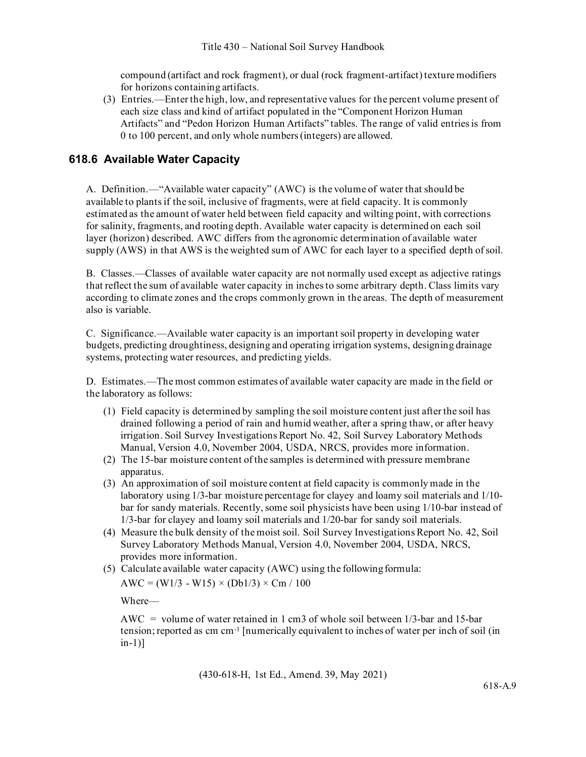compound (artifact and rock fragment), or dual (rock fragment-artifact) texture modifiers for horizons containing artifacts.

(3) Entries.—Enter the high, low, and representative values for the percent volume present of each size class and kind of artifact populated in the "Component Horizon Human Artifacts" and "Pedon Horizon Human Artifacts" tables. The range of valid entries is from 0 to 100 percent, and only whole numbers (integers) are allowed.

### **618.6 Available Water Capacity**

A. Definition.—"Available water capacity" (AWC) is the volume of water that should be available to plants if the soil, inclusive of fragments, were at field capacity. It is commonly estimated as the amount of water held between field capacity and wilting point, with corrections for salinity, fragments, and rooting depth. Available water capacity is determined on each soil layer (horizon) described. AWC differs from the agronomic determination of available water supply (AWS) in that AWS is the weighted sum of AWC for each layer to a specified depth ofsoil.

B. Classes.—Classes of available water capacity are not normally used except as adjective ratings that reflect the sum of available water capacity in inches to some arbitrary depth. Class limits vary according to climate zones and the crops commonly grown in the areas. The depth of measurement also is variable.

C. Significance.—Available water capacity is an important soil property in developing water budgets, predicting droughtiness, designing and operating irrigation systems, designing drainage systems, protecting water resources, and predicting yields.

D. Estimates.—The most common estimates of available water capacity are made in the field or the laboratory as follows:

- (1) Field capacity is determined by sampling the soil moisture content just after the soil has drained following a period of rain and humid weather, after a spring thaw, or after heavy irrigation. Soil Survey Investigations Report No. 42, Soil Survey Laboratory Methods Manual, Version 4.0, November 2004, USDA, NRCS, provides more information.
- (2) The 15-bar moisture content of the samples is determined with pressure membrane apparatus.
- (3) An approximation of soil moisture content at field capacity is commonly made in the laboratory using 1/3-bar moisture percentage for clayey and loamy soil materials and 1/10 bar for sandy materials. Recently, some soil physicists have been using 1/10-bar instead of 1/3-bar for clayey and loamy soil materials and 1/20-bar for sandy soil materials.
- (4) Measure the bulk density of the moist soil. Soil Survey Investigations Report No. 42, Soil Survey Laboratory Methods Manual, Version 4.0, November 2004, USDA, NRCS, provides more information.

(5) Calculate available water capacity  $(AWC)$  using the following formula:  $AWC = (W1/3 - W15) \times (Db1/3) \times Cm / 100$ 

Where—

 $AWC = volume of water retained in 1 cm<sup>3</sup> of whole soil between 1/3-bar and 15-bar$ tension; reported as cm cm-1 [numerically equivalent to inches of water per inch of soil (in in-1)]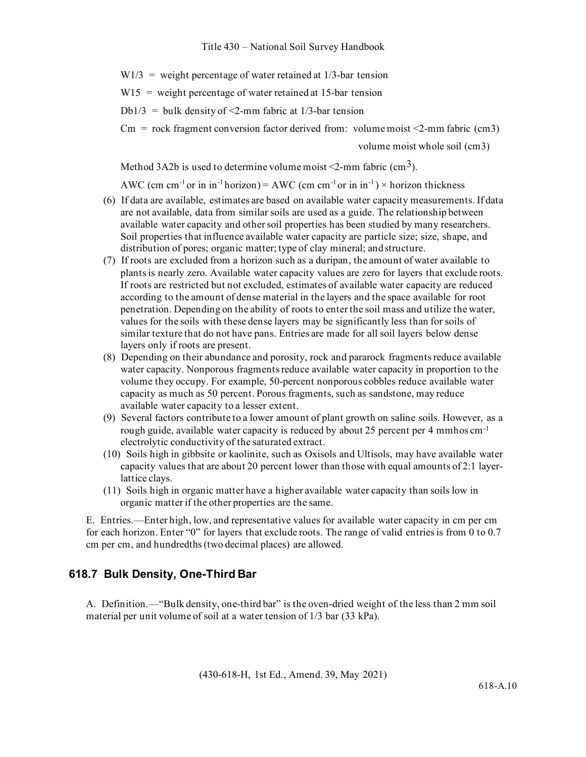$W1/3$  = weight percentage of water retained at 1/3-bar tension

 $W15 =$  weight percentage of water retained at 15-bar tension

Db1/3 = bulk density of  $\leq$ 2-mm fabric at 1/3-bar tension

 $\text{Cm}$  = rock fragment conversion factor derived from: volume moist <2-mm fabric (cm3)

volume moist whole soil (cm3)

Method 3A2b is used to determine volume moist <2-mm fabric (cm<sup>3</sup>).

AWC (cm cm<sup>-1</sup> or in in<sup>-1</sup> horizon) = AWC (cm cm<sup>-1</sup> or in in<sup>-1</sup>) × horizon thickness

- (6) If data are available, estimates are based on available water capacity measurements. If data are not available, data from similar soils are used as a guide. The relationship between available water capacity and other soil properties has been studied by many researchers. Soil properties that influence available water capacity are particle size; size, shape, and distribution of pores; organic matter; type of clay mineral; andstructure.
- (7) If roots are excluded from a horizon such as a duripan, the amount of water available to plants is nearly zero. Available water capacity values are zero for layers that exclude roots. If roots are restricted but not excluded, estimates of available water capacity are reduced according to the amount of dense material in the layers and the space available for root penetration. Depending on the ability of roots to enter the soil mass and utilize the water, values for the soils with these dense layers may be significantly less than for soils of similar texture that do not have pans. Entries are made for all soil layers below dense layers only if roots are present.
- (8) Depending on their abundance and porosity, rock and pararock fragments reduce available water capacity. Nonporous fragments reduce available water capacity in proportion to the volume they occupy. For example, 50-percent nonporous cobbles reduce available water capacity as much as 50 percent. Porous fragments, such as sandstone, may reduce available water capacity to a lesser extent.
- (9) Several factors contribute to a lower amount of plant growth on saline soils. However, as a rough guide, available water capacity is reduced by about 25 percent per 4 mmhos cm<sup>-1</sup> electrolytic conductivity of the saturated extract.
- (10) Soils high in gibbsite or kaolinite, such as Oxisols and Ultisols, may have available water capacity values that are about 20 percent lower than those with equal amounts of 2:1 layerlattice clays.
- (11) Soils high in organic matter have a higher available water capacity than soils low in organic matter if the other properties are the same.

E. Entries.—Enter high, low, and representative values for available water capacity in cm per cm for each horizon. Enter "0" for layers that exclude roots. The range of valid entries is from 0 to 0.7 cm per cm, and hundredths (two decimal places) are allowed.

#### **618.7 Bulk Density, One-Third Bar**

A. Definition.—"Bulk density, one-third bar" is the oven-dried weight of the less than 2 mm soil material per unit volume of soil at a water tension of 1/3 bar (33 kPa).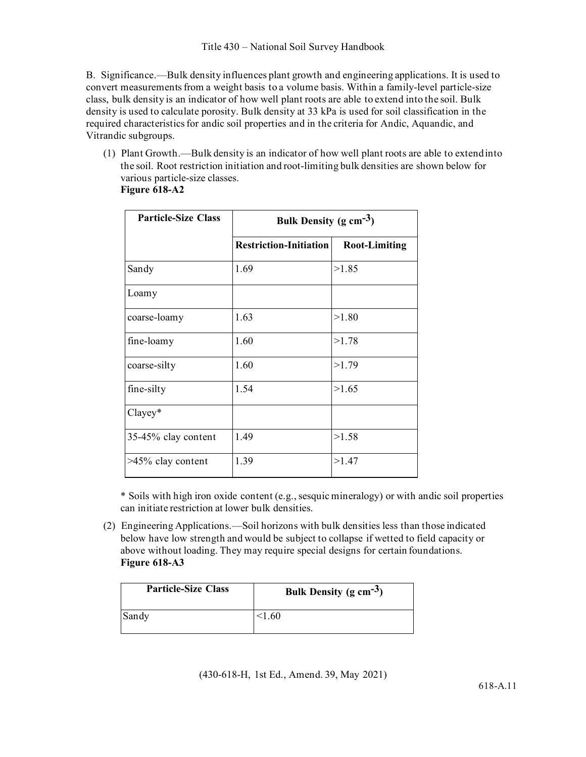B. Significance.—Bulk density influences plant growth and engineering applications. It is used to convert measurements from a weight basis to a volume basis. Within a family-level particle-size class, bulk density is an indicator of how well plant roots are able to extend into the soil. Bulk density is used to calculate porosity. Bulk density at 33 kPa is used for soil classification in the required characteristics for andic soil properties and in the criteria for Andic, Aquandic, and Vitrandic subgroups.

(1) Plant Growth.—Bulk density is an indicator of how well plant roots are able to extendinto the soil. Root restriction initiation and root-limiting bulk densities are shown below for various particle-size classes.

| <b>Figure 618-A2</b> |  |
|----------------------|--|
|----------------------|--|

| <b>Particle-Size Class</b> | Bulk Density (g $cm^{-3}$ )   |                      |
|----------------------------|-------------------------------|----------------------|
|                            | <b>Restriction-Initiation</b> | <b>Root-Limiting</b> |
| Sandy                      | 1.69                          | >1.85                |
| Loamy                      |                               |                      |
| coarse-loamy               | 1.63                          | >1.80                |
| fine-loamy                 | 1.60                          | >1.78                |
| coarse-silty               | 1.60                          | >1.79                |
| fine-silty                 | 1.54                          | >1.65                |
| Clayey*                    |                               |                      |
| 35-45% clay content        | 1.49                          | >1.58                |
| >45% clay content          | 1.39                          | >1.47                |

\* Soils with high iron oxide content (e.g., sesquic mineralogy) or with andic soil properties can initiate restriction at lower bulk densities.

(2) Engineering Applications.—Soil horizons with bulk densities less than those indicated below have low strength and would be subject to collapse if wetted to field capacity or above without loading. They may require special designs for certain foundations. **Figure 618-A3**

| <b>Particle-Size Class</b> | Bulk Density (g $cm^{-3}$ ) |
|----------------------------|-----------------------------|
| Sandy                      | <1.60                       |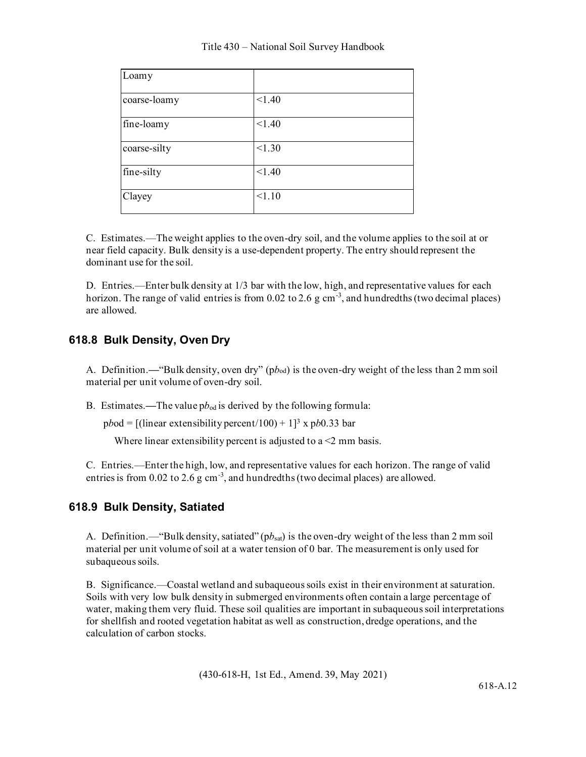| Loamy        |        |
|--------------|--------|
| coarse-loamy | < 1.40 |
| fine-loamy   | < 1.40 |
| coarse-silty | < 1.30 |
| fine-silty   | < 1.40 |
| Clayey       | < 1.10 |

C. Estimates.—The weight applies to the oven-dry soil, and the volume applies to the soil at or near field capacity. Bulk density is a use-dependent property. The entry should represent the dominant use for the soil.

D. Entries.—Enter bulk density at 1/3 bar with the low, high, and representative values for each horizon. The range of valid entries is from 0.02 to 2.6 g cm<sup>-3</sup>, and hundredths (two decimal places) are allowed.

### **618.8 Bulk Density, Oven Dry**

A. Definition.**—**"Bulk density, oven dry" (p*b*od) is the oven-dry weight of the less than 2 mm soil material per unit volume of oven-dry soil.

B. Estimates.—The value  $pb_{od}$  is derived by the following formula:

p*b*od = [(linear extensibility percent/100) + 1]3 x p*b*0.33 bar

Where linear extensibility percent is adjusted to  $a < 2$  mm basis.

C. Entries.—Enter the high, low, and representative values for each horizon. The range of valid entries is from  $0.02$  to  $2.6$  g cm<sup>-3</sup>, and hundredths (two decimal places) are allowed.

## **618.9 Bulk Density, Satiated**

A. Definition.—"Bulk density, satiated" (p*b*sat) is the oven-dry weight of the less than 2 mm soil material per unit volume of soil at a water tension of 0 bar. The measurement is only used for subaqueous soils.

B. Significance.—Coastal wetland and subaqueous soils exist in their environment at saturation. Soils with very low bulk density in submerged environments often contain a large percentage of water, making them very fluid. These soil qualities are important in subaqueous soil interpretations for shellfish and rooted vegetation habitat as well as construction, dredge operations, and the calculation of carbon stocks.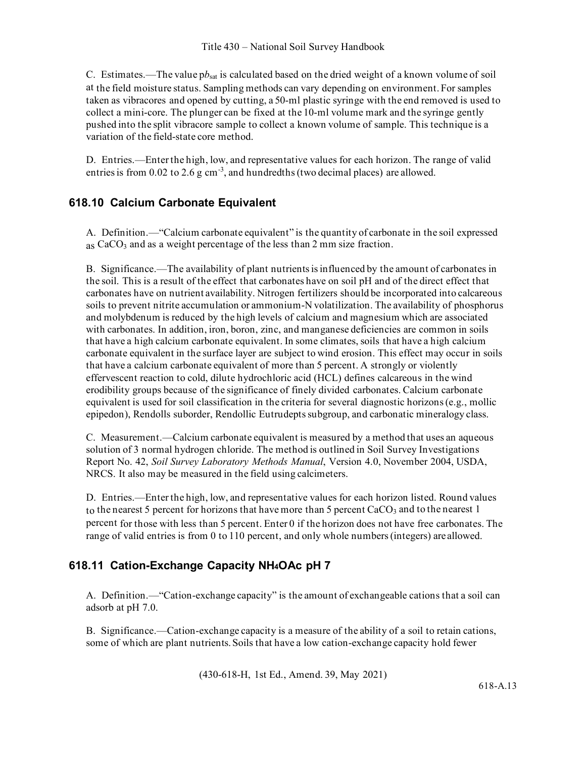C. Estimates.—The value p*b*sat is calculated based on the dried weight of a known volume of soil at the field moisture status. Sampling methods can vary depending on environment. For samples taken as vibracores and opened by cutting, a 50-ml plastic syringe with the end removed is used to collect a mini-core. The plunger can be fixed at the 10-ml volume mark and the syringe gently pushed into the split vibracore sample to collect a known volume of sample. This technique is a variation of the field-state core method.

D. Entries.—Enter the high, low, and representative values for each horizon. The range of valid entries is from  $0.02$  to  $2.6$  g cm<sup>-3</sup>, and hundredths (two decimal places) are allowed.

## **618.10 Calcium Carbonate Equivalent**

A. Definition.—"Calcium carbonate equivalent" is the quantity of carbonate in the soil expressed  $_{\text{as}}$  CaCO<sub>3</sub> and as a weight percentage of the less than 2 mm size fraction.

B. Significance.—The availability of plant nutrients is influenced by the amount of carbonates in the soil. This is a result of the effect that carbonates have on soil pH and of the direct effect that carbonates have on nutrient availability. Nitrogen fertilizers should be incorporated into calcareous soils to prevent nitrite accumulation or ammonium-N volatilization. The availability of phosphorus and molybdenum is reduced by the high levels of calcium and magnesium which are associated with carbonates. In addition, iron, boron, zinc, and manganese deficiencies are common in soils that have a high calcium carbonate equivalent. In some climates, soils that have a high calcium carbonate equivalent in the surface layer are subject to wind erosion. This effect may occur in soils that have a calcium carbonate equivalent of more than 5 percent. A strongly or violently effervescent reaction to cold, dilute hydrochloric acid (HCL) defines calcareous in the wind erodibility groups because of the significance of finely divided carbonates. Calcium carbonate equivalent is used for soil classification in the criteria for several diagnostic horizons (e.g., mollic epipedon), Rendolls suborder, Rendollic Eutrudepts subgroup, and carbonatic mineralogy class.

C. Measurement.—Calcium carbonate equivalent is measured by a method that uses an aqueous solution of 3 normal hydrogen chloride. The method is outlined in Soil Survey Investigations Report No. 42, *Soil Survey Laboratory Methods Manual*, Version 4.0, November 2004, USDA, NRCS. It also may be measured in the field using calcimeters.

D. Entries.—Enter the high, low, and representative values for each horizon listed. Round values to the nearest 5 percent for horizons that have more than 5 percent CaCO<sub>3</sub> and to the nearest 1 percent for those with less than 5 percent. Enter 0 if the horizon does not have free carbonates. The range of valid entries is from 0 to 110 percent, and only whole numbers (integers) are allowed.

## **618.11 Cation-Exchange Capacity NH4OAc pH 7**

A. Definition.—"Cation-exchange capacity" is the amount of exchangeable cations that a soil can adsorb at pH 7.0.

B. Significance.—Cation-exchange capacity is a measure of the ability of a soil to retain cations, some of which are plant nutrients. Soils that have a low cation-exchange capacity hold fewer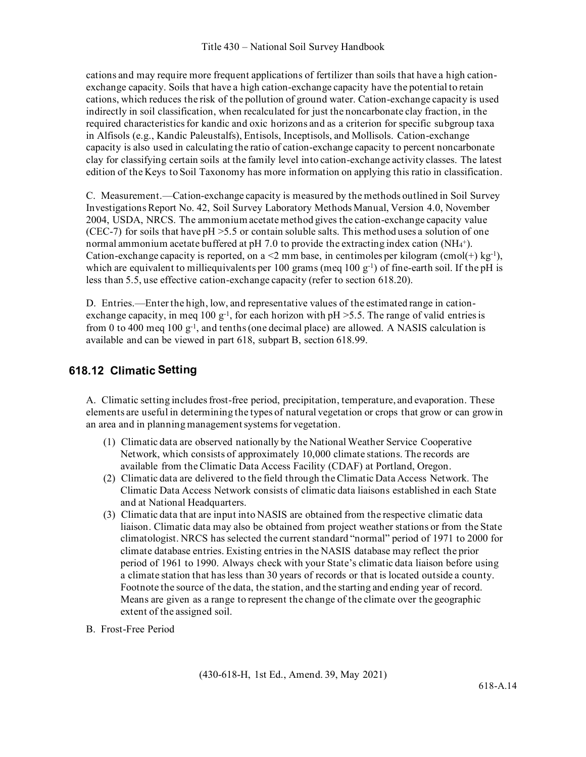cations and may require more frequent applications of fertilizer than soils that have a high cationexchange capacity. Soils that have a high cation-exchange capacity have the potential to retain cations, which reduces the risk of the pollution of ground water. Cation-exchange capacity is used indirectly in soil classification, when recalculated for just the noncarbonate clay fraction, in the required characteristics for kandic and oxic horizons and as a criterion for specific subgroup taxa in Alfisols (e.g., Kandic Paleustalfs), Entisols, Inceptisols, and Mollisols. Cation-exchange capacity is also used in calculating the ratio of cation-exchange capacity to percent noncarbonate clay for classifying certain soils at the family level into cation-exchange activity classes. The latest edition of the Keys to Soil Taxonomy has more information on applying this ratio in classification.

C. Measurement.—Cation-exchange capacity is measured by the methods outlined in Soil Survey Investigations Report No. 42, Soil Survey Laboratory Methods Manual, Version 4.0, November 2004, USDA, NRCS. The ammonium acetate method gives the cation-exchange capacity value (CEC-7) for soils that have  $pH > 5.5$  or contain soluble salts. This method uses a solution of one normal ammonium acetate buffered at pH 7.0 to provide the extracting index cation  $(NH<sub>4</sub>^{+})$ . Cation-exchange capacity is reported, on a <2 mm base, in centimoles per kilogram (cmol(+) kg<sup>-1</sup>), which are equivalent to milliequivalents per 100 grams (meq 100  $g^{-1}$ ) of fine-earth soil. If the pH is less than 5.5, use effective cation-exchange capacity (refer to section 618.20).

D. Entries.—Enter the high, low, and representative values of the estimated range in cationexchange capacity, in meq 100  $g^{-1}$ , for each horizon with pH > 5.5. The range of valid entries is from 0 to 400 meg  $100 \text{ g}^{-1}$ , and tenths (one decimal place) are allowed. A NASIS calculation is available and can be viewed in part 618, subpart B, section 618.99.

## **618.12 Climatic Setting**

A. Climatic setting includes frost-free period, precipitation, temperature, and evaporation. These elements are useful in determining the types of natural vegetation or crops that grow or can growin an area and in planning management systems for vegetation.

- (1) Climatic data are observed nationally by the National Weather Service Cooperative Network, which consists of approximately 10,000 climate stations. The records are available from the Climatic Data Access Facility (CDAF) at Portland, Oregon.
- (2) Climatic data are delivered to the field through the Climatic Data Access Network. The Climatic Data Access Network consists of climatic data liaisons established in each State and at National Headquarters.
- (3) Climatic data that are input into NASIS are obtained from the respective climatic data liaison. Climatic data may also be obtained from project weather stations or from the State climatologist. NRCS has selected the current standard "normal" period of 1971 to 2000 for climate database entries. Existing entries in the NASIS database may reflect the prior period of 1961 to 1990. Always check with your State's climatic data liaison before using a climate station that has less than 30 years of records or that is located outside a county. Footnote the source of the data, the station, and the starting and ending year of record. Means are given as a range to represent the change of the climate over the geographic extent of the assigned soil.
- B. Frost-Free Period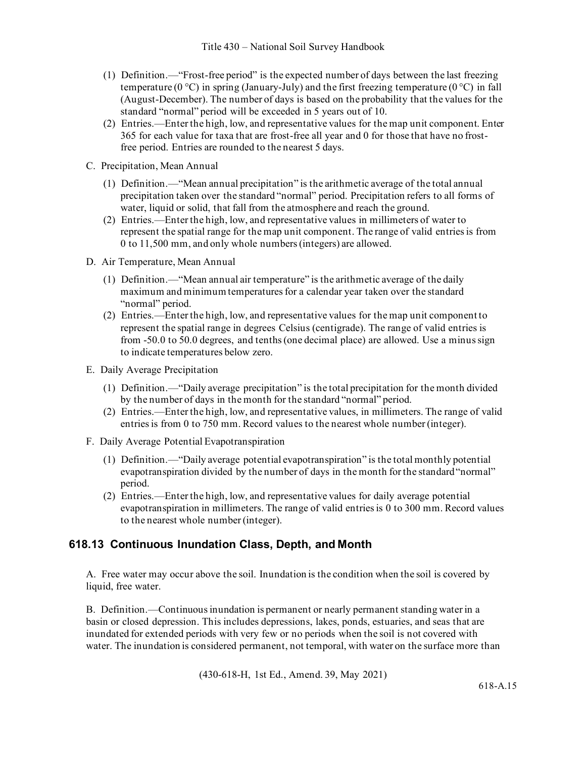- (1) Definition.—"Frost-free period" is the expected number of days between the last freezing temperature (0 °C) in spring (January-July) and the first freezing temperature (0 °C) in fall (August-December). The number of days is based on the probability that the values for the standard "normal" period will be exceeded in 5 years out of 10.
- (2) Entries.—Enter the high, low, and representative values for the map unit component. Enter 365 for each value for taxa that are frost-free all year and 0 for those that have no frostfree period. Entries are rounded to the nearest 5 days.
- C. Precipitation, Mean Annual
	- (1) Definition.—"Mean annual precipitation" is the arithmetic average of the total annual precipitation taken over the standard "normal" period. Precipitation refers to all forms of water, liquid or solid, that fall from the atmosphere and reach the ground.
	- (2) Entries.—Enter the high, low, and representative values in millimeters of water to represent the spatial range for the map unit component. The range of valid entries is from 0 to 11,500 mm, and only whole numbers (integers) are allowed.
- D. Air Temperature, Mean Annual
	- (1) Definition.—"Mean annual air temperature" is the arithmetic average of the daily maximum and minimum temperatures for a calendar year taken over the standard "normal" period.
	- (2) Entries.—Enter the high, low, and representative values for the map unit component to represent the spatial range in degrees Celsius (centigrade). The range of valid entries is from -50.0 to 50.0 degrees, and tenths (one decimal place) are allowed. Use a minus sign to indicate temperatures below zero.
- E. Daily Average Precipitation
	- (1) Definition.—"Daily average precipitation" is the total precipitation for the month divided by the number of days in the month for the standard "normal" period.
	- (2) Entries.—Enter the high, low, and representative values, in millimeters. The range of valid entries is from 0 to 750 mm. Record values to the nearest whole number (integer).
- F. Daily Average Potential Evapotranspiration
	- (1) Definition.—"Daily average potential evapotranspiration" is the total monthly potential evapotranspiration divided by the number of days in the month for the standard"normal" period.
	- (2) Entries.—Enter the high, low, and representative values for daily average potential evapotranspiration in millimeters. The range of valid entries is 0 to 300 mm. Record values to the nearest whole number(integer).

### **618.13 Continuous Inundation Class, Depth, and Month**

A. Free water may occur above the soil. Inundation is the condition when the soil is covered by liquid, free water.

B. Definition.—Continuous inundation is permanent or nearly permanent standing water in a basin or closed depression. This includes depressions, lakes, ponds, estuaries, and seas that are inundated for extended periods with very few or no periods when the soil is not covered with water. The inundation is considered permanent, not temporal, with water on the surface more than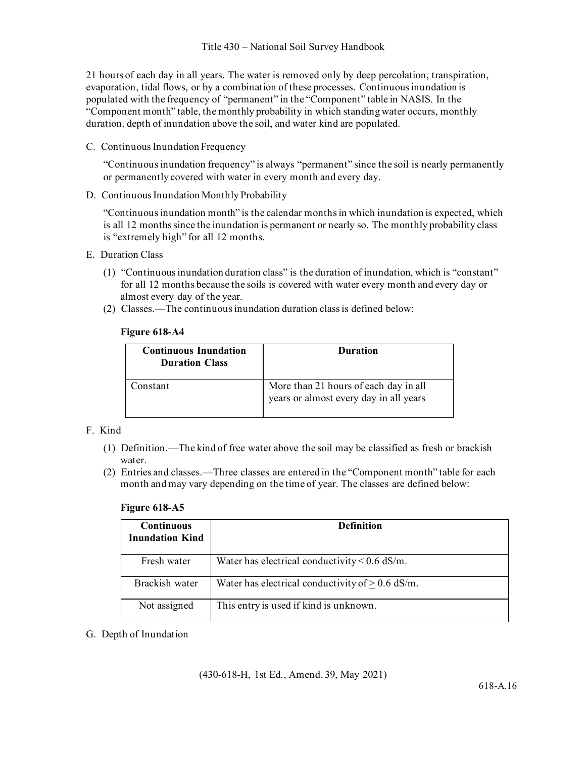21 hours of each day in all years. The water is removed only by deep percolation, transpiration, evaporation, tidal flows, or by a combination of these processes. Continuous inundation is populated with the frequency of "permanent" in the "Component" table in NASIS. In the "Component month" table, the monthly probability in which standing water occurs, monthly duration, depth of inundation above the soil, and water kind are populated.

C. Continuous Inundation Frequency

"Continuous inundation frequency" is always "permanent" since the soil is nearly permanently or permanently covered with water in every month and every day.

D. Continuous Inundation Monthly Probability

"Continuous inundation month" is the calendar months in which inundation is expected, which is all 12 months since the inundation is permanent or nearly so. The monthly probability class is "extremely high" for all 12 months.

- E. Duration Class
	- (1) "Continuous inundation duration class" is the duration of inundation, which is "constant" for all 12 months because the soils is covered with water every month and every day or almost every day of the year.
	- (2) Classes.—The continuous inundation duration class is defined below:

#### **Figure 618-A4**

| <b>Continuous Inundation</b><br><b>Duration Class</b> | <b>Duration</b>                                                                 |
|-------------------------------------------------------|---------------------------------------------------------------------------------|
| Constant                                              | More than 21 hours of each day in all<br>years or almost every day in all years |

#### F. Kind

- (1) Definition.—The kind of free water above the soil may be classified as fresh or brackish water.
- (2) Entries and classes.—Three classes are entered in the "Component month" table for each month and may vary depending on the time of year. The classes are defined below:

#### **Figure 618-A5**

| <b>Continuous</b><br><b>Inundation Kind</b> | <b>Definition</b>                                  |
|---------------------------------------------|----------------------------------------------------|
| Fresh water                                 | Water has electrical conductivity $< 0.6$ dS/m.    |
| Brackish water                              | Water has electrical conductivity of $> 0.6$ dS/m. |
| Not assigned                                | This entry is used if kind is unknown.             |

G. Depth of Inundation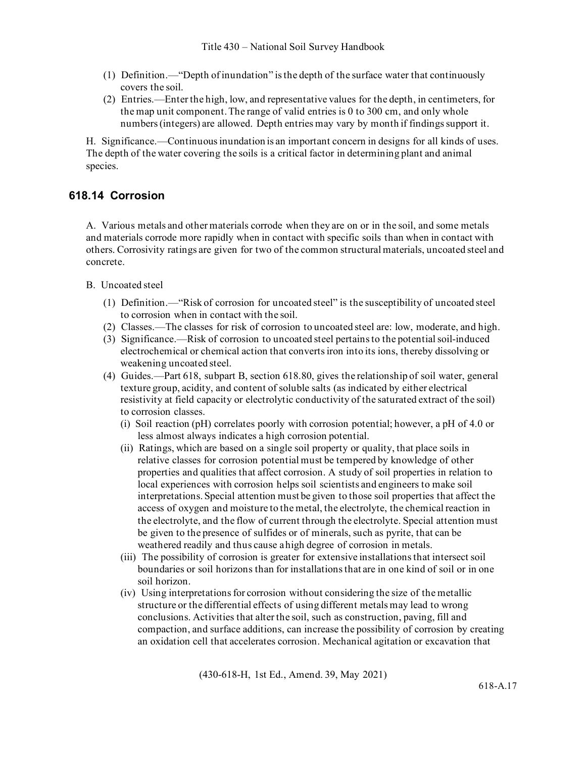- (1) Definition.—"Depth of inundation" is the depth of the surface water that continuously covers the soil.
- (2) Entries.—Enter the high, low, and representative values for the depth, in centimeters, for the map unit component. The range of valid entries is 0 to 300 cm, and only whole numbers (integers) are allowed. Depth entries may vary by month if findings support it.

H. Significance.—Continuous inundation is an important concern in designs for all kinds of uses. The depth of the water covering the soils is a critical factor in determining plant and animal species.

#### **618.14 Corrosion**

A. Various metals and other materials corrode when they are on or in the soil, and some metals and materials corrode more rapidly when in contact with specific soils than when in contact with others. Corrosivity ratings are given for two of the common structural materials, uncoated steel and concrete.

B. Uncoated steel

- (1) Definition.—"Risk of corrosion for uncoated steel" is the susceptibility of uncoated steel to corrosion when in contact with the soil.
- (2) Classes.—The classes for risk of corrosion to uncoated steel are: low, moderate, and high.
- (3) Significance.—Risk of corrosion to uncoated steel pertains to the potentialsoil-induced electrochemical or chemical action that converts iron into its ions, thereby dissolving or weakening uncoated steel.
- (4) Guides.—Part 618, subpart B, section 618.80, gives the relationship of soil water, general texture group, acidity, and content of soluble salts (as indicated by either electrical resistivity at field capacity or electrolytic conductivity of the saturated extract of the soil) to corrosion classes.
	- (i) Soil reaction (pH) correlates poorly with corrosion potential; however, a pH of 4.0 or less almost always indicates a high corrosion potential.
	- (ii) Ratings, which are based on a single soil property or quality, that place soils in relative classes for corrosion potential must be tempered by knowledge of other properties and qualities that affect corrosion. A study of soil properties in relation to local experiences with corrosion helps soil scientists and engineers to make soil interpretations. Special attention must be given to those soil properties that affect the access of oxygen and moisture to the metal, the electrolyte, the chemical reaction in the electrolyte, and the flow of current through the electrolyte. Special attention must be given to the presence of sulfides or of minerals, such as pyrite, that can be weathered readily and thus cause ahigh degree of corrosion in metals.
	- (iii) The possibility of corrosion is greater for extensive installations that intersect soil boundaries or soil horizons than for installations that are in one kind of soil or in one soil horizon.
	- (iv) Using interpretations for corrosion without considering the size of the metallic structure or the differential effects of using different metals may lead to wrong conclusions. Activities that alter the soil, such as construction, paving, fill and compaction, and surface additions, can increase the possibility of corrosion by creating an oxidation cell that accelerates corrosion. Mechanical agitation or excavation that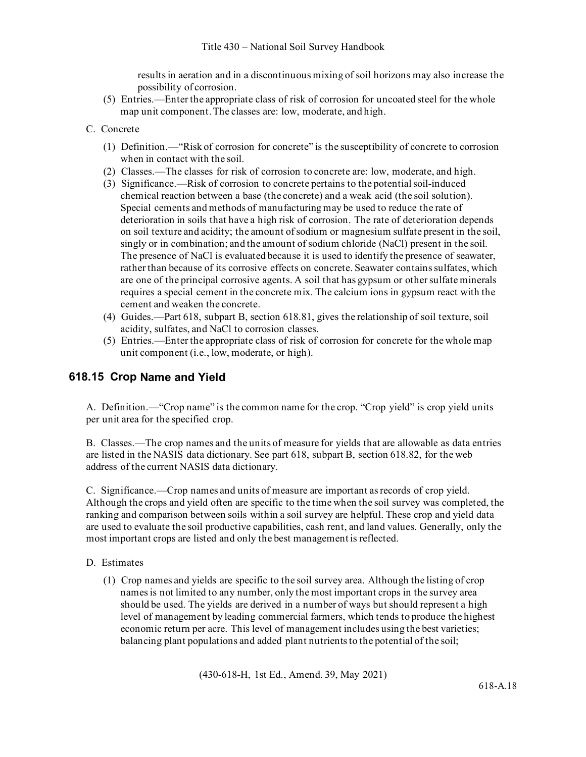results in aeration and in a discontinuous mixing of soil horizons may also increase the possibility of corrosion.

- (5) Entries.—Enter the appropriate class of risk of corrosion for uncoated steel for the whole map unit component.The classes are: low, moderate, and high.
- C. Concrete
	- (1) Definition.—"Risk of corrosion for concrete" is the susceptibility of concrete to corrosion when in contact with the soil.
	- (2) Classes.—The classes for risk of corrosion to concrete are: low, moderate, and high.
	- (3) Significance.—Risk of corrosion to concrete pertains to the potential soil-induced chemical reaction between a base (the concrete) and a weak acid (the soil solution). Special cements and methods of manufacturing may be used to reduce the rate of deterioration in soils that have a high risk of corrosion. The rate of deterioration depends on soil texture and acidity; the amount of sodium or magnesium sulfate present in the soil, singly or in combination; and the amount of sodium chloride (NaCl) present in the soil. The presence of NaCl is evaluated because it is used to identify the presence of seawater, rather than because of its corrosive effects on concrete. Seawater contains sulfates, which are one of the principal corrosive agents. A soil that has gypsum or other sulfate minerals requires a special cement in the concrete mix. The calcium ions in gypsum react with the cement and weaken the concrete.
	- (4) Guides.—Part 618, subpart B, section 618.81, gives the relationship of soil texture, soil acidity, sulfates, and NaCl to corrosion classes.
	- (5) Entries.—Enter the appropriate class of risk of corrosion for concrete for the whole map unit component (i.e., low, moderate, or high).

#### **618.15 Crop Name and Yield**

A. Definition.—"Crop name" is the common name for the crop. "Crop yield" is crop yield units per unit area for the specified crop.

B. Classes.—The crop names and the units of measure for yields that are allowable as data entries are listed in the NASIS data dictionary. See part 618, subpart B, section 618.82, for the web address of the current NASIS data dictionary.

C. Significance.—Crop names and units of measure are important as records of crop yield. Although the crops and yield often are specific to the time when the soil survey was completed, the ranking and comparison between soils within a soil survey are helpful. These crop and yield data are used to evaluate the soil productive capabilities, cash rent, and land values. Generally, only the most important crops are listed and only the best management is reflected.

#### D. Estimates

(1) Crop names and yields are specific to the soil survey area. Although the listing of crop names is not limited to any number, only the most important crops in the survey area should be used. The yields are derived in a number of ways but should represent a high level of management by leading commercial farmers, which tends to produce the highest economic return per acre. This level of management includes using the best varieties; balancing plant populations and added plant nutrients to the potential of the soil;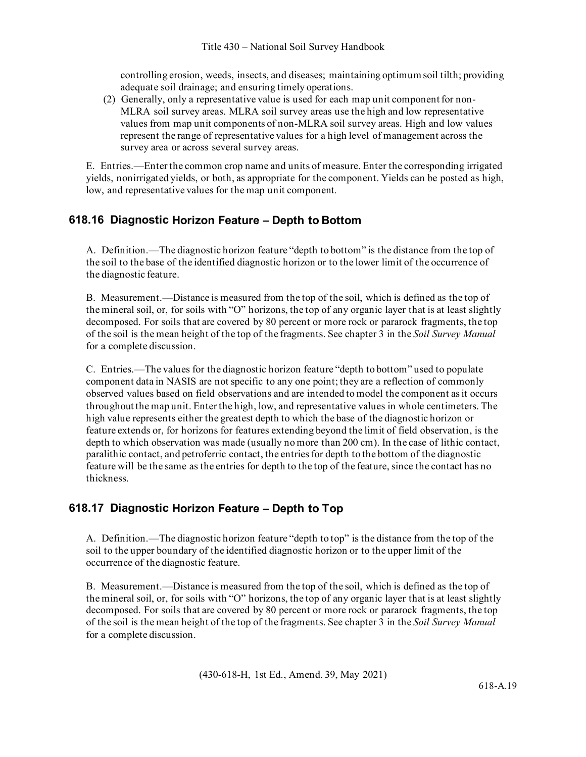controlling erosion, weeds, insects, and diseases; maintaining optimum soil tilth; providing adequate soil drainage; and ensuring timely operations.

(2) Generally, only a representative value is used for each map unit component for non-MLRA soil survey areas. MLRA soil survey areas use the high and low representative values from map unit components of non-MLRA soil survey areas. High and low values represent the range of representative values for a high level of management across the survey area or across several survey areas.

E. Entries.—Enter the common crop name and units of measure. Enter the corresponding irrigated yields, nonirrigated yields, or both, as appropriate for the component. Yields can be posted as high, low, and representative values for the map unit component.

### **618.16 Diagnostic Horizon Feature – Depth to Bottom**

A. Definition.—The diagnostic horizon feature "depth to bottom" is the distance from the top of the soil to the base of the identified diagnostic horizon or to the lower limit of the occurrence of the diagnostic feature.

B. Measurement.—Distance is measured from the top of the soil, which is defined as the top of the mineral soil, or, for soils with "O" horizons, the top of any organic layer that is at least slightly decomposed. For soils that are covered by 80 percent or more rock or pararock fragments, the top of the soil is the mean height of the top of the fragments. See chapter 3 in the *Soil Survey Manual* for a complete discussion.

C. Entries.—The values for the diagnostic horizon feature "depth to bottom" used to populate component data in NASIS are not specific to any one point; they are a reflection of commonly observed values based on field observations and are intended to model the component as it occurs throughout the map unit. Enter the high, low, and representative values in whole centimeters. The high value represents either the greatest depth to which the base of the diagnostic horizon or feature extends or, for horizons for features extending beyond the limit of field observation, is the depth to which observation was made (usually no more than 200 cm). In the case of lithic contact, paralithic contact, and petroferric contact, the entries for depth to the bottom of the diagnostic feature will be the same as the entries for depth to the top of the feature, since the contact has no thickness.

### **618.17 Diagnostic Horizon Feature – Depth to Top**

A. Definition.—The diagnostic horizon feature "depth to top" is the distance from the top of the soil to the upper boundary of the identified diagnostic horizon or to the upper limit of the occurrence of the diagnostic feature.

B. Measurement.—Distance is measured from the top of the soil, which is defined as the top of the mineral soil, or, for soils with "O" horizons, the top of any organic layer that is at least slightly decomposed. For soils that are covered by 80 percent or more rock or pararock fragments, the top of the soil is the mean height of the top of the fragments. See chapter 3 in the *Soil Survey Manual* for a complete discussion.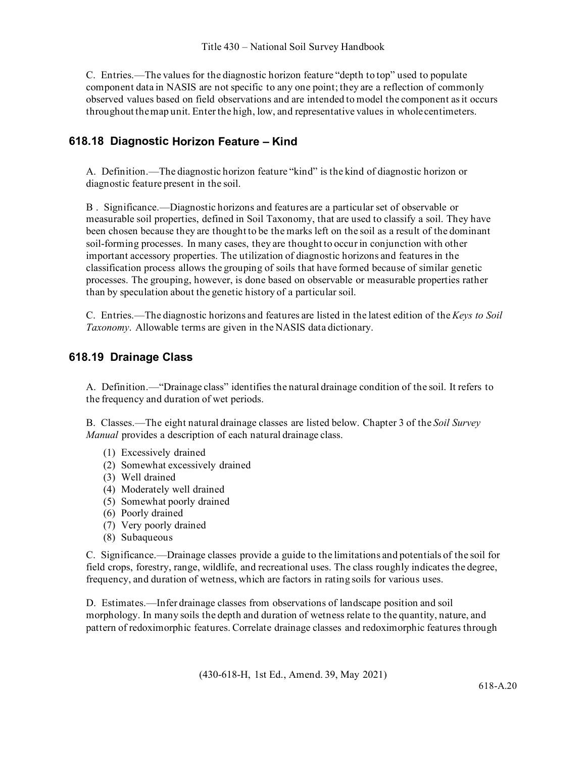C. Entries.—The values for the diagnostic horizon feature "depth to top" used to populate component data in NASIS are not specific to any one point; they are a reflection of commonly observed values based on field observations and are intended to model the component as it occurs throughout themap unit. Enter the high, low, and representative values in whole centimeters.

## **618.18 Diagnostic Horizon Feature – Kind**

A. Definition.—The diagnostic horizon feature "kind" is the kind of diagnostic horizon or diagnostic feature present in the soil.

B . Significance.—Diagnostic horizons and features are a particular set of observable or measurable soil properties, defined in Soil Taxonomy, that are used to classify a soil. They have been chosen because they are thought to be the marks left on the soil as a result of the dominant soil-forming processes. In many cases, they are thought to occur in conjunction with other important accessory properties. The utilization of diagnostic horizons and features in the classification process allows the grouping of soils that have formed because of similar genetic processes. The grouping, however, is done based on observable or measurable properties rather than by speculation about the genetic history of a particular soil.

C. Entries.—The diagnostic horizons and features are listed in the latest edition of the *Keys to Soil Taxonomy*. Allowable terms are given in the NASIS data dictionary.

### **618.19 Drainage Class**

A. Definition.—"Drainage class" identifies the natural drainage condition of the soil. It refers to the frequency and duration of wet periods.

B. Classes.—The eight natural drainage classes are listed below. Chapter 3 of the *Soil Survey Manual* provides a description of each natural drainage class.

- (1) Excessively drained
- (2) Somewhat excessively drained
- (3) Well drained
- (4) Moderately well drained
- (5) Somewhat poorly drained
- (6) Poorly drained
- (7) Very poorly drained
- (8) Subaqueous

C. Significance.—Drainage classes provide a guide to the limitations and potentials of the soil for field crops, forestry, range, wildlife, and recreational uses. The class roughly indicates the degree, frequency, and duration of wetness, which are factors in rating soils for various uses.

D. Estimates.—Infer drainage classes from observations of landscape position and soil morphology. In many soils the depth and duration of wetness relate to the quantity, nature, and pattern of redoximorphic features. Correlate drainage classes and redoximorphic features through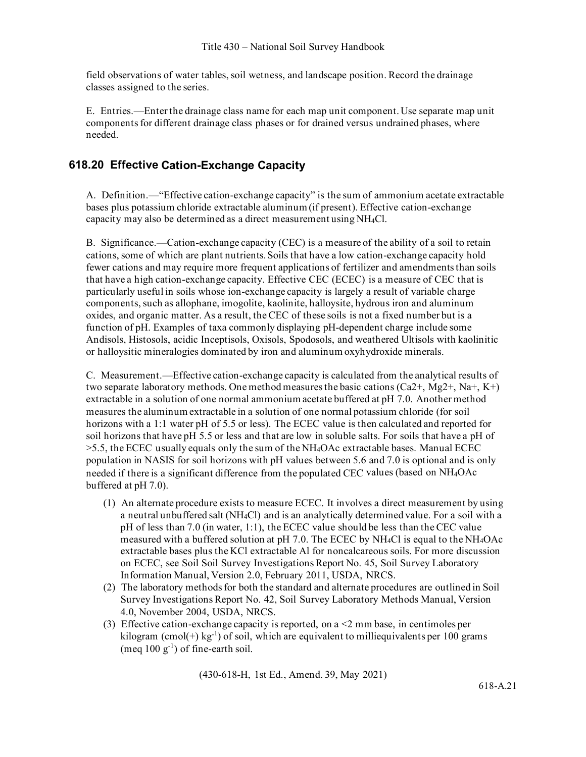field observations of water tables, soil wetness, and landscape position. Record the drainage classes assigned to the series.

E. Entries.—Enter the drainage class name for each map unit component. Use separate map unit components for different drainage class phases or for drained versus undrained phases, where needed.

#### **618.20 Effective Cation-Exchange Capacity**

A. Definition.—"Effective cation-exchange capacity" is the sum of ammonium acetate extractable bases plus potassium chloride extractable aluminum (if present). Effective cation-exchange capacity may also be determined as a direct measurement using NH4Cl.

B. Significance.—Cation-exchange capacity (CEC) is a measure of the ability of a soil to retain cations, some of which are plant nutrients. Soils that have a low cation-exchange capacity hold fewer cations and may require more frequent applications of fertilizer and amendments than soils that have a high cation-exchange capacity. Effective CEC (ECEC) is a measure of CEC that is particularly useful in soils whose ion-exchange capacity is largely a result of variable charge components, such as allophane, imogolite, kaolinite, halloysite, hydrous iron and aluminum oxides, and organic matter. As a result, the CEC of these soils is not a fixed number but is a function of pH. Examples of taxa commonly displaying pH-dependent charge include some Andisols, Histosols, acidic Inceptisols, Oxisols, Spodosols, and weathered Ultisols with kaolinitic or halloysitic mineralogies dominated by iron and aluminum oxyhydroxide minerals.

C. Measurement.—Effective cation-exchange capacity is calculated from the analytical results of two separate laboratory methods. One method measures the basic cations  $(Ca2^+, Mg2^+, Na^+, K^+)$ extractable in a solution of one normal ammonium acetate buffered at pH 7.0. Another method measures the aluminum extractable in a solution of one normal potassium chloride (for soil horizons with a 1:1 water pH of 5.5 or less). The ECEC value is then calculated and reported for soil horizons that have pH 5.5 or less and that are low in soluble salts. For soils that have a pH of >5.5, the ECEC usually equals only the sum of the NH4OAc extractable bases. Manual ECEC population in NASIS for soil horizons with pH values between 5.6 and 7.0 is optional and is only needed if there is a significant difference from the populated CEC values (based on NH4OAc buffered at pH 7.0).

- (1) An alternate procedure exists to measure ECEC. It involves a direct measurement by using a neutral unbuffered salt (NH4Cl) and is an analytically determined value. For a soil with a pH of less than 7.0 (in water, 1:1), the ECEC value should be less than the CEC value measured with a buffered solution at pH 7.0. The ECEC by NH4Cl is equal to the NH4OAc extractable bases plus the KCl extractable Al for noncalcareous soils. For more discussion on ECEC, see Soil Soil Survey Investigations Report No. 45, Soil Survey Laboratory Information Manual, Version 2.0, February 2011, USDA, NRCS.
- (2) The laboratory methods for both the standard and alternate procedures are outlined in Soil Survey Investigations Report No. 42, Soil Survey Laboratory Methods Manual, Version 4.0, November 2004, USDA, NRCS.
- (3) Effective cation-exchange capacity is reported, on a <2 mm base, in centimoles per kilogram  $(\text{cmol}(+) \text{ kg}^{-1})$  of soil, which are equivalent to milliequivalents per 100 grams (meq  $100 \text{ g}^{-1}$ ) of fine-earth soil.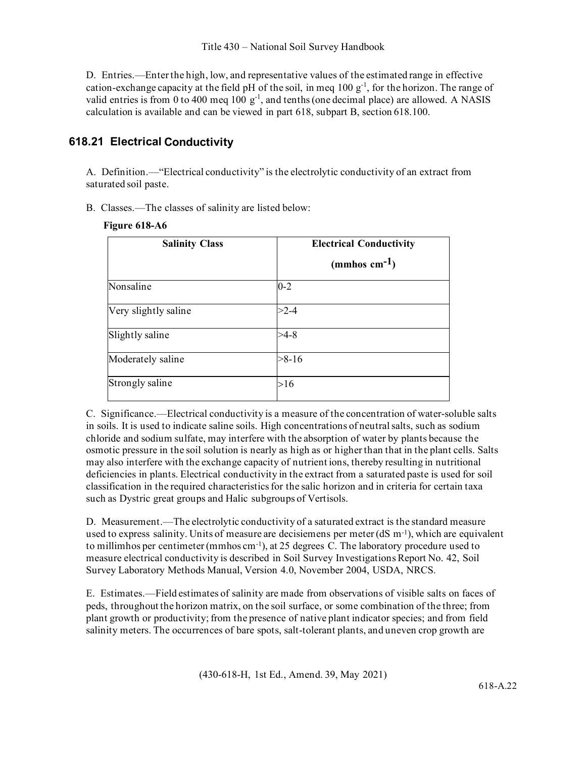D. Entries.—Enter the high, low, and representative values of the estimated range in effective cation-exchange capacity at the field pH of the soil, in meq  $100 \text{ g}^{-1}$ , for the horizon. The range of valid entries is from 0 to 400 meq 100  $g^{-1}$ , and tenths (one decimal place) are allowed. A NASIS calculation is available and can be viewed in part 618, subpart B, section 618.100.

## **618.21 Electrical Conductivity**

A. Definition.—"Electrical conductivity" is the electrolytic conductivity of an extract from saturated soil paste.

B. Classes.—The classes of salinity are listed below:

| Figure 618-A6 |  |
|---------------|--|
|---------------|--|

| <b>Salinity Class</b> | <b>Electrical Conductivity</b><br>(mmhos cm $^{-1}$ ) |
|-----------------------|-------------------------------------------------------|
| Nonsaline             | $0 - 2$                                               |
| Very slightly saline  | $>2-4$                                                |
| Slightly saline       | $>4-8$                                                |
| Moderately saline     | $>8-16$                                               |
| Strongly saline       | >16                                                   |

C. Significance.—Electrical conductivity is a measure of the concentration of water-soluble salts in soils. It is used to indicate saline soils. High concentrations of neutral salts, such as sodium chloride and sodium sulfate, may interfere with the absorption of water by plants because the osmotic pressure in the soil solution is nearly as high as or higher than that in the plant cells. Salts may also interfere with the exchange capacity of nutrient ions, thereby resulting in nutritional deficiencies in plants. Electrical conductivity in the extract from a saturated paste is used for soil classification in the required characteristics for the salic horizon and in criteria for certain taxa such as Dystric great groups and Halic subgroups of Vertisols.

D. Measurement.—The electrolytic conductivity of a saturated extract is the standard measure used to express salinity. Units of measure are decisiemens per meter  $(dS m^{-1})$ , which are equivalent to millimhos per centimeter (mmhos cm<sup>-1</sup>), at 25 degrees C. The laboratory procedure used to measure electrical conductivity is described in Soil Survey Investigations Report No. 42, Soil Survey Laboratory Methods Manual, Version 4.0, November 2004, USDA, NRCS.

E. Estimates.—Field estimates of salinity are made from observations of visible salts on faces of peds, throughout the horizon matrix, on the soil surface, or some combination of the three; from plant growth or productivity; from the presence of native plant indicator species; and from field salinity meters. The occurrences of bare spots, salt-tolerant plants, and uneven crop growth are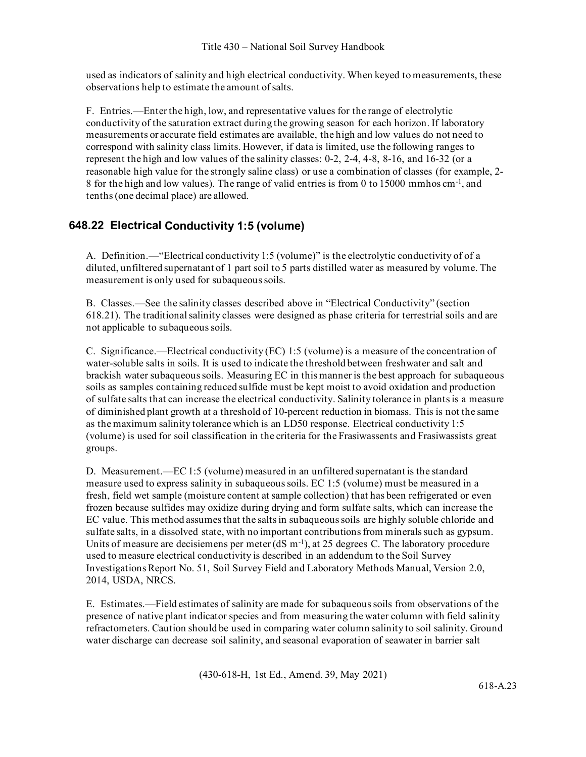used as indicators of salinity and high electrical conductivity. When keyed to measurements, these observations help to estimate the amount of salts.

F. Entries.—Enter the high, low, and representative values for the range of electrolytic conductivity of the saturation extract during the growing season for each horizon. If laboratory measurements or accurate field estimates are available, the high and low values do not need to correspond with salinity class limits. However, if data is limited, use the following ranges to represent the high and low values of the salinity classes: 0-2, 2-4, 4-8, 8-16, and 16-32 (or a reasonable high value for the strongly saline class) or use a combination of classes (for example, 2- 8 for the high and low values). The range of valid entries is from 0 to 15000 mmhos cm-1, and tenths (one decimal place) are allowed.

## **648.22 Electrical Conductivity 1:5 (volume)**

A. Definition.—"Electrical conductivity 1:5 (volume)" is the electrolytic conductivity of of a diluted, unfiltered supernatant of 1 part soil to 5 parts distilled water as measured by volume. The measurement is only used for subaqueous soils.

B. Classes.—See the salinity classes described above in "Electrical Conductivity" (section 618.21). The traditional salinity classes were designed as phase criteria for terrestrial soils and are not applicable to subaqueous soils.

C. Significance.—Electrical conductivity (EC) 1:5 (volume) is a measure of the concentration of water-soluble salts in soils. It is used to indicate the threshold between freshwater and salt and brackish water subaqueous soils. Measuring EC in this manner is the best approach for subaqueous soils as samples containing reduced sulfide must be kept moist to avoid oxidation and production of sulfate salts that can increase the electrical conductivity. Salinity tolerance in plants is a measure of diminished plant growth at a threshold of 10-percent reduction in biomass. This is not the same as the maximum salinity tolerance which is an LD50 response. Electrical conductivity 1:5 (volume) is used for soil classification in the criteria for the Frasiwassents and Frasiwassists great groups.

D. Measurement.—EC 1:5 (volume) measured in an unfiltered supernatant is the standard measure used to express salinity in subaqueous soils. EC 1:5 (volume) must be measured in a fresh, field wet sample (moisture content at sample collection) that has been refrigerated or even frozen because sulfides may oxidize during drying and form sulfate salts, which can increase the EC value. This method assumes that the salts in subaqueous soils are highly soluble chloride and sulfate salts, in a dissolved state, with no important contributions from minerals such as gypsum. Units of measure are decisiemens per meter  $(dS \, m^{-1})$ , at 25 degrees C. The laboratory procedure used to measure electrical conductivity is described in an addendum to the Soil Survey Investigations Report No. 51, Soil Survey Field and Laboratory Methods Manual, Version 2.0, 2014, USDA, NRCS.

E. Estimates.—Field estimates of salinity are made for subaqueous soils from observations of the presence of native plant indicator species and from measuring the water column with field salinity refractometers. Caution should be used in comparing water column salinity to soil salinity. Ground water discharge can decrease soil salinity, and seasonal evaporation of seawater in barrier salt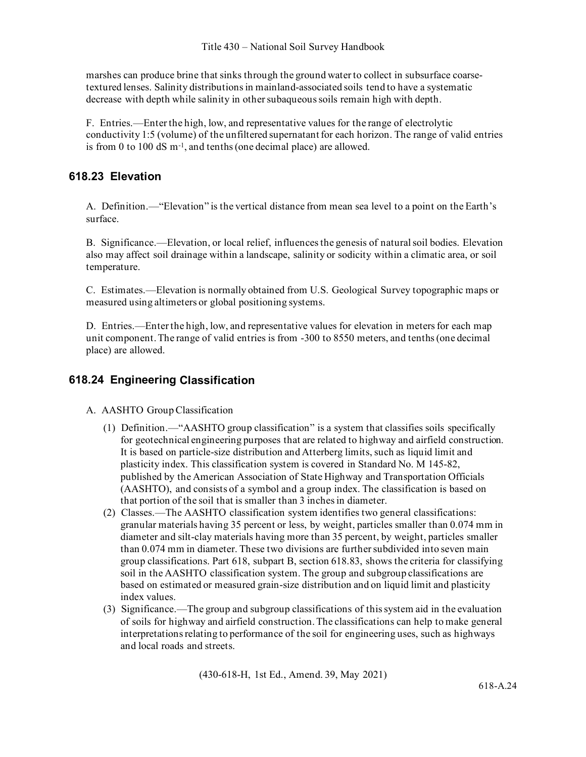marshes can produce brine that sinks through the ground water to collect in subsurface coarsetextured lenses. Salinity distributions in mainland-associated soils tend to have a systematic decrease with depth while salinity in other subaqueous soils remain high with depth.

F. Entries.—Enter the high, low, and representative values for the range of electrolytic conductivity 1:5 (volume) of the unfiltered supernatant for each horizon. The range of valid entries is from 0 to 100 dS m-1, and tenths (one decimal place) are allowed.

### **618.23 Elevation**

A. Definition.—"Elevation" is the vertical distance from mean sea level to a point on the Earth's surface.

B. Significance.—Elevation, or local relief, influences the genesis of natural soil bodies. Elevation also may affect soil drainage within a landscape, salinity or sodicity within a climatic area, or soil temperature.

C. Estimates.—Elevation is normally obtained from U.S. Geological Survey topographic maps or measured using altimeters or global positioning systems.

D. Entries.—Enter the high, low, and representative values for elevation in meters for each map unit component. The range of valid entries is from -300 to 8550 meters, and tenths (one decimal place) are allowed.

## **618.24 Engineering Classification**

- A. AASHTO Group Classification
	- (1) Definition.—"AASHTO group classification" is a system that classifies soils specifically for geotechnical engineering purposes that are related to highway and airfield construction. It is based on particle-size distribution and Atterberg limits, such as liquid limit and plasticity index. This classification system is covered in Standard No. M 145-82, published by the American Association of State Highway and Transportation Officials (AASHTO), and consists of a symbol and a group index. The classification is based on that portion of the soil that is smaller than 3 inches in diameter.
	- (2) Classes.—The AASHTO classification system identifies two general classifications: granular materials having 35 percent or less, by weight, particles smaller than 0.074 mm in diameter and silt-clay materials having more than 35 percent, by weight, particles smaller than 0.074 mm in diameter. These two divisions are further subdivided into seven main group classifications. Part 618, subpart B, section 618.83, shows the criteria for classifying soil in the AASHTO classification system. The group and subgroup classifications are based on estimated or measured grain-size distribution and on liquid limit and plasticity index values.
	- (3) Significance.—The group and subgroup classifications of this system aid in the evaluation of soils for highway and airfield construction. The classifications can help to make general interpretations relating to performance of the soil for engineering uses, such as highways and local roads and streets.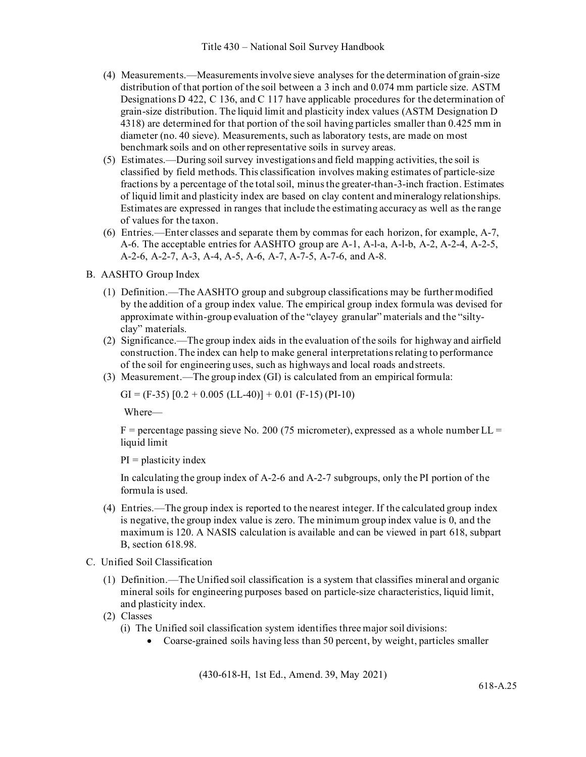- (4) Measurements.—Measurements involve sieve analyses for the determination of grain-size distribution of that portion of the soil between a 3 inch and 0.074 mm particle size. ASTM Designations D 422, C 136, and C 117 have applicable procedures for the determination of grain-size distribution. The liquid limit and plasticity index values (ASTM Designation D 4318) are determined for that portion of the soil having particles smaller than 0.425 mm in diameter (no. 40 sieve). Measurements, such as laboratory tests, are made on most benchmark soils and on other representative soils in survey areas.
- (5) Estimates.—During soil survey investigations and field mapping activities, the soil is classified by field methods. This classification involves making estimates of particle-size fractions by a percentage of the total soil, minus the greater-than-3-inch fraction. Estimates of liquid limit and plasticity index are based on clay content and mineralogy relationships. Estimates are expressed in ranges that include the estimating accuracy as well as the range of values for the taxon.
- (6) Entries.—Enter classes and separate them by commas for each horizon, for example, A-7, A-6. The acceptable entries for AASHTO group are A-1, A-l-a, A-l-b, A-2, A-2-4, A-2-5, A-2-6, A-2-7, A-3, A-4, A-5, A-6, A-7, A-7-5, A-7-6, and A-8.
- B. AASHTO Group Index
	- (1) Definition.—The AASHTO group and subgroup classifications may be further modified by the addition of a group index value. The empirical group index formula was devised for approximate within-group evaluation of the "clayey granular" materials and the "siltyclay" materials.
	- (2) Significance.—The group index aids in the evaluation of the soils for highway and airfield construction. The index can help to make general interpretations relating to performance of the soil for engineering uses, such as highways and local roads andstreets.
	- (3) Measurement.—The group index (GI) is calculated from an empirical formula:

GI = (F-35)  $[0.2 + 0.005$  (LL-40)] + 0.01 (F-15) (PI-10)

Where—

 $F =$  percentage passing sieve No. 200 (75 micrometer), expressed as a whole number LL = liquid limit

 $PI = plasticity index$ 

In calculating the group index of A-2-6 and A-2-7 subgroups, only the PI portion of the formula is used.

- (4) Entries.—The group index is reported to the nearest integer. If the calculated group index is negative, the group index value is zero. The minimum group index value is 0, and the maximum is 120. A NASIS calculation is available and can be viewed in part 618, subpart B, section 618.98.
- C. Unified Soil Classification
	- (1) Definition.—The Unified soil classification is a system that classifies mineral and organic mineral soils for engineering purposes based on particle-size characteristics, liquid limit, and plasticity index.
	- (2) Classes
		- (i) The Unified soil classification system identifies three major soil divisions:
			- Coarse-grained soils having less than 50 percent, by weight, particles smaller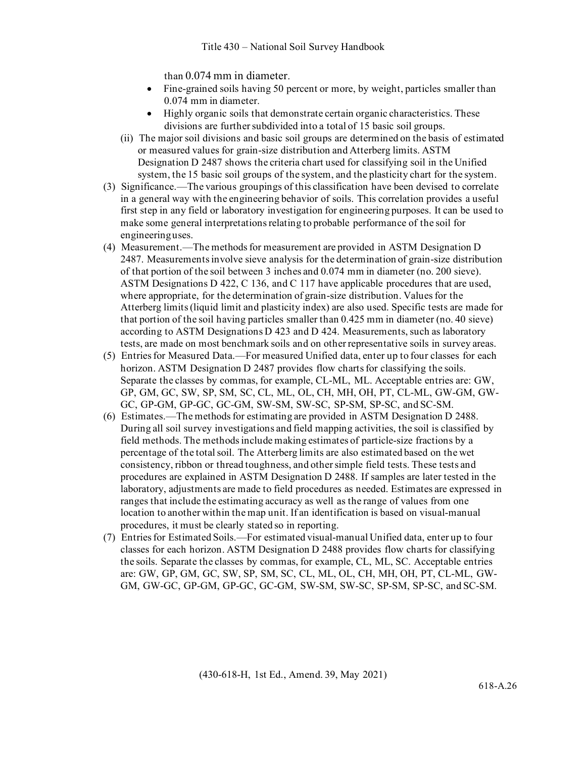than 0.074 mm in diameter.

- Fine-grained soils having 50 percent or more, by weight, particles smaller than 0.074 mm in diameter.
- Highly organic soils that demonstrate certain organic characteristics. These divisions are further subdivided into a total of 15 basic soil groups.
- (ii) The major soil divisions and basic soil groups are determined on the basis of estimated or measured values for grain-size distribution and Atterberg limits. ASTM Designation D 2487 shows the criteria chart used for classifying soil in the Unified system, the 15 basic soil groups of the system, and the plasticity chart for the system.
- (3) Significance.—The various groupings of this classification have been devised to correlate in a general way with the engineering behavior of soils. This correlation provides a useful first step in any field or laboratory investigation for engineering purposes. It can be used to make some general interpretations relating to probable performance of the soil for engineeringuses.
- (4) Measurement.—The methods for measurement are provided in ASTM Designation D 2487. Measurements involve sieve analysis for the determination of grain-size distribution of that portion of the soil between 3 inches and 0.074 mm in diameter (no. 200 sieve). ASTM Designations D 422, C 136, and C 117 have applicable procedures that are used, where appropriate, for the determination of grain-size distribution. Values for the Atterberg limits (liquid limit and plasticity index) are also used. Specific tests are made for that portion of the soil having particles smaller than 0.425 mm in diameter (no. 40 sieve) according to ASTM Designations D 423 and D 424. Measurements, such as laboratory tests, are made on most benchmark soils and on other representative soils in survey areas.
- (5) Entries for Measured Data.—For measured Unified data, enter up to four classes for each horizon. ASTM Designation D 2487 provides flow charts for classifying the soils. Separate the classes by commas, for example, CL-ML, ML. Acceptable entries are: GW, GP, GM, GC, SW, SP, SM, SC, CL, ML, OL, CH, MH, OH, PT, CL-ML, GW-GM, GW-GC, GP-GM, GP-GC, GC-GM, SW-SM, SW-SC, SP-SM, SP-SC, and SC-SM.
- (6) Estimates.—The methods for estimating are provided in ASTM Designation D 2488. During all soil survey investigations and field mapping activities, the soil is classified by field methods. The methods include making estimates of particle-size fractions by a percentage of the total soil. The Atterberg limits are also estimated based on the wet consistency, ribbon or thread toughness, and other simple field tests. These tests and procedures are explained in ASTM Designation D 2488. If samples are later tested in the laboratory, adjustments are made to field procedures as needed. Estimates are expressed in ranges that include the estimating accuracy as well as the range of values from one location to another within the map unit. If an identification is based on visual-manual procedures, it must be clearly stated so in reporting.
- (7) Entries for Estimated Soils.—For estimated visual-manual Unified data, enter up to four classes for each horizon. ASTM Designation D 2488 provides flow charts for classifying the soils. Separate the classes by commas, for example, CL, ML, SC. Acceptable entries are: GW, GP, GM, GC, SW, SP, SM, SC, CL, ML, OL, CH, MH, OH, PT, CL-ML, GW-GM, GW-GC, GP-GM, GP-GC, GC-GM, SW-SM, SW-SC, SP-SM, SP-SC, and SC-SM.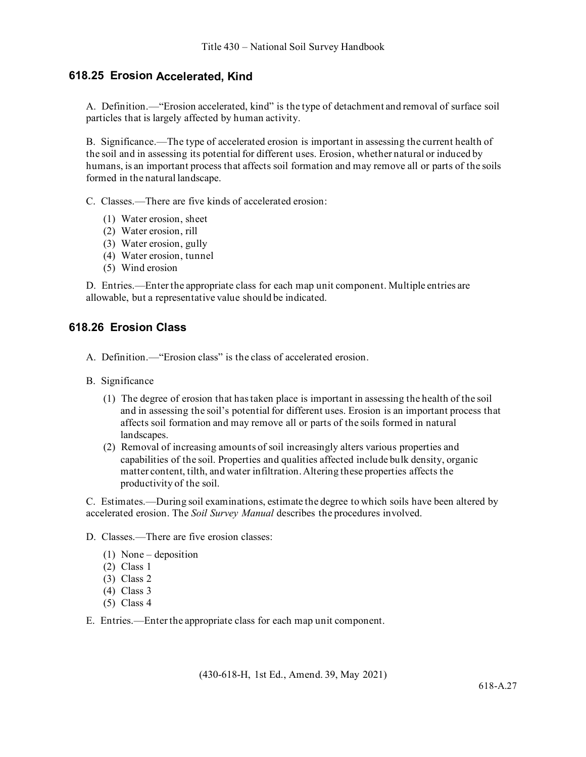#### **618.25 Erosion Accelerated, Kind**

A. Definition.—"Erosion accelerated, kind" is the type of detachment and removal of surface soil particles that is largely affected by human activity.

B. Significance.—The type of accelerated erosion is important in assessing the current health of the soil and in assessing its potential for different uses. Erosion, whether natural or induced by humans, is an important process that affects soil formation and may remove all or parts of the soils formed in the natural landscape.

C. Classes.—There are five kinds of accelerated erosion:

- (1) Water erosion, sheet
- (2) Water erosion, rill
- (3) Water erosion, gully
- (4) Water erosion, tunnel
- (5) Wind erosion

D. Entries.—Enter the appropriate class for each map unit component. Multiple entries are allowable, but a representative value should be indicated.

#### **618.26 Erosion Class**

- A. Definition.—"Erosion class" is the class of accelerated erosion.
- B. Significance
	- (1) The degree of erosion that has taken place is important in assessing the health of the soil and in assessing the soil's potential for different uses. Erosion is an important process that affects soil formation and may remove all or parts of the soils formed in natural landscapes.
	- (2) Removal of increasing amounts of soil increasingly alters various properties and capabilities of the soil. Properties and qualities affected include bulk density, organic matter content, tilth, and water infiltration. Altering these properties affects the productivity of the soil.

C. Estimates.—During soil examinations, estimate the degree to which soils have been altered by accelerated erosion. The *Soil Survey Manual* describes the procedures involved.

D. Classes.—There are five erosion classes:

- (1) None deposition
- (2) Class 1
- (3) Class 2
- (4) Class 3
- (5) Class 4

E. Entries.—Enter the appropriate class for each map unit component.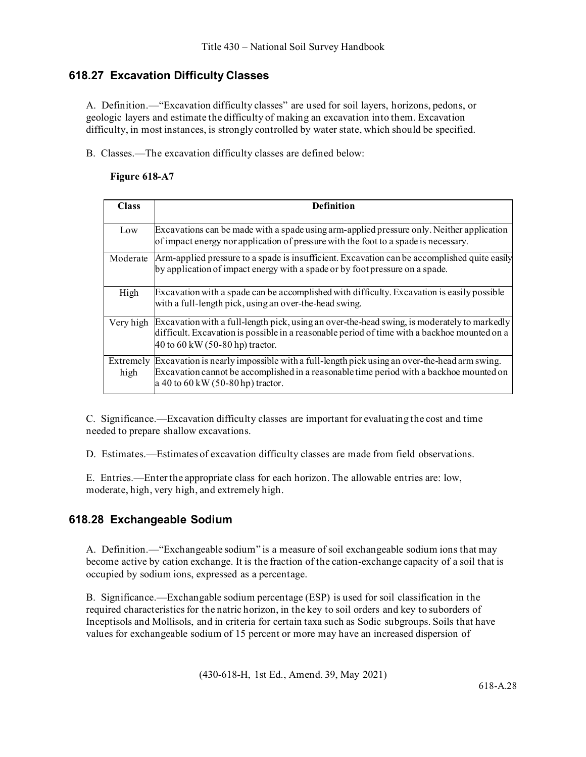## **618.27 Excavation Difficulty Classes**

A. Definition.—"Excavation difficulty classes" are used for soil layers, horizons, pedons, or geologic layers and estimate the difficulty of making an excavation into them. Excavation difficulty, in most instances, is strongly controlled by water state, which should be specified.

B. Classes.—The excavation difficulty classes are defined below:

#### **Figure 618-A7**

| <b>Class</b>      | <b>Definition</b>                                                                                                                                                                                                                        |
|-------------------|------------------------------------------------------------------------------------------------------------------------------------------------------------------------------------------------------------------------------------------|
| Low               | Excavations can be made with a spade using arm-applied pressure only. Neither application<br>of impact energy nor application of pressure with the foot to a spade is necessary.                                                         |
| Moderate          | Arm-applied pressure to a spade is insufficient. Excavation can be accomplished quite easily<br>by application of impact energy with a spade or by foot pressure on a spade.                                                             |
| High              | Excavation with a spade can be accomplished with difficulty. Excavation is easily possible<br>with a full-length pick, using an over-the-head swing.                                                                                     |
|                   | Very high Excavation with a full-length pick, using an over-the-head swing, is moderately to markedly<br>difficult. Excavation is possible in a reasonable period of time with a backhoe mounted on a<br>40 to 60 kW (50-80 hp) tractor. |
| Extremely<br>high | Excavation is nearly impossible with a full-length pick using an over-the-head arm swing.<br>Excavation cannot be accomplished in a reasonable time period with a backhoe mounted on<br>a 40 to $60 \,\mathrm{kW}$ (50-80 hp) tractor.   |

C. Significance.—Excavation difficulty classes are important for evaluating the cost and time needed to prepare shallow excavations.

D. Estimates.—Estimates of excavation difficulty classes are made from field observations.

E. Entries.—Enter the appropriate class for each horizon. The allowable entries are: low, moderate, high, very high, and extremely high.

### **618.28 Exchangeable Sodium**

A. Definition.—"Exchangeable sodium" is a measure of soil exchangeable sodium ions that may become active by cation exchange. It is the fraction of the cation-exchange capacity of a soil that is occupied by sodium ions, expressed as a percentage.

B. Significance.—Exchangable sodium percentage (ESP) is used for soil classification in the required characteristics for the natric horizon, in the key to soil orders and key to suborders of Inceptisols and Mollisols, and in criteria for certain taxa such as Sodic subgroups. Soils that have values for exchangeable sodium of 15 percent or more may have an increased dispersion of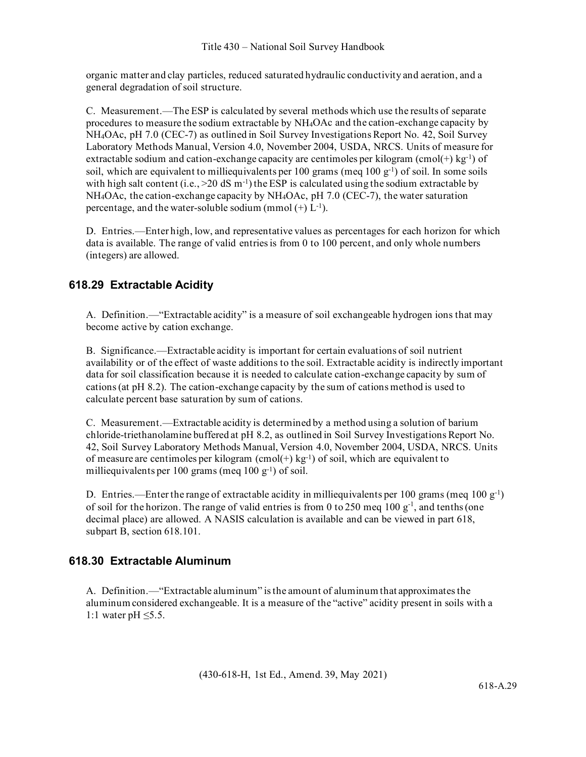organic matter and clay particles, reduced saturated hydraulic conductivity and aeration, and a general degradation of soil structure.

C. Measurement.—The ESP is calculated by several methods which use the results of separate procedures to measure the sodium extractable by NH4OAc and the cation-exchange capacity by NH4OAc, pH 7.0 (CEC-7) as outlined in Soil Survey Investigations Report No. 42, Soil Survey Laboratory Methods Manual, Version 4.0, November 2004, USDA, NRCS. Units of measure for extractable sodium and cation-exchange capacity are centimoles per kilogram (cmol(+) kg<sup>-1</sup>) of soil, which are equivalent to milliequivalents per 100 grams (meq  $100 \text{ g}^{-1}$ ) of soil. In some soils with high salt content (i.e.,  $>20$  dS m<sup>-1</sup>) the ESP is calculated using the sodium extractable by NH4OAc, the cation-exchange capacity by NH4OAc, pH 7.0 (CEC-7), the water saturation percentage, and the water-soluble sodium (mmol  $(+)$  L<sup>-1</sup>).

D. Entries.—Enter high, low, and representative values as percentages for each horizon for which data is available. The range of valid entries is from 0 to 100 percent, and only whole numbers (integers) are allowed.

## **618.29 Extractable Acidity**

A. Definition.—"Extractable acidity" is a measure of soil exchangeable hydrogen ions that may become active by cation exchange.

B. Significance.—Extractable acidity is important for certain evaluations of soil nutrient availability or of the effect of waste additions to the soil. Extractable acidity is indirectly important data for soil classification because it is needed to calculate cation-exchange capacity by sum of cations (at pH 8.2). The cation-exchange capacity by the sum of cations method is used to calculate percent base saturation by sum of cations.

C. Measurement.—Extractable acidity is determined by a method using a solution of barium chloride-triethanolamine buffered at pH 8.2, as outlined in Soil Survey Investigations Report No. 42, Soil Survey Laboratory Methods Manual, Version 4.0, November 2004, USDA, NRCS. Units of measure are centimoles per kilogram  $(cmol(+) kg<sup>-1</sup>)$  of soil, which are equivalent to milliequivalents per 100 grams (meq  $100 \text{ g}^{-1}$ ) of soil.

D. Entries.—Enter the range of extractable acidity in milliequivalents per 100 grams (meq 100  $g^{-1}$ ) of soil for the horizon. The range of valid entries is from 0 to 250 meq 100  $g^{-1}$ , and tenths (one decimal place) are allowed. A NASIS calculation is available and can be viewed in part 618, subpart B, section 618.101.

### **618.30 Extractable Aluminum**

A. Definition.—"Extractable aluminum" is the amount of aluminum that approximates the aluminum considered exchangeable. It is a measure of the "active" acidity present in soils with a 1:1 water pH ≤5.5.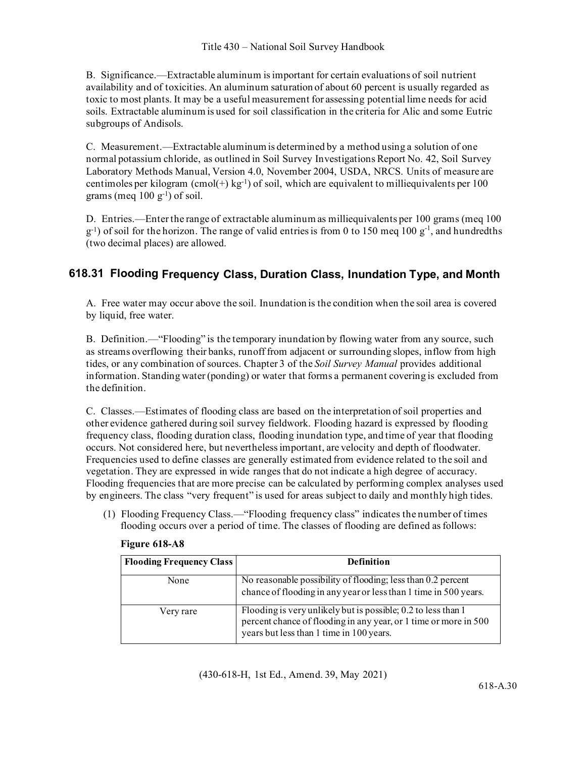B. Significance.—Extractable aluminum is important for certain evaluations of soil nutrient availability and of toxicities. An aluminum saturation of about 60 percent is usually regarded as toxic to most plants. It may be a useful measurement for assessing potential lime needs for acid soils. Extractable aluminum is used for soil classification in the criteria for Alic and some Eutric subgroups of Andisols.

C. Measurement.—Extractable aluminum is determined by a method using a solution of one normal potassium chloride, as outlined in Soil Survey Investigations Report No. 42, Soil Survey Laboratory Methods Manual, Version 4.0, November 2004, USDA, NRCS. Units of measure are centimoles per kilogram (cmol(+) kg<sup>-1</sup>) of soil, which are equivalent to milliequivalents per 100 grams (meq  $100 \text{ g}^{-1}$ ) of soil.

D. Entries.—Enter the range of extractable aluminum as milliequivalents per 100 grams (meq 100  $g^{-1}$ ) of soil for the horizon. The range of valid entries is from 0 to 150 meq 100  $g^{-1}$ , and hundredths (two decimal places) are allowed.

## **618.31 Flooding Frequency Class, Duration Class, Inundation Type, and Month**

A. Free water may occur above the soil. Inundation is the condition when the soil area is covered by liquid, free water.

B. Definition.—"Flooding" is the temporary inundation by flowing water from any source, such as streams overflowing their banks, runoff from adjacent or surrounding slopes, inflow from high tides, or any combination of sources. Chapter 3 of the *Soil Survey Manual* provides additional information. Standing water (ponding) or water that forms a permanent covering is excluded from the definition.

C. Classes.—Estimates of flooding class are based on the interpretation of soil properties and other evidence gathered during soil survey fieldwork. Flooding hazard is expressed by flooding frequency class, flooding duration class, flooding inundation type, and time of year that flooding occurs. Not considered here, but nevertheless important, are velocity and depth of floodwater. Frequencies used to define classes are generally estimated from evidence related to the soil and vegetation. They are expressed in wide ranges that do not indicate a high degree of accuracy. Flooding frequencies that are more precise can be calculated by performing complex analyses used by engineers. The class "very frequent" is used for areas subject to daily and monthly high tides.

(1) Flooding Frequency Class.—"Flooding frequency class" indicates the number of times flooding occurs over a period of time. The classes of flooding are defined as follows:

| <b>Flooding Frequency Class</b> | <b>Definition</b>                                                                                                                                                             |
|---------------------------------|-------------------------------------------------------------------------------------------------------------------------------------------------------------------------------|
| None                            | No reasonable possibility of flooding; less than 0.2 percent<br>chance of flooding in any year or less than 1 time in 500 years.                                              |
| Very rare                       | Flooding is very unlikely but is possible; 0.2 to less than 1<br>percent chance of flooding in any year, or 1 time or more in 500<br>years but less than 1 time in 100 years. |

#### **Figure 618-A8**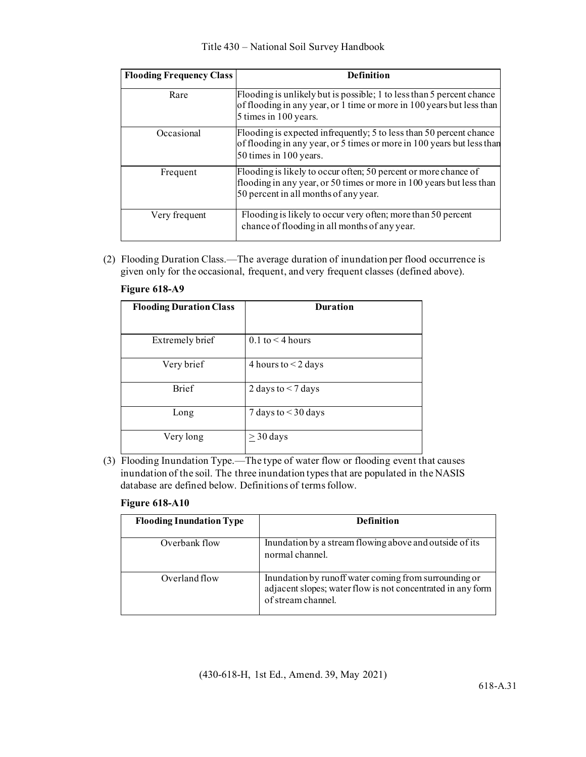| <b>Flooding Frequency Class</b> | <b>Definition</b>                                                                                                                                                                |
|---------------------------------|----------------------------------------------------------------------------------------------------------------------------------------------------------------------------------|
| Rare                            | Flooding is unlikely but is possible; 1 to less than 5 percent chance<br>of flooding in any year, or 1 time or more in 100 years but less than<br>5 times in 100 years.          |
| Occasional                      | Flooding is expected infrequently; 5 to less than 50 percent chance<br>of flooding in any year, or 5 times or more in 100 years but less than<br>50 times in 100 years.          |
| Frequent                        | Flooding is likely to occur often; 50 percent or more chance of<br>flooding in any year, or 50 times or more in 100 years but less than<br>50 percent in all months of any year. |
| Very frequent                   | Flooding is likely to occur very often; more than 50 percent<br>chance of flooding in all months of any year.                                                                    |

(2) Flooding Duration Class.—The average duration of inundation per flood occurrence is given only for the occasional, frequent, and very frequent classes (defined above).

| <b>Flooding Duration Class</b> | <b>Duration</b>         |
|--------------------------------|-------------------------|
| Extremely brief                | $0.1$ to $\leq 4$ hours |
| Very brief                     | 4 hours to $<$ 2 days   |
| <b>Brief</b>                   | 2 days to $<$ 7 days    |
| Long                           | 7 days to $<$ 30 days   |
| Very long                      | $\geq$ 30 days          |

#### **Figure 618-A9**

(3) Flooding Inundation Type.—The type of water flow or flooding event that causes inundation of the soil. The three inundation types that are populated in the NASIS database are defined below. Definitions of terms follow.

#### **Figure 618-A10**

| <b>Flooding Inundation Type</b> | <b>Definition</b>                                                                                                                          |
|---------------------------------|--------------------------------------------------------------------------------------------------------------------------------------------|
| Overbank flow                   | Inundation by a stream flowing above and outside of its<br>normal channel.                                                                 |
| Overland flow                   | Inundation by runoff water coming from surrounding or<br>adjacent slopes; water flow is not concentrated in any form<br>of stream channel. |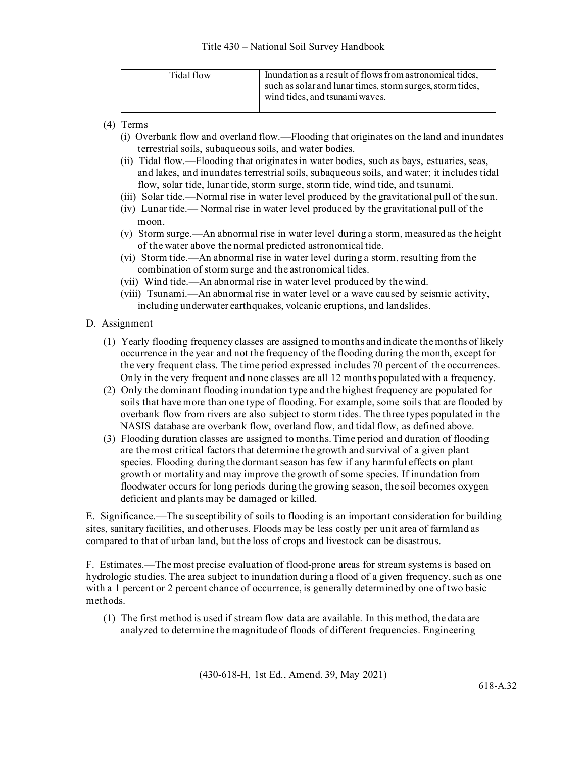| Tidal flow | Inundation as a result of flows from astronomical tides,<br>such as solar and lunar times, storm surges, storm tides,<br>wind tides, and tsunami waves. |
|------------|---------------------------------------------------------------------------------------------------------------------------------------------------------|
|            |                                                                                                                                                         |

- (4) Terms
	- (i) Overbank flow and overland flow.—Flooding that originates on the land and inundates terrestrial soils, subaqueous soils, and water bodies.
	- (ii) Tidal flow.—Flooding that originates in water bodies, such as bays, estuaries, seas, and lakes, and inundates terrestrial soils, subaqueous soils, and water; it includes tidal flow, solar tide, lunar tide, storm surge, storm tide, wind tide, and tsunami.
	- (iii) Solar tide.—Normal rise in water level produced by the gravitational pull of the sun.
	- (iv) Lunar tide.— Normal rise in water level produced by the gravitational pull of the moon.
	- (v) Storm surge.—An abnormal rise in water level during a storm, measured as the height of the water above the normal predicted astronomical tide.
	- (vi) Storm tide.—An abnormal rise in water level during a storm, resulting from the combination of storm surge and the astronomical tides.
	- (vii) Wind tide.—An abnormal rise in water level produced by the wind.
	- (viii) Tsunami.—An abnormal rise in water level or a wave caused by seismic activity, including underwater earthquakes, volcanic eruptions, and landslides.

#### D. Assignment

- (1) Yearly flooding frequency classes are assigned to months and indicate the months of likely occurrence in the year and not the frequency of the flooding during the month, except for the very frequent class. The time period expressed includes 70 percent of the occurrences. Only in the very frequent and none classes are all 12 months populated with a frequency.
- (2) Only the dominant flooding inundation type and the highest frequency are populated for soils that have more than one type of flooding. For example, some soils that are flooded by overbank flow from rivers are also subject to storm tides. The three types populated in the NASIS database are overbank flow, overland flow, and tidal flow, as defined above.
- (3) Flooding duration classes are assigned to months. Time period and duration of flooding are the most critical factors that determine the growth and survival of a given plant species. Flooding during the dormant season has few if any harmful effects on plant growth or mortality and may improve the growth of some species. If inundation from floodwater occurs for long periods during the growing season, the soil becomes oxygen deficient and plants may be damaged or killed.

E. Significance.—The susceptibility of soils to flooding is an important consideration for building sites, sanitary facilities, and other uses. Floods may be less costly per unit area of farmland as compared to that of urban land, but the loss of crops and livestock can be disastrous.

F. Estimates.—The most precise evaluation of flood-prone areas for stream systems is based on hydrologic studies. The area subject to inundation during a flood of a given frequency, such as one with a 1 percent or 2 percent chance of occurrence, is generally determined by one of two basic methods.

(1) The first method is used if stream flow data are available. In this method, the data are analyzed to determine the magnitude of floods of different frequencies. Engineering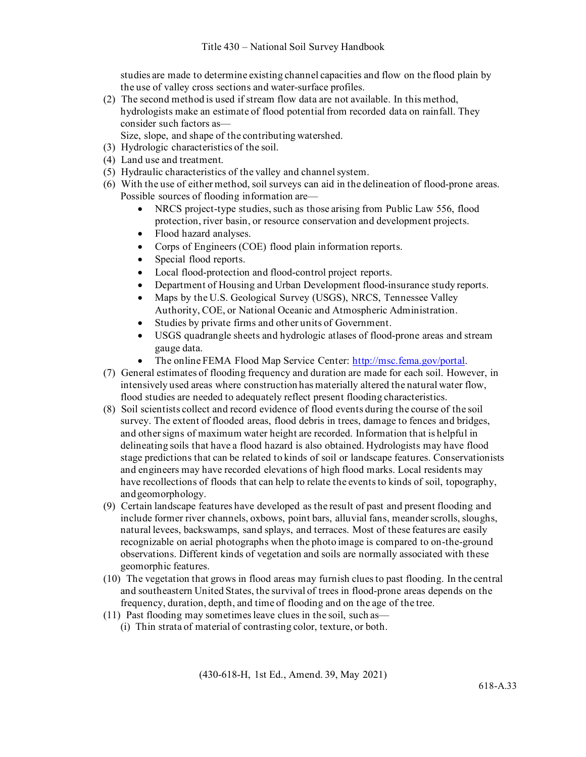studies are made to determine existing channel capacities and flow on the flood plain by the use of valley cross sections and water-surface profiles.

(2) The second method is used if stream flow data are not available. In this method, hydrologists make an estimate of flood potential from recorded data on rainfall. They consider such factors as—

Size, slope, and shape of the contributing watershed.

- (3) Hydrologic characteristics of the soil.
- (4) Land use and treatment.
- (5) Hydraulic characteristics of the valley and channelsystem.
- (6) With the use of either method, soil surveys can aid in the delineation of flood-prone areas. Possible sources of flooding information are—
	- NRCS project-type studies, such as those arising from Public Law 556, flood protection, river basin, or resource conservation and development projects.
	- Flood hazard analyses.
	- Corps of Engineers (COE) flood plain information reports.
	- Special flood reports.
	- Local flood-protection and flood-control project reports.
	- Department of Housing and Urban Development flood-insurance study reports.
	- Maps by the U.S. Geological Survey (USGS), NRCS, Tennessee Valley Authority, COE, or National Oceanic and Atmospheric Administration.
	- Studies by private firms and other units of Government.
	- USGS quadrangle sheets and hydrologic atlases of flood-prone areas and stream gauge data.
	- The online FEMA Flood Map Service Center: [http://msc.fema.gov/portal.](http://msc.fema.gov/portal)
- (7) General estimates of flooding frequency and duration are made for each soil. However, in intensively used areas where construction has materially altered the natural water flow, flood studies are needed to adequately reflect present flooding characteristics.
- (8) Soil scientists collect and record evidence of flood events during the course of the soil survey. The extent of flooded areas, flood debris in trees, damage to fences and bridges, and other signs of maximum water height are recorded. Information that is helpful in delineating soils that have a flood hazard is also obtained. Hydrologists may have flood stage predictions that can be related to kinds of soil or landscape features. Conservationists and engineers may have recorded elevations of high flood marks. Local residents may have recollections of floods that can help to relate the events to kinds of soil, topography, andgeomorphology.
- (9) Certain landscape features have developed as the result of past and present flooding and include former river channels, oxbows, point bars, alluvial fans, meander scrolls, sloughs, natural levees, backswamps, sand splays, and terraces. Most of these features are easily recognizable on aerial photographs when the photo image is compared to on-the-ground observations. Different kinds of vegetation and soils are normally associated with these geomorphic features.
- (10) The vegetation that grows in flood areas may furnish clues to past flooding. In the central and southeastern United States, the survival of trees in flood-prone areas depends on the frequency, duration, depth, and time of flooding and on the age of the tree.
- (11) Past flooding may sometimes leave clues in the soil, such as—
	- (i) Thin strata of material of contrasting color, texture, or both.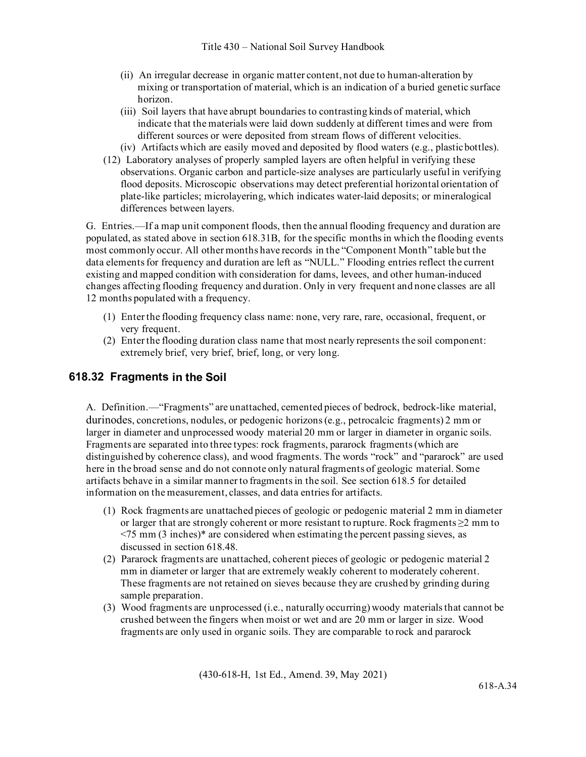- (ii) An irregular decrease in organic matter content, not due to human-alteration by mixing or transportation of material, which is an indication of a buried genetic surface horizon.
- (iii) Soil layers that have abrupt boundaries to contrasting kinds of material, which indicate that the materials were laid down suddenly at different times and were from different sources or were deposited from stream flows of different velocities.
- (iv) Artifacts which are easily moved and deposited by flood waters (e.g., plasticbottles).
- (12) Laboratory analyses of properly sampled layers are often helpful in verifying these observations. Organic carbon and particle-size analyses are particularly useful in verifying flood deposits. Microscopic observations may detect preferential horizontal orientation of plate-like particles; microlayering, which indicates water-laid deposits; or mineralogical differences between layers.

G. Entries.—If a map unit component floods, then the annual flooding frequency and duration are populated, as stated above in section 618.31B, for the specific months in which the flooding events most commonly occur. All other months have records in the "Component Month" table but the data elements for frequency and duration are left as "NULL." Flooding entries reflect the current existing and mapped condition with consideration for dams, levees, and other human-induced changes affecting flooding frequency and duration. Only in very frequent and none classes are all 12 months populated with a frequency.

- (1) Enter the flooding frequency class name: none, very rare, rare, occasional, frequent, or very frequent.
- (2) Enter the flooding duration class name that most nearly represents the soil component: extremely brief, very brief, brief, long, or very long.

## **618.32 Fragments in the Soil**

A. Definition.—"Fragments" are unattached, cemented pieces of bedrock, bedrock-like material, durinodes, concretions, nodules, or pedogenic horizons (e.g., petrocalcic fragments) 2 mm or larger in diameter and unprocessed woody material 20 mm or larger in diameter in organic soils. Fragments are separated into three types: rock fragments, pararock fragments (which are distinguished by coherence class), and wood fragments. The words "rock" and "pararock" are used here in the broad sense and do not connote only natural fragments of geologic material. Some artifacts behave in a similar manner to fragments in the soil. See section 618.5 for detailed information on the measurement, classes, and data entries for artifacts.

- (1) Rock fragments are unattached pieces of geologic or pedogenic material 2 mm in diameter or larger that are strongly coherent or more resistant to rupture. Rock fragments ≥2 mm to  $\leq$ 75 mm (3 inches)\* are considered when estimating the percent passing sieves, as discussed in section 618.48.
- (2) Pararock fragments are unattached, coherent pieces of geologic or pedogenic material 2 mm in diameter or larger that are extremely weakly coherent to moderately coherent. These fragments are not retained on sieves because they are crushed by grinding during sample preparation.
- (3) Wood fragments are unprocessed (i.e., naturally occurring) woody materials that cannot be crushed between the fingers when moist or wet and are 20 mm or larger in size. Wood fragments are only used in organic soils. They are comparable to rock and pararock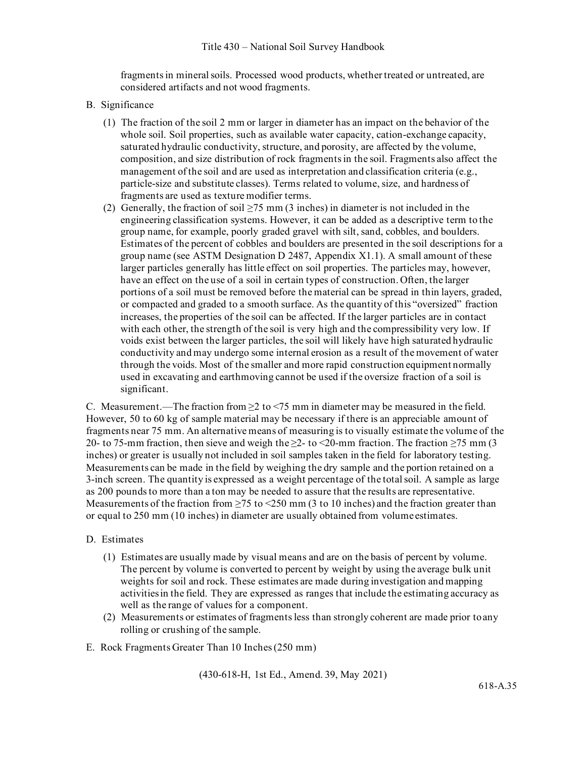fragments in mineral soils. Processed wood products, whether treated or untreated, are considered artifacts and not wood fragments.

- B. Significance
	- (1) The fraction of the soil 2 mm or larger in diameter has an impact on the behavior of the whole soil. Soil properties, such as available water capacity, cation-exchange capacity, saturated hydraulic conductivity, structure, and porosity, are affected by the volume, composition, and size distribution of rock fragments in the soil. Fragments also affect the management of the soil and are used as interpretation and classification criteria (e.g., particle-size and substitute classes). Terms related to volume, size, and hardness of fragments are used as texture modifier terms.
	- (2) Generally, the fraction of soil ≥75 mm (3 inches) in diameter is not included in the engineering classification systems. However, it can be added as a descriptive term to the group name, for example, poorly graded gravel with silt, sand, cobbles, and boulders. Estimates of the percent of cobbles and boulders are presented in the soil descriptions for a group name (see ASTM Designation D 2487, Appendix X1.1). A small amount of these larger particles generally has little effect on soil properties. The particles may, however, have an effect on the use of a soil in certain types of construction. Often, the larger portions of a soil must be removed before the material can be spread in thin layers, graded, or compacted and graded to a smooth surface. As the quantity of this "oversized" fraction increases, the properties of the soil can be affected. If the larger particles are in contact with each other, the strength of the soil is very high and the compressibility very low. If voids exist between the larger particles, the soil will likely have high saturated hydraulic conductivity and may undergo some internal erosion as a result of the movement of water through the voids. Most of the smaller and more rapid construction equipment normally used in excavating and earthmoving cannot be used if the oversize fraction of a soil is significant.

C. Measurement.—The fraction from  $\geq 2$  to <75 mm in diameter may be measured in the field. However, 50 to 60 kg of sample material may be necessary if there is an appreciable amount of fragments near 75 mm. An alternative means of measuring is to visually estimate the volume of the 20- to 75-mm fraction, then sieve and weigh the  $\geq 2$ - to  $\leq$  20-mm fraction. The fraction  $\geq$  75 mm (3) inches) or greater is usually not included in soil samples taken in the field for laboratory testing. Measurements can be made in the field by weighing the dry sample and the portion retained on a 3-inch screen. The quantity is expressed as a weight percentage of the total soil. A sample as large as 200 pounds to more than a ton may be needed to assure that the results are representative. Measurements of the fraction from  $\geq$ 75 to <250 mm (3 to 10 inches) and the fraction greater than or equal to 250 mm (10 inches) in diameter are usually obtained from volume estimates.

#### D. Estimates

- (1) Estimates are usually made by visual means and are on the basis of percent by volume. The percent by volume is converted to percent by weight by using the average bulk unit weights for soil and rock. These estimates are made during investigation and mapping activitiesin the field. They are expressed as ranges that include the estimating accuracy as well as the range of values for a component.
- (2) Measurements or estimates of fragments less than strongly coherent are made prior toany rolling or crushing of the sample.
- E. Rock Fragments Greater Than 10 Inches (250 mm)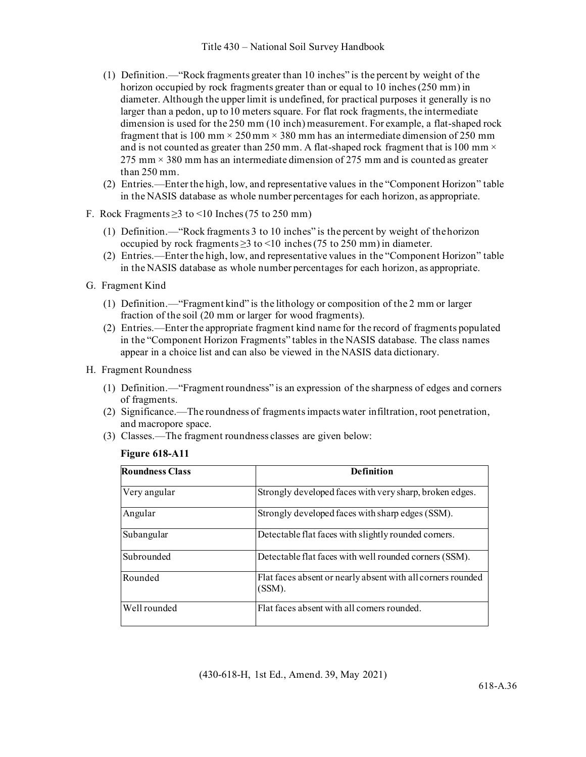- (1) Definition.—"Rock fragments greater than 10 inches" is the percent by weight of the horizon occupied by rock fragments greater than or equal to 10 inches (250 mm) in diameter. Although the upper limit is undefined, for practical purposes it generally is no larger than a pedon, up to10 meters square. For flat rock fragments, the intermediate dimension is used for the 250 mm (10 inch) measurement. For example, a flat-shaped rock fragment that is 100 mm  $\times$  250 mm  $\times$  380 mm has an intermediate dimension of 250 mm and is not counted as greater than 250 mm. A flat-shaped rock fragment that is 100 mm  $\times$  $275$  mm  $\times$  380 mm has an intermediate dimension of 275 mm and is counted as greater than 250 mm.
- (2) Entries.—Enter the high, low, and representative values in the "Component Horizon" table in the NASIS database as whole number percentages for each horizon, as appropriate.
- F. Rock Fragments  $\geq$ 3 to <10 Inches (75 to 250 mm)
	- (1) Definition.—"Rock fragments 3 to 10 inches" is the percent by weight of thehorizon occupied by rock fragments  $\geq$ 3 to <10 inches (75 to 250 mm) in diameter.
	- (2) Entries.—Enter the high, low, and representative values in the "Component Horizon" table in the NASIS database as whole number percentages for each horizon, as appropriate.
- G. Fragment Kind
	- (1) Definition.—"Fragment kind" is the lithology or composition of the 2 mm or larger fraction of the soil (20 mm or larger for wood fragments).
	- (2) Entries.—Enter the appropriate fragment kind name for the record of fragments populated in the "Component Horizon Fragments" tables in the NASIS database. The class names appear in a choice list and can also be viewed in the NASIS data dictionary.
- H. Fragment Roundness
	- (1) Definition.—"Fragment roundness" is an expression of the sharpness of edges and corners of fragments.
	- (2) Significance.—The roundness of fragments impacts water infiltration, root penetration, and macropore space.
	- (3) Classes.—The fragment roundness classes are given below:

#### **Figure 618-A11**

| <b>Roundness Class</b> | <b>Definition</b>                                                     |
|------------------------|-----------------------------------------------------------------------|
| Very angular           | Strongly developed faces with very sharp, broken edges.               |
| Angular                | Strongly developed faces with sharp edges (SSM).                      |
| Subangular             | Detectable flat faces with slightly rounded corners.                  |
| Subrounded             | Detectable flat faces with well rounded corners (SSM).                |
| Rounded                | Flat faces absent or nearly absent with all corners rounded<br>(SSM). |
| Well rounded           | Flat faces absent with all corners rounded.                           |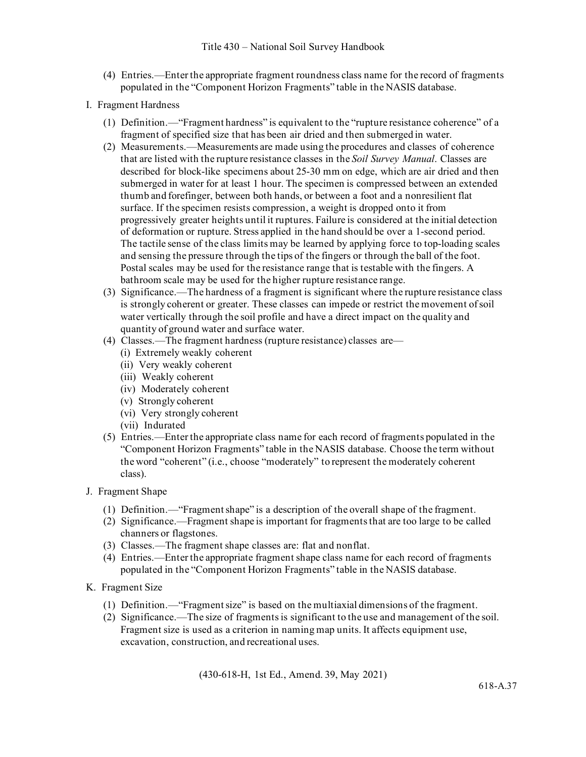- (4) Entries.—Enter the appropriate fragment roundness class name for the record of fragments populated in the "Component Horizon Fragments" table in the NASIS database.
- I. Fragment Hardness
	- (1) Definition.—"Fragment hardness" is equivalent to the "rupture resistance coherence" of a fragment of specified size that has been air dried and then submerged in water.
	- (2) Measurements.—Measurements are made using the procedures and classes of coherence that are listed with the rupture resistance classes in the *Soil Survey Manual*. Classes are described for block-like specimens about 25-30 mm on edge, which are air dried and then submerged in water for at least 1 hour. The specimen is compressed between an extended thumb and forefinger, between both hands, or between a foot and a nonresilient flat surface. If the specimen resists compression, a weight is dropped onto it from progressively greater heights until it ruptures. Failure is considered at the initial detection of deformation or rupture. Stress applied in the hand should be over a 1-second period. The tactile sense of the class limits may be learned by applying force to top-loading scales and sensing the pressure through the tips of the fingers or through the ball of the foot. Postal scales may be used for the resistance range that is testable with the fingers. A bathroom scale may be used for the higher rupture resistance range.
	- (3) Significance.—The hardness of a fragment is significant where the rupture resistance class is strongly coherent or greater. These classes can impede or restrict the movement of soil water vertically through the soil profile and have a direct impact on the quality and quantity of ground water and surface water.
	- (4) Classes.—The fragment hardness (rupture resistance) classes are—
		- (i) Extremely weakly coherent
		- (ii) Very weakly coherent
		- (iii) Weakly coherent
		- (iv) Moderately coherent
		- (v) Strongly coherent
		- (vi) Very strongly coherent
		- (vii) Indurated
	- (5) Entries.—Enter the appropriate class name for each record of fragments populated in the "Component Horizon Fragments" table in the NASIS database. Choose the term without the word "coherent" (i.e., choose "moderately" to represent the moderately coherent class).
- J. Fragment Shape
	- (1) Definition.—"Fragment shape" is a description of the overall shape of the fragment.
	- (2) Significance.—Fragment shape is important for fragments that are too large to be called channers or flagstones.
	- (3) Classes.—The fragment shape classes are: flat and nonflat.
	- (4) Entries.—Enter the appropriate fragment shape class name for each record of fragments populated in the "Component Horizon Fragments" table in the NASIS database.
- K. Fragment Size
	- (1) Definition.—"Fragment size" is based on the multiaxial dimensions of the fragment.
	- (2) Significance.—The size of fragments is significant to the use and management of the soil. Fragment size is used as a criterion in naming map units. It affects equipment use, excavation, construction, and recreational uses.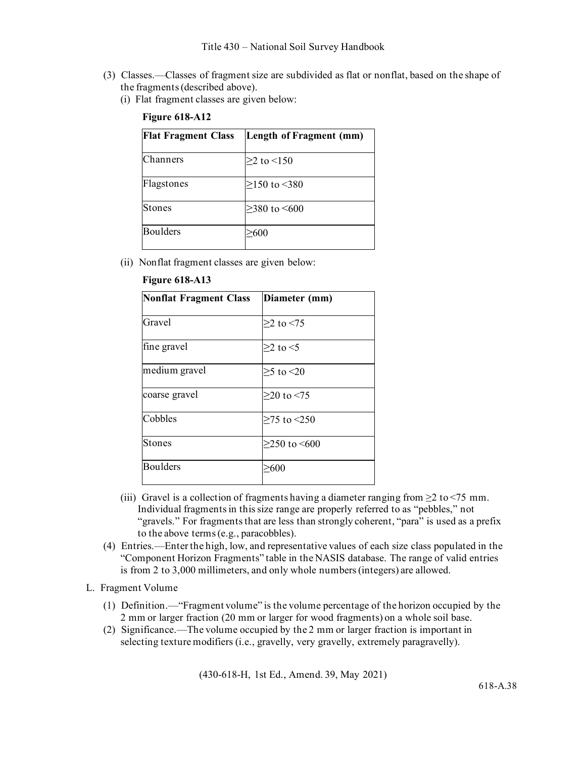- (3) Classes.—Classes of fragment size are subdivided as flat or nonflat, based on the shape of the fragments (described above).
	- (i) Flat fragment classes are given below:

| <b>Flat Fragment Class</b> | Length of Fragment (mm) |
|----------------------------|-------------------------|
| Channers                   | $>2$ to $<$ 150         |
| Flagstones                 | $≥150$ to <380          |
| Stones                     | $>380$ to $\leq 600$    |
| Boulders                   | >600                    |

#### **Figure 618-A12**

(ii) Nonflat fragment classes are given below:

| Diameter (mm)        |
|----------------------|
| $>2$ to $< 75$       |
| $>2$ to $<$ 5        |
| $\geq$ 5 to <20      |
| $≥$ 20 to <75        |
| $\geq$ 75 to <250    |
| $>250$ to $\leq 600$ |
| $\geq 600$           |
|                      |

#### **Figure 618-A13**

- (iii) Gravel is a collection of fragments having a diameter ranging from  $\geq 2$  to  $\leq 75$  mm. Individual fragments in this size range are properly referred to as "pebbles," not "gravels." For fragments that are less than strongly coherent, "para" is used as a prefix to the above terms (e.g., paracobbles).
- (4) Entries.—Enter the high, low, and representative values of each size class populated in the "Component Horizon Fragments" table in the NASIS database. The range of valid entries is from 2 to 3,000 millimeters, and only whole numbers (integers) are allowed.
- L. Fragment Volume
	- (1) Definition.—"Fragment volume" is the volume percentage of the horizon occupied by the 2 mm or larger fraction (20 mm or larger for wood fragments) on a whole soil base.
	- (2) Significance.—The volume occupied by the 2 mm or larger fraction is important in selecting texture modifiers (i.e., gravelly, very gravelly, extremely paragravelly).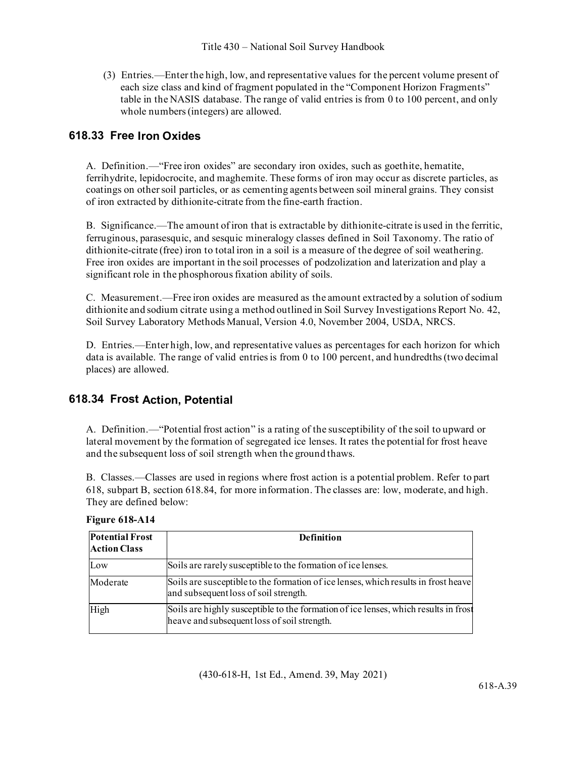(3) Entries.—Enter the high, low, and representative values for the percent volume present of each size class and kind of fragment populated in the "Component Horizon Fragments" table in the NASIS database. The range of valid entries is from 0 to 100 percent, and only whole numbers (integers) are allowed.

# **618.33 Free Iron Oxides**

A. Definition.—"Free iron oxides" are secondary iron oxides, such as goethite, hematite, ferrihydrite, lepidocrocite, and maghemite. These forms of iron may occur as discrete particles, as coatings on other soil particles, or as cementing agents between soil mineral grains. They consist of iron extracted by dithionite-citrate from the fine-earth fraction.

B. Significance.—The amount of iron that is extractable by dithionite-citrate is used in the ferritic, ferruginous, parasesquic, and sesquic mineralogy classes defined in Soil Taxonomy. The ratio of dithionite-citrate (free) iron to total iron in a soil is a measure of the degree of soil weathering. Free iron oxides are important in the soil processes of podzolization and laterization and play a significant role in the phosphorous fixation ability of soils.

C. Measurement.—Free iron oxides are measured as the amount extracted by a solution of sodium dithionite and sodium citrate using a method outlined in Soil Survey Investigations Report No. 42, Soil Survey Laboratory Methods Manual, Version 4.0, November 2004, USDA, NRCS.

D. Entries.—Enter high, low, and representative values as percentages for each horizon for which data is available. The range of valid entries is from 0 to 100 percent, and hundredths (two decimal places) are allowed.

# **618.34 Frost Action, Potential**

A. Definition.—"Potential frost action" is a rating of the susceptibility of the soil to upward or lateral movement by the formation of segregated ice lenses. It rates the potential for frost heave and the subsequent loss of soil strength when the ground thaws.

B. Classes.—Classes are used in regions where frost action is a potential problem. Refer to part 618, subpart B, section 618.84, for more information. The classes are: low, moderate, and high. They are defined below:

| <b>Potential Frost</b><br><b>Action Class</b> | <b>Definition</b>                                                                                                                  |
|-----------------------------------------------|------------------------------------------------------------------------------------------------------------------------------------|
| Low                                           | Soils are rarely susceptible to the formation of ice lenses.                                                                       |
| Moderate                                      | Soils are susceptible to the formation of ice lenses, which results in frost heave<br>and subsequent loss of soil strength.        |
| High                                          | Soils are highly susceptible to the formation of ice lenses, which results in frost<br>heave and subsequent loss of soil strength. |

**Figure 618-A14**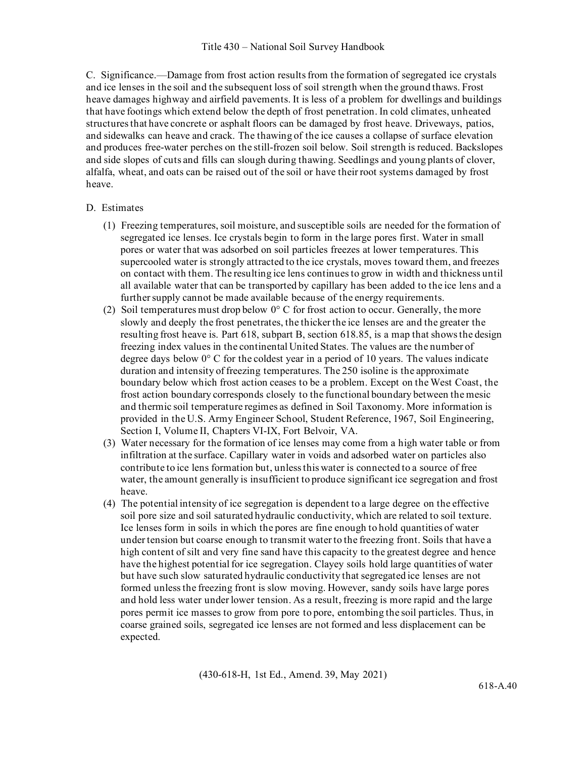C. Significance.—Damage from frost action results from the formation of segregated ice crystals and ice lenses in the soil and the subsequent loss of soil strength when the ground thaws. Frost heave damages highway and airfield pavements. It is less of a problem for dwellings and buildings that have footings which extend below the depth of frost penetration. In cold climates, unheated structures that have concrete or asphalt floors can be damaged by frost heave. Driveways, patios, and sidewalks can heave and crack. The thawing of the ice causes a collapse of surface elevation and produces free-water perches on the still-frozen soil below. Soil strength is reduced. Backslopes and side slopes of cuts and fills can slough during thawing. Seedlings and young plants of clover, alfalfa, wheat, and oats can be raised out of the soil or have their root systems damaged by frost heave.

#### D. Estimates

- (1) Freezing temperatures, soil moisture, and susceptible soils are needed for the formation of segregated ice lenses. Ice crystals begin to form in the large pores first. Water in small pores or water that was adsorbed on soil particles freezes at lower temperatures. This supercooled water is strongly attracted to the ice crystals, moves toward them, and freezes on contact with them. The resulting ice lens continues to grow in width and thickness until all available water that can be transported by capillary has been added to the ice lens and a further supply cannot be made available because of the energy requirements.
- (2) Soil temperatures must drop below  $0^{\circ}$  C for frost action to occur. Generally, the more slowly and deeply the frost penetrates, the thicker the ice lenses are and the greater the resulting frost heave is. Part 618, subpart B, section 618.85, is a map that shows the design freezing index values in the continental United States. The values are the number of degree days below  $0^{\circ}$  C for the coldest year in a period of 10 years. The values indicate duration and intensity of freezing temperatures. The 250 isoline is the approximate boundary below which frost action ceases to be a problem. Except on the West Coast, the frost action boundary corresponds closely to the functional boundary between the mesic and thermic soil temperature regimes as defined in Soil Taxonomy. More information is provided in the U.S. Army Engineer School, Student Reference, 1967, Soil Engineering, Section I, Volume II, Chapters VI-IX, Fort Belvoir, VA.
- (3) Water necessary for the formation of ice lenses may come from a high water table or from infiltration at the surface. Capillary water in voids and adsorbed water on particles also contribute to ice lens formation but, unless this water is connected to a source of free water, the amount generally is insufficient to produce significant ice segregation and frost heave.
- (4) The potential intensity of ice segregation is dependent to a large degree on the effective soil pore size and soil saturated hydraulic conductivity, which are related to soil texture. Ice lenses form in soils in which the pores are fine enough to hold quantities of water under tension but coarse enough to transmit water to the freezing front. Soils that have a high content of silt and very fine sand have this capacity to the greatest degree and hence have the highest potential for ice segregation. Clayey soils hold large quantities of water but have such slow saturated hydraulic conductivity that segregated ice lenses are not formed unless the freezing front is slow moving. However, sandy soils have large pores and hold less water under lower tension. As a result, freezing is more rapid and the large pores permit ice masses to grow from pore to pore, entombing the soil particles. Thus, in coarse grained soils, segregated ice lenses are not formed and less displacement can be expected.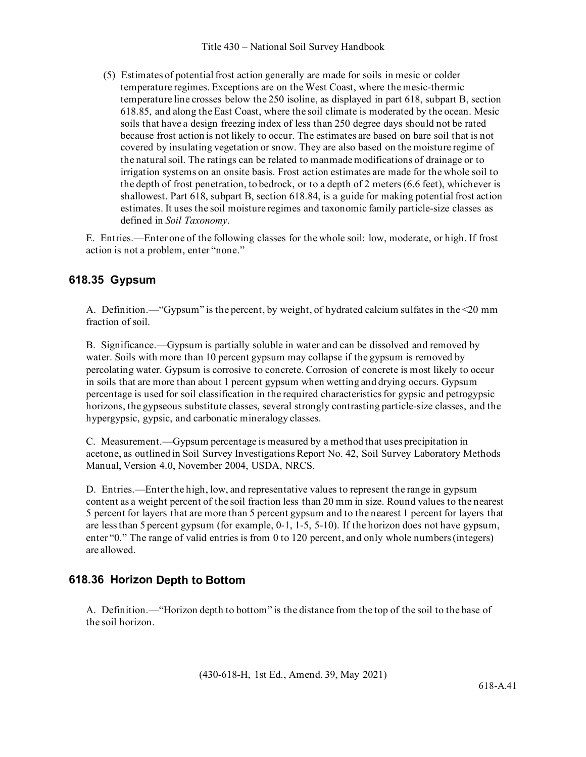(5) Estimates of potential frost action generally are made for soils in mesic or colder temperature regimes. Exceptions are on the West Coast, where the mesic-thermic temperature line crosses below the 250 isoline, as displayed in part 618, subpart B, section 618.85, and along the East Coast, where the soil climate is moderated by the ocean. Mesic soils that have a design freezing index of less than 250 degree days should not be rated because frost action is not likely to occur. The estimates are based on bare soil that is not covered by insulating vegetation or snow. They are also based on the moisture regime of the natural soil. The ratings can be related to manmade modifications of drainage or to irrigation systems on an onsite basis. Frost action estimates are made for the whole soil to the depth of frost penetration, to bedrock, or to a depth of 2 meters (6.6 feet), whichever is shallowest. Part 618, subpart B, section 618.84, is a guide for making potential frost action estimates. It uses the soil moisture regimes and taxonomic family particle-size classes as defined in *Soil Taxonomy*.

E. Entries.—Enter one of the following classes for the whole soil: low, moderate, or high. If frost action is not a problem, enter "none."

# **618.35 Gypsum**

A. Definition.—"Gypsum" is the percent, by weight, of hydrated calcium sulfates in the <20 mm fraction of soil.

B. Significance.—Gypsum is partially soluble in water and can be dissolved and removed by water. Soils with more than 10 percent gypsum may collapse if the gypsum is removed by percolating water. Gypsum is corrosive to concrete. Corrosion of concrete is most likely to occur in soils that are more than about 1 percent gypsum when wetting and drying occurs. Gypsum percentage is used for soil classification in the required characteristics for gypsic and petrogypsic horizons, the gypseous substitute classes, several strongly contrasting particle-size classes, and the hypergypsic, gypsic, and carbonatic mineralogy classes.

C. Measurement.—Gypsum percentage is measured by a method that uses precipitation in acetone, as outlined in Soil Survey Investigations Report No. 42, Soil Survey Laboratory Methods Manual, Version 4.0, November 2004, USDA, NRCS.

D. Entries.—Enter the high, low, and representative values to represent the range in gypsum content as a weight percent of the soil fraction less than 20 mm in size. Round values to the nearest 5 percent for layers that are more than 5 percent gypsum and to the nearest 1 percent for layers that are lessthan 5 percent gypsum (for example, 0-1, 1-5, 5-10). If the horizon does not have gypsum, enter "0." The range of valid entries is from 0 to 120 percent, and only whole numbers (integers) are allowed.

# **618.36 Horizon Depth to Bottom**

A. Definition.—"Horizon depth to bottom" is the distance from the top of the soil to the base of the soil horizon.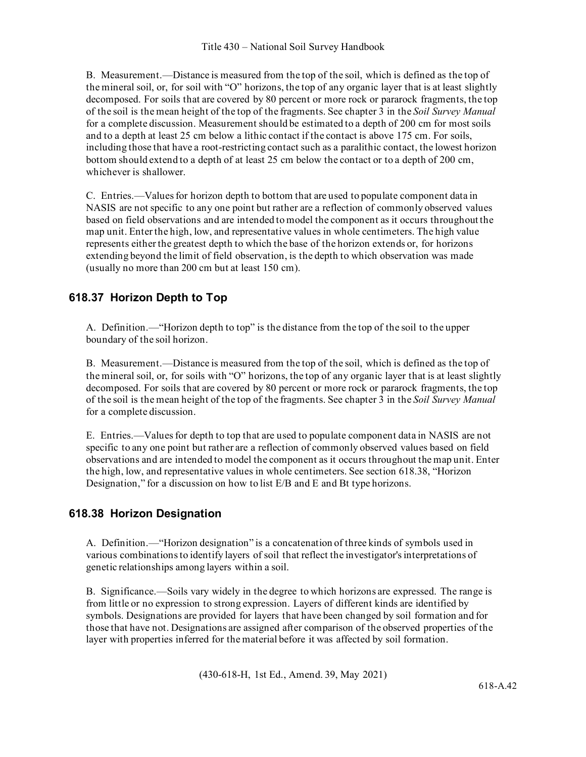B. Measurement.—Distance is measured from the top of the soil, which is defined as the top of the mineral soil, or, for soil with "O" horizons, the top of any organic layer that is at least slightly decomposed. For soils that are covered by 80 percent or more rock or pararock fragments, the top of the soil is the mean height of the top of the fragments. See chapter 3 in the *Soil Survey Manual* for a complete discussion. Measurement should be estimated to a depth of 200 cm for most soils and to a depth at least 25 cm below a lithic contact if the contact is above 175 cm. For soils, including those that have a root-restricting contact such as a paralithic contact, the lowest horizon bottom should extend to a depth of at least 25 cm below the contact or to a depth of 200 cm, whichever is shallower.

C. Entries.—Values for horizon depth to bottom that are used to populate component data in NASIS are not specific to any one point but rather are a reflection of commonly observed values based on field observations and are intended to model the component as it occurs throughout the map unit. Enter the high, low, and representative values in whole centimeters. The high value represents either the greatest depth to which the base of the horizon extends or, for horizons extending beyond the limit of field observation, is the depth to which observation was made (usually no more than 200 cm but at least 150 cm).

# **618.37 Horizon Depth to Top**

A. Definition.—"Horizon depth to top" is the distance from the top of the soil to the upper boundary of the soil horizon.

B. Measurement.—Distance is measured from the top of the soil, which is defined as the top of the mineral soil, or, for soils with "O" horizons, the top of any organic layer that is at least slightly decomposed. For soils that are covered by 80 percent or more rock or pararock fragments, the top of the soil is the mean height of the top of the fragments. See chapter 3 in the *Soil Survey Manual* for a complete discussion.

E. Entries.—Values for depth to top that are used to populate component data in NASIS are not specific to any one point but rather are a reflection of commonly observed values based on field observations and are intended to model the component as it occurs throughout the map unit. Enter the high, low, and representative values in whole centimeters. See section 618.38, "Horizon Designation," for a discussion on how to list E/B and E and Bt type horizons.

# **618.38 Horizon Designation**

A. Definition.—"Horizon designation" is a concatenation of three kinds of symbols used in various combinations to identify layers of soil that reflect the investigator's interpretations of genetic relationships among layers within a soil.

B. Significance.—Soils vary widely in the degree to which horizons are expressed. The range is from little or no expression to strong expression. Layers of different kinds are identified by symbols. Designations are provided for layers that have been changed by soil formation and for those that have not. Designations are assigned after comparison of the observed properties of the layer with properties inferred for the material before it was affected by soil formation.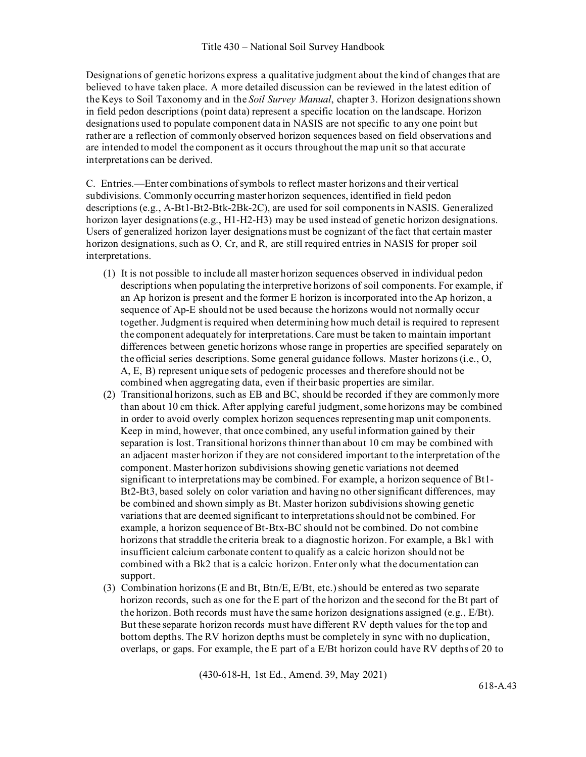Designations of genetic horizons express a qualitative judgment about the kind of changes that are believed to have taken place. A more detailed discussion can be reviewed in the latest edition of the Keys to Soil Taxonomy and in the *Soil Survey Manual*, chapter 3. Horizon designations shown in field pedon descriptions (point data) represent a specific location on the landscape. Horizon designations used to populate component data in NASIS are not specific to any one point but rather are a reflection of commonly observed horizon sequences based on field observations and are intended to model the component as it occurs throughout the map unit so that accurate interpretations can be derived.

C. Entries.—Enter combinations of symbols to reflect master horizons and their vertical subdivisions. Commonly occurring master horizon sequences, identified in field pedon descriptions (e.g., A-Bt1-Bt2-Btk-2Bk-2C), are used for soil components in NASIS. Generalized horizon layer designations (e.g., H1-H2-H3) may be used instead of genetic horizon designations. Users of generalized horizon layer designations must be cognizant of the fact that certain master horizon designations, such as O, Cr, and R, are still required entries in NASIS for proper soil interpretations.

- (1) It is not possible to include all master horizon sequences observed in individual pedon descriptions when populating the interpretive horizons of soil components. For example, if an Ap horizon is present and the former E horizon is incorporated into the Ap horizon, a sequence of Ap-E should not be used because the horizons would not normally occur together. Judgment is required when determining how much detail is required to represent the component adequately for interpretations. Care must be taken to maintain important differences between genetic horizons whose range in properties are specified separately on the official series descriptions. Some general guidance follows. Master horizons (i.e., O, A, E, B) represent unique sets of pedogenic processes and therefore should not be combined when aggregating data, even if their basic properties are similar.
- (2) Transitional horizons, such as EB and BC, should be recorded if they are commonly more than about 10 cm thick. After applying careful judgment, some horizons may be combined in order to avoid overly complex horizon sequences representing map unit components. Keep in mind, however, that once combined, any useful information gained by their separation is lost. Transitional horizons thinner than about 10 cm may be combined with an adjacent master horizon if they are not considered important to the interpretation of the component. Master horizon subdivisions showing genetic variations not deemed significant to interpretations may be combined. For example, a horizon sequence of Bt1- Bt2-Bt3, based solely on color variation and having no other significant differences, may be combined and shown simply as Bt. Master horizon subdivisions showing genetic variations that are deemed significant to interpretations should not be combined. For example, a horizon sequence of Bt-Btx-BC should not be combined. Do not combine horizons that straddle the criteria break to a diagnostic horizon. For example, a Bk1 with insufficient calcium carbonate content to qualify as a calcic horizon should not be combined with a Bk2 that is a calcic horizon. Enter only what the documentation can support.
- (3) Combination horizons (E and Bt, Btn/E, E/Bt, etc.) should be entered as two separate horizon records, such as one for the E part of the horizon and the second for the Bt part of the horizon. Both records must have the same horizon designations assigned (e.g.,  $E/Bt$ ). But these separate horizon records must have different RV depth values for the top and bottom depths. The RV horizon depths must be completely in sync with no duplication, overlaps, or gaps. For example, the E part of a E/Bt horizon could have RV depths of 20 to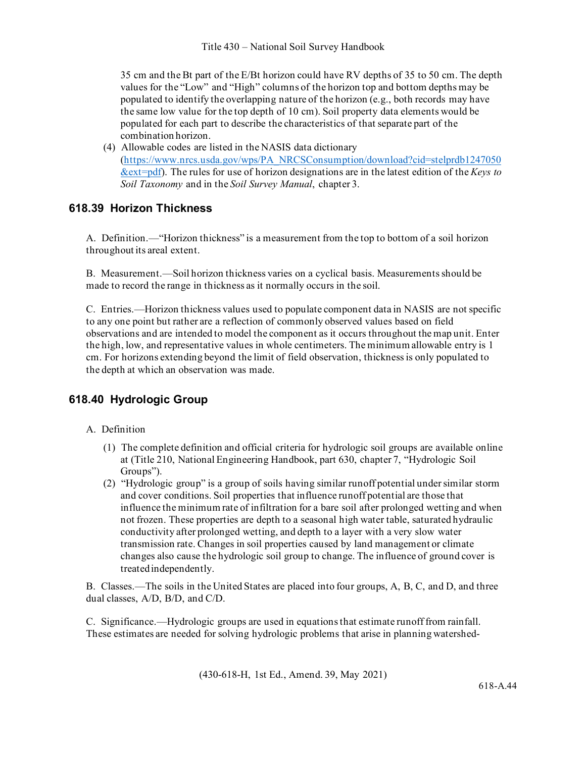35 cm and the Bt part of the E/Bt horizon could have RV depths of 35 to 50 cm. The depth values for the "Low" and "High" columns of the horizon top and bottom depths may be populated to identify the overlapping nature of the horizon (e.g., both records may have the same low value for the top depth of 10 cm). Soil property data elements would be populated for each part to describe the characteristics of that separate part of the combination horizon.

(4) Allowable codes are listed in the NASIS data dictionary [\(https://www.nrcs.usda.gov/wps/PA\\_NRCSConsumption/download?cid=stelprdb1247050](https://www.nrcs.usda.gov/wps/PA_NRCSConsumption/download?cid=stelprdb1247050&ext=pdf) [&ext=pdf\)](https://www.nrcs.usda.gov/wps/PA_NRCSConsumption/download?cid=stelprdb1247050&ext=pdf). The rules for use of horizon designations are in the latest edition of the *Keys to Soil Taxonomy* and in the *Soil Survey Manual*, chapter 3.

## **618.39 Horizon Thickness**

A. Definition.—"Horizon thickness" is a measurement from the top to bottom of a soil horizon throughout its areal extent.

B. Measurement.—Soil horizon thickness varies on a cyclical basis. Measurements should be made to record the range in thickness as it normally occurs in the soil.

C. Entries.—Horizon thickness values used to populate component data in NASIS are not specific to any one point but rather are a reflection of commonly observed values based on field observations and are intended to model the component as it occurs throughout the map unit. Enter the high, low, and representative values in whole centimeters. The minimum allowable entry is 1 cm. For horizons extending beyond the limit of field observation, thickness is only populated to the depth at which an observation was made.

# **618.40 Hydrologic Group**

### A. Definition

- (1) The complete definition and official criteria for hydrologic soil groups are available online at [\(Title 210, National Engineering Handbook, part 630, chapter 7, "Hydrologic Soil](http://directives.sc.egov.usda.gov/viewerFS.aspx?hid=21422) [Groups"\)](http://directives.sc.egov.usda.gov/viewerFS.aspx?hid=21422).
- (2) "Hydrologic group" is a group of soils having similar runoff potential under similar storm and cover conditions. Soil properties that influence runoff potential are those that influence the minimum rate of infiltration for a bare soil after prolonged wetting and when not frozen. These properties are depth to a seasonal high water table, saturated hydraulic conductivity after prolonged wetting, and depth to a layer with a very slow water transmission rate. Changes in soil properties caused by land management or climate changes also cause the hydrologic soil group to change. The influence of ground cover is treatedindependently.

B. Classes.—The soils in the United States are placed into four groups, A, B, C, and D, and three dual classes, A/D, B/D, and C/D.

C. Significance.—Hydrologic groups are used in equations that estimate runoff from rainfall. These estimates are needed for solving hydrologic problems that arise in planning watershed-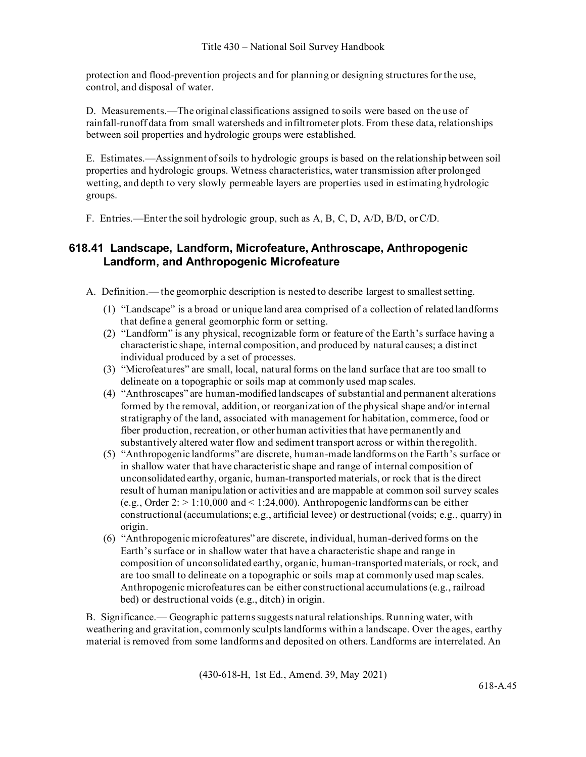protection and flood-prevention projects and for planning or designing structures for the use, control, and disposal of water.

D. Measurements.—The original classifications assigned to soils were based on the use of rainfall-runoff data from small watersheds and infiltrometer plots. From these data, relationships between soil properties and hydrologic groups were established.

E. Estimates.—Assignment of soils to hydrologic groups is based on the relationship between soil properties and hydrologic groups. Wetness characteristics, water transmission after prolonged wetting, and depth to very slowly permeable layers are properties used in estimating hydrologic groups.

F. Entries.—Enter the soil hydrologic group, such as A, B, C, D, A/D, B/D, or C/D.

## **618.41 Landscape, Landform, Microfeature, Anthroscape, Anthropogenic Landform, and Anthropogenic Microfeature**

A. Definition.— the geomorphic description is nested to describe largest to smallestsetting.

- (1) "Landscape" is a broad or unique land area comprised of a collection of relatedlandforms that define a general geomorphic form or setting.
- (2) "Landform" is any physical, recognizable form or feature of the Earth's surface having a characteristic shape, internal composition, and produced by natural causes; a distinct individual produced by a set of processes.
- (3) "Microfeatures" are small, local, natural forms on the land surface that are too small to delineate on a topographic or soils map at commonly used map scales.
- (4) "Anthroscapes" are human-modified landscapes of substantial and permanent alterations formed by the removal, addition, or reorganization of the physical shape and/or internal stratigraphy of the land, associated with management for habitation, commerce, food or fiber production, recreation, or other human activities that have permanently and substantively altered water flow and sediment transport across or within the regolith.
- (5) "Anthropogenic landforms" are discrete, human-made landforms on the Earth's surface or in shallow water that have characteristic shape and range of internal composition of unconsolidated earthy, organic, human-transported materials, or rock that is the direct result of human manipulation or activities and are mappable at common soil survey scales (e.g., Order  $2:$  > 1:10,000 and < 1:24,000). Anthropogenic landforms can be either constructional (accumulations; e.g., artificial levee) or destructional (voids; e.g., quarry) in origin.
- (6) "Anthropogenic microfeatures" are discrete, individual, human-derived forms on the Earth's surface or in shallow water that have a characteristic shape and range in composition of unconsolidated earthy, organic, human-transported materials, or rock, and are too small to delineate on a topographic or soils map at commonly used map scales. Anthropogenic microfeatures can be either constructional accumulations (e.g., railroad bed) or destructional voids (e.g., ditch) in origin.

B. Significance.— Geographic patterns suggests natural relationships. Running water, with weathering and gravitation, commonly sculpts landforms within a landscape. Over the ages, earthy material is removed from some landforms and deposited on others. Landforms are interrelated. An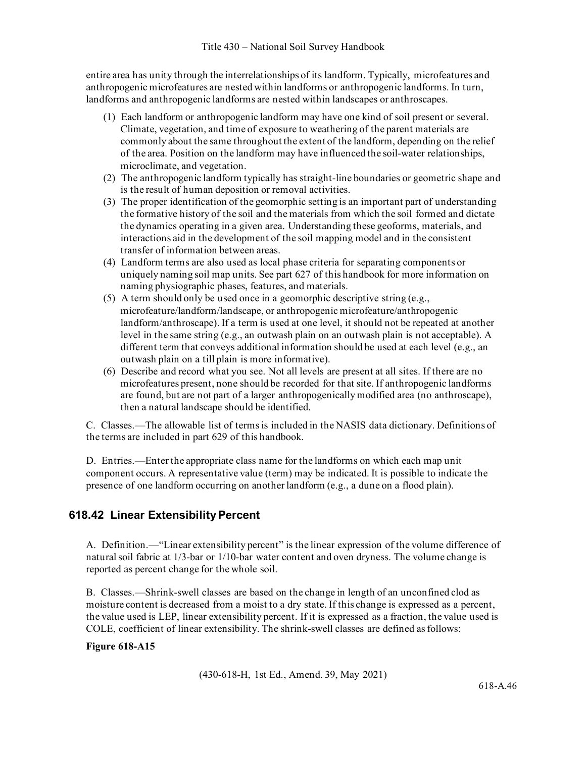entire area has unity through the interrelationships of its landform. Typically, microfeatures and anthropogenic microfeatures are nested within landforms or anthropogenic landforms. In turn, landforms and anthropogenic landforms are nested within landscapes or anthroscapes.

- (1) Each landform or anthropogenic landform may have one kind of soil present or several. Climate, vegetation, and time of exposure to weathering of the parent materials are commonly about the same throughout the extent of the landform, depending on the relief of the area. Position on the landform may have influenced the soil-water relationships, microclimate, and vegetation.
- (2) The anthropogenic landform typically has straight-line boundaries or geometric shape and is the result of human deposition or removal activities.
- (3) The proper identification of the geomorphic setting is an important part of understanding the formative history of the soil and the materials from which the soil formed and dictate the dynamics operating in a given area. Understanding these geoforms, materials, and interactions aid in the development of the soil mapping model and in the consistent transfer of information between areas.
- (4) Landform terms are also used as local phase criteria for separating components or uniquely naming soil map units. See part 627 of this handbook for more information on naming physiographic phases, features, and materials.
- (5) A term should only be used once in a geomorphic descriptive string (e.g., microfeature/landform/landscape, or anthropogenic microfeature/anthropogenic landform/anthroscape). If a term is used at one level, it should not be repeated at another level in the same string (e.g., an outwash plain on an outwash plain is not acceptable). A different term that conveys additional information should be used at each level (e.g., an outwash plain on a till plain is more informative).
- (6) Describe and record what you see. Not all levels are present at all sites. If there are no microfeatures present, none should be recorded for that site. If anthropogenic landforms are found, but are not part of a larger anthropogenically modified area (no anthroscape), then a natural landscape should be identified.

C. Classes.—The allowable list of terms is included in the NASIS data dictionary. Definitions of the terms are included in part 629 of this handbook.

D. Entries.—Enter the appropriate class name for the landforms on which each map unit component occurs. A representative value (term) may be indicated. It is possible to indicate the presence of one landform occurring on another landform (e.g., a dune on a flood plain).

# **618.42 Linear Extensibility Percent**

A. Definition.—"Linear extensibility percent" is the linear expression of the volume difference of natural soil fabric at 1/3-bar or 1/10-bar water content and oven dryness. The volume change is reported as percent change for the whole soil.

B. Classes.—Shrink-swell classes are based on the change in length of an unconfined clod as moisture content is decreased from a moist to a dry state. If this change is expressed as a percent, the value used is LEP, linear extensibility percent. If it is expressed as a fraction, the value used is COLE, coefficient of linear extensibility. The shrink-swell classes are defined asfollows:

### **Figure 618-A15**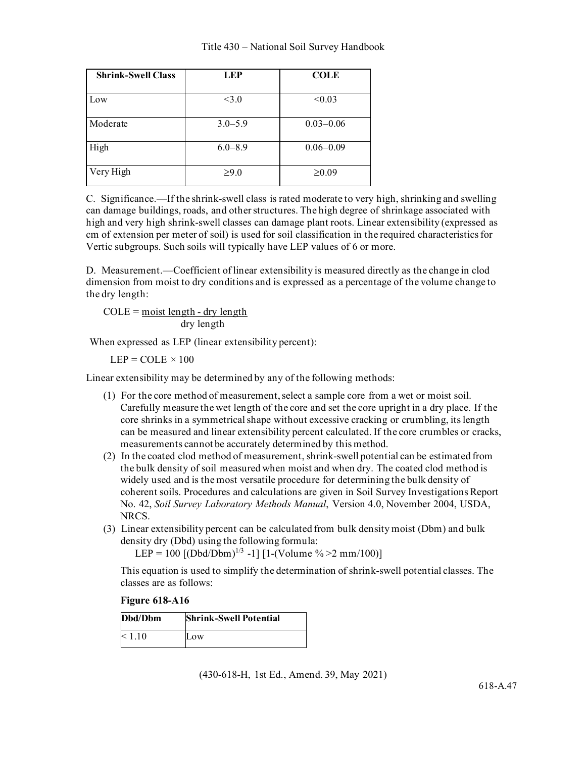| <b>Shrink-Swell Class</b> | <b>LEP</b>  | <b>COLE</b>   |
|---------------------------|-------------|---------------|
| Low                       | $<$ 3.0     | < 0.03        |
| Moderate                  | $3.0 - 5.9$ | $0.03 - 0.06$ |
| High                      | $6.0 - 8.9$ | $0.06 - 0.09$ |
| Very High                 | $\geq 9.0$  | $\geq 0.09$   |

C. Significance.—If the shrink-swell class is rated moderate to very high, shrinking and swelling can damage buildings, roads, and other structures. The high degree of shrinkage associated with high and very high shrink-swell classes can damage plant roots. Linear extensibility (expressed as cm of extension per meter of soil) is used for soil classification in the required characteristics for Vertic subgroups. Such soils will typically have LEP values of 6 or more.

D. Measurement.—Coefficient of linear extensibility is measured directly as the change in clod dimension from moist to dry conditions and is expressed as a percentage of the volume change to the dry length:

 $COLE = \text{moist length} - \text{dry length}$ dry length

When expressed as LEP (linear extensibility percent):

 $LEP = COLE \times 100$ 

Linear extensibility may be determined by any of the following methods:

- (1) For the core method of measurement, select a sample core from a wet or moist soil. Carefully measure the wet length of the core and set the core upright in a dry place. If the core shrinks in a symmetrical shape without excessive cracking or crumbling, its length can be measured and linear extensibility percent calculated. If the core crumbles or cracks, measurements cannot be accurately determined by this method.
- (2) In the coated clod method of measurement, shrink-swell potential can be estimated from the bulk density of soil measured when moist and when dry. The coated clod method is widely used and is the most versatile procedure for determining the bulk density of coherent soils. Procedures and calculations are given in Soil Survey Investigations Report No. 42, *Soil Survey Laboratory Methods Manual*, Version 4.0, November 2004, USDA, NRCS.
- (3) Linear extensibility percent can be calculated from bulk density moist (Dbm) and bulk density dry (Dbd) using the following formula:

LEP = 100  $[(\text{Dbd}/\text{Dbm})^{1/3} -1]$   $[1-(\text{Volume } \% > 2 \text{ mm}/100)]$ 

This equation is used to simplify the determination of shrink-swell potential classes. The classes are as follows:

### **Figure 618-A16**

| Dbd/Dbm | <b>Shrink-Swell Potential</b> |
|---------|-------------------------------|
| < 1.10  | Low                           |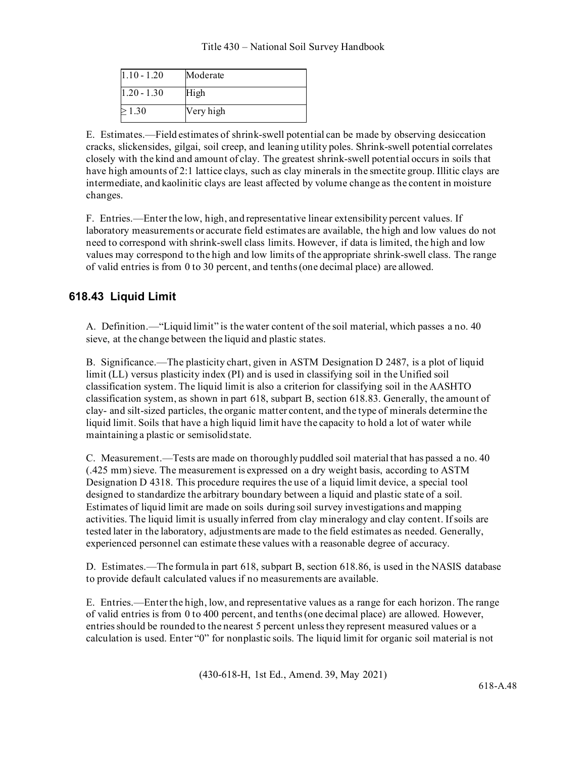| $1.10 - 1.20$ | Moderate  |
|---------------|-----------|
| $1.20 - 1.30$ | High      |
| 1.30          | Very high |

E. Estimates.—Field estimates of shrink-swell potential can be made by observing desiccation cracks, slickensides, gilgai, soil creep, and leaning utility poles. Shrink-swell potential correlates closely with the kind and amount of clay. The greatest shrink-swell potential occurs in soils that have high amounts of 2:1 lattice clays, such as clay minerals in the smectite group. Illitic clays are intermediate, and kaolinitic clays are least affected by volume change as the content in moisture changes.

F. Entries.—Enter the low, high, and representative linear extensibility percent values. If laboratory measurements or accurate field estimates are available, the high and low values do not need to correspond with shrink-swell class limits. However, if data is limited, the high and low values may correspond to the high and low limits of the appropriate shrink-swell class. The range of valid entries is from 0 to 30 percent, and tenths (one decimal place) are allowed.

# **618.43 Liquid Limit**

A. Definition.—"Liquid limit" is the water content of the soil material, which passes a no. 40 sieve, at the change between the liquid and plastic states.

B. Significance.—The plasticity chart, given in ASTM Designation D 2487, is a plot of liquid limit (LL) versus plasticity index (PI) and is used in classifying soil in the Unified soil classification system. The liquid limit is also a criterion for classifying soil in the AASHTO classification system, as shown in part 618, subpart B, section 618.83. Generally, the amount of clay- and silt-sized particles, the organic matter content, and the type of minerals determine the liquid limit. Soils that have a high liquid limit have the capacity to hold a lot of water while maintaining a plastic or semisolidstate.

C. Measurement.—Tests are made on thoroughly puddled soil material that has passed a no. 40 (.425 mm) sieve. The measurement is expressed on a dry weight basis, according to ASTM Designation D 4318. This procedure requires the use of a liquid limit device, a special tool designed to standardize the arbitrary boundary between a liquid and plastic state of a soil. Estimates of liquid limit are made on soils during soil survey investigations and mapping activities. The liquid limit is usually inferred from clay mineralogy and clay content. If soils are tested later in the laboratory, adjustments are made to the field estimates as needed. Generally, experienced personnel can estimate these values with a reasonable degree of accuracy.

D. Estimates.—The formula in part 618, subpart B, section 618.86, is used in the NASIS database to provide default calculated values if no measurements are available.

E. Entries.—Enter the high, low, and representative values as a range for each horizon. The range of valid entries is from 0 to 400 percent, and tenths (one decimal place) are allowed. However, entries should be rounded to the nearest 5 percent unless they represent measured values or a calculation is used. Enter "0" for nonplastic soils. The liquid limit for organic soil material is not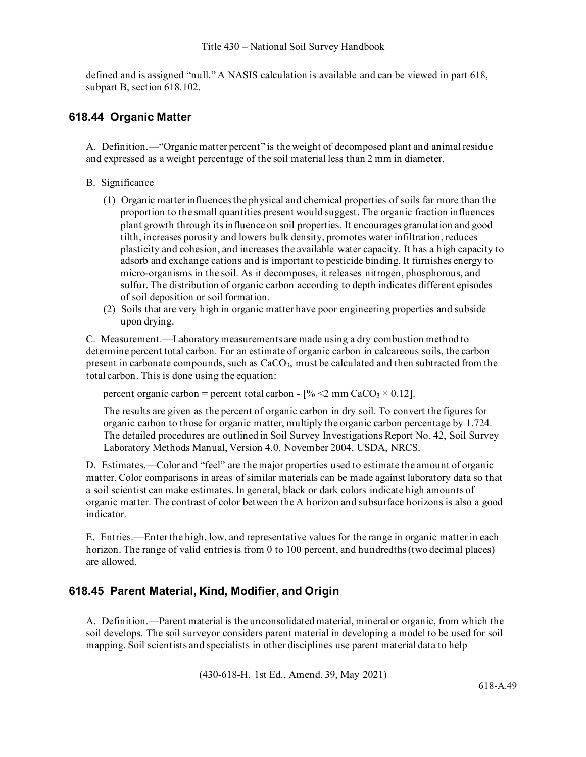defined and is assigned "null." A NASIS calculation is available and can be viewed in part 618, subpart B, section 618.102.

## **618.44 Organic Matter**

A. Definition.—"Organic matter percent" is the weight of decomposed plant and animal residue and expressed as a weight percentage of the soil material less than 2 mm in diameter.

- B. Significance
	- (1) Organic matter influences the physical and chemical properties of soils far more than the proportion to the small quantities present would suggest. The organic fraction influences plant growth through its influence on soil properties. It encourages granulation and good tilth, increases porosity and lowers bulk density, promotes water infiltration, reduces plasticity and cohesion, and increases the available water capacity. It has a high capacity to adsorb and exchange cations and is important to pesticide binding. It furnishes energy to micro-organisms in the soil. As it decomposes, it releases nitrogen, phosphorous, and sulfur. The distribution of organic carbon according to depth indicates different episodes of soil deposition or soil formation.
	- (2) Soils that are very high in organic matter have poor engineering properties and subside upon drying.

C. Measurement.—Laboratory measurements are made using a dry combustion method to determine percent total carbon. For an estimate of organic carbon in calcareous soils, the carbon present in carbonate compounds, such as  $CaCO<sub>3</sub>$ , must be calculated and then subtracted from the total carbon. This is done using the equation:

percent organic carbon = percent total carbon -  $\frac{6}{6}$  <2 mm CaCO<sub>3</sub> × 0.12].

The results are given as the percent of organic carbon in dry soil. To convert the figures for organic carbon to those for organic matter, multiply the organic carbon percentage by 1.724. The detailed procedures are outlined in Soil Survey Investigations Report No. 42, Soil Survey Laboratory Methods Manual, Version 4.0, November 2004, USDA, NRCS.

D. Estimates.—Color and "feel" are the major properties used to estimate the amount of organic matter. Color comparisons in areas of similar materials can be made against laboratory data so that a soil scientist can make estimates. In general, black or dark colors indicate high amounts of organic matter. The contrast of color between the A horizon and subsurface horizons is also a good indicator.

E. Entries.—Enter the high, low, and representative values for the range in organic matter in each horizon. The range of valid entries is from 0 to 100 percent, and hundredths (two decimal places) are allowed.

## **618.45 Parent Material, Kind, Modifier, and Origin**

A. Definition.—Parent material is the unconsolidated material, mineral or organic, from which the soil develops. The soil surveyor considers parent material in developing a model to be used for soil mapping. Soil scientists and specialists in other disciplines use parent material data to help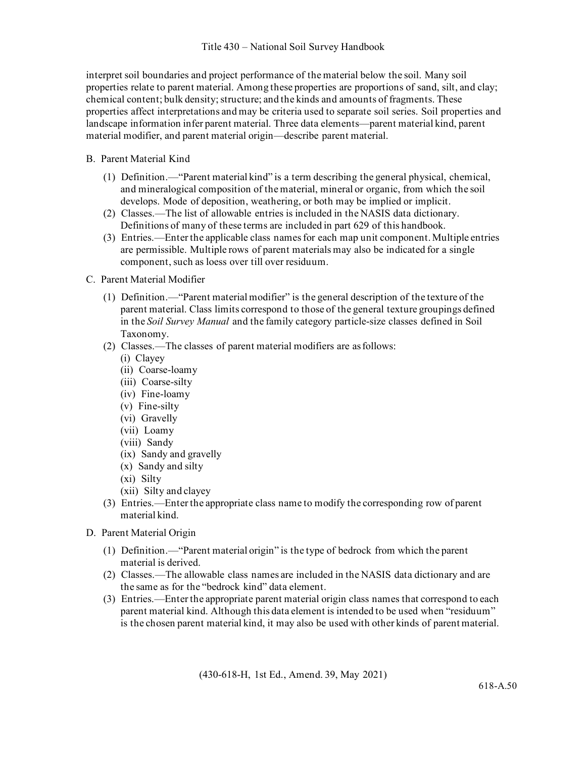interpret soil boundaries and project performance of the material below the soil. Many soil properties relate to parent material. Among these properties are proportions of sand, silt, and clay; chemical content; bulk density; structure; and the kinds and amounts of fragments. These properties affect interpretations and may be criteria used to separate soil series. Soil properties and landscape information infer parent material. Three data elements—parent material kind, parent material modifier, and parent material origin—describe parent material.

### B. Parent Material Kind

- (1) Definition.—"Parent material kind" is a term describing the general physical, chemical, and mineralogical composition of the material, mineral or organic, from which the soil develops. Mode of deposition, weathering, or both may be implied or implicit.
- (2) Classes.—The list of allowable entries is included in the NASIS data dictionary. Definitions of many of these terms are included in part 629 of this handbook.
- (3) Entries.—Enter the applicable class names for each map unit component. Multiple entries are permissible. Multiple rows of parent materials may also be indicated for a single component, such as loess over till over residuum.
- C. Parent Material Modifier
	- (1) Definition.—"Parent material modifier" is the general description of the texture of the parent material. Class limits correspond to those of the general texture groupings defined in the *Soil Survey Manual* and the family category particle-size classes defined in Soil Taxonomy.
	- (2) Classes.—The classes of parent material modifiers are asfollows:
		- (i) Clayey
		- (ii) Coarse-loamy
		- (iii) Coarse-silty
		- (iv) Fine-loamy
		- (v) Fine-silty
		- (vi) Gravelly
		- (vii) Loamy
		- (viii) Sandy
		- (ix) Sandy and gravelly
		- (x) Sandy and silty
		- (xi) Silty
		- (xii) Silty and clayey
	- (3) Entries.—Enter the appropriate class name to modify the corresponding row of parent material kind.
- D. Parent Material Origin
	- (1) Definition.—"Parent material origin" is the type of bedrock from which the parent material is derived.
	- (2) Classes.—The allowable class names are included in the NASIS data dictionary and are the same as for the "bedrock kind" data element.
	- (3) Entries.—Enter the appropriate parent material origin class names that correspond to each parent material kind. Although this data element is intended to be used when "residuum" is the chosen parent material kind, it may also be used with other kinds of parent material.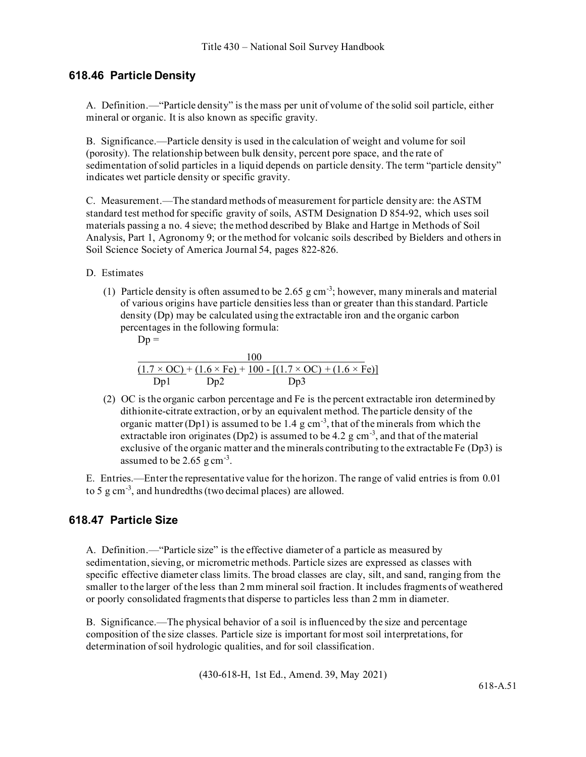### **618.46 Particle Density**

A. Definition.—"Particle density" is the mass per unit of volume of the solid soil particle, either mineral or organic. It is also known as specific gravity.

B. Significance.—Particle density is used in the calculation of weight and volume for soil (porosity). The relationship between bulk density, percent pore space, and the rate of sedimentation of solid particles in a liquid depends on particle density. The term "particle density" indicates wet particle density or specific gravity.

C. Measurement.—The standard methods of measurement for particle density are: the ASTM standard test method for specific gravity of soils, ASTM Designation D 854-92, which uses soil materials passing a no. 4 sieve; the method described by Blake and Hartge in Methods of Soil Analysis, Part 1, Agronomy 9; or the method for volcanic soils described by Bielders and othersin Soil Science Society of America Journal 54, pages 822-826.

- D. Estimates
	- (1) Particle density is often assumed to be 2.65  $g \text{ cm}^{-3}$ ; however, many minerals and material of various origins have particle densities less than or greater than this standard. Particle density (Dp) may be calculated using the extractable iron and the organic carbon percentages in the following formula:

$$
\mathbf{D} \mathbf{p} =
$$

|     |     | 100                                                                                   |
|-----|-----|---------------------------------------------------------------------------------------|
|     |     | $(1.7 \times OC)$ + $(1.6 \times Fe)$ + 100 - $[(1.7 \times OC)$ + $(1.6 \times Fe)]$ |
| Dp1 | Dp2 | Dp3                                                                                   |

(2) OC is the organic carbon percentage and Fe is the percent extractable iron determined by dithionite-citrate extraction, or by an equivalent method. The particle density of the organic matter (Dp1) is assumed to be 1.4 g cm<sup>-3</sup>, that of the minerals from which the extractable iron originates (Dp2) is assumed to be 4.2 g cm<sup>-3</sup>, and that of the material exclusive of the organic matter and the minerals contributing to the extractable Fe (Dp3) is assumed to be  $2.65 \text{ g cm}^{-3}$ .

E. Entries.—Enter the representative value for the horizon. The range of valid entries is from 0.01 to 5  $g$  cm<sup>-3</sup>, and hundredths (two decimal places) are allowed.

## **618.47 Particle Size**

A. Definition.—"Particle size" is the effective diameter of a particle as measured by sedimentation, sieving, or micrometric methods. Particle sizes are expressed as classes with specific effective diameter class limits. The broad classes are clay, silt, and sand, ranging from the smaller to the larger of the less than 2 mm mineral soil fraction. It includes fragments of weathered or poorly consolidated fragments that disperse to particles less than 2 mm in diameter.

B. Significance.—The physical behavior of a soil is influenced by the size and percentage composition of the size classes. Particle size is important for most soil interpretations, for determination of soil hydrologic qualities, and for soil classification.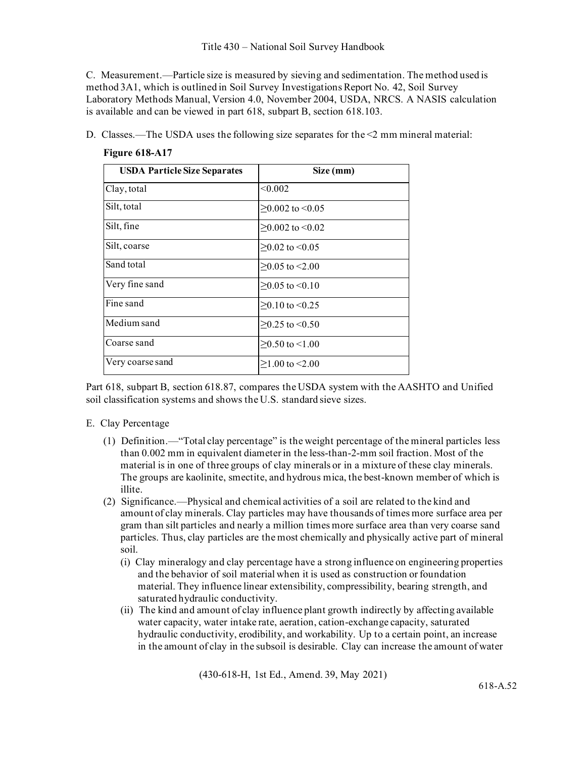C. Measurement.—Particle size is measured by sieving and sedimentation. The method used is method 3A1, which is outlined in Soil Survey Investigations Report No. 42, Soil Survey Laboratory Methods Manual, Version 4.0, November 2004, USDA, NRCS. A NASIS calculation is available and can be viewed in part 618, subpart B, section 618.103.

D. Classes.—The USDA uses the following size separates for the  $\leq 2$  mm mineral material:

| <b>USDA Particle Size Separates</b> | Size (mm)            |
|-------------------------------------|----------------------|
| Clay, total                         | < 0.002              |
| Silt, total                         | $>0.002$ to $< 0.05$ |
| Silt, fine                          | $>0.002$ to $< 0.02$ |
| Silt, coarse                        | $>0.02$ to $< 0.05$  |
| Sand total                          | $>0.05$ to $< 2.00$  |
| Very fine sand                      | $>0.05$ to $< 0.10$  |
| Fine sand                           | $>0.10$ to $< 0.25$  |
| Medium sand                         | $>0.25$ to $< 0.50$  |
| Coarse sand                         | $\geq$ 0.50 to <1.00 |
| Very coarse sand                    | $>1.00$ to $< 2.00$  |

### **Figure 618-A17**

Part 618, subpart B, section 618.87, compares the USDA system with the AASHTO and Unified soil classification systems and shows the U.S. standard sieve sizes.

### E. Clay Percentage

- (1) Definition.—"Total clay percentage" is the weight percentage of the mineral particles less than 0.002 mm in equivalent diameter in the less-than-2-mm soil fraction. Most of the material is in one of three groups of clay minerals or in a mixture of these clay minerals. The groups are kaolinite, smectite, and hydrous mica, the best-known member of which is illite.
- (2) Significance.—Physical and chemical activities of a soil are related to the kind and amount of clay minerals. Clay particles may have thousands of times more surface area per gram than silt particles and nearly a million times more surface area than very coarse sand particles. Thus, clay particles are the most chemically and physically active part of mineral soil.
	- (i) Clay mineralogy and clay percentage have a strong influence on engineering properties and the behavior of soil material when it is used as construction or foundation material. They influence linear extensibility, compressibility, bearing strength, and saturated hydraulic conductivity.
	- (ii) The kind and amount of clay influence plant growth indirectly by affecting available water capacity, water intake rate, aeration, cation-exchange capacity, saturated hydraulic conductivity, erodibility, and workability. Up to a certain point, an increase in the amount of clay in the subsoil is desirable. Clay can increase the amount of water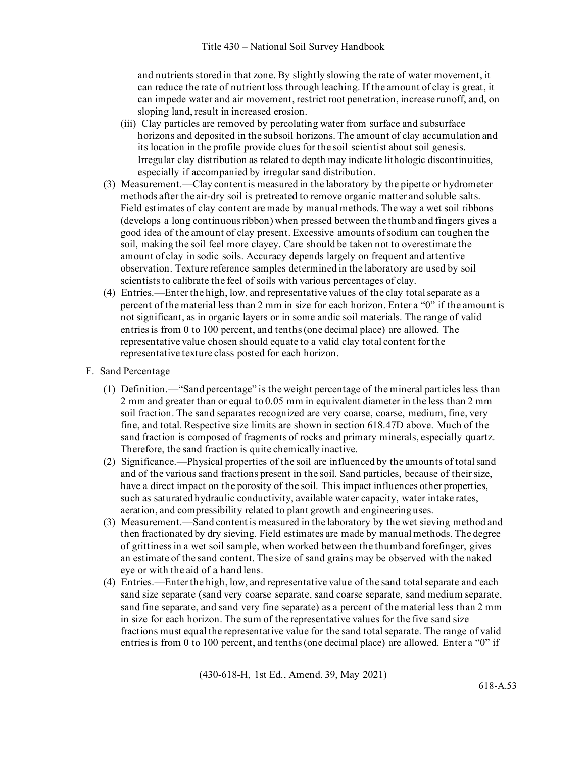and nutrients stored in that zone. By slightly slowing the rate of water movement, it can reduce the rate of nutrient loss through leaching. If the amount of clay is great, it can impede water and air movement, restrict root penetration, increase runoff, and, on sloping land, result in increased erosion.

- (iii) Clay particles are removed by percolating water from surface and subsurface horizons and deposited in the subsoil horizons. The amount of clay accumulation and its location in the profile provide clues for the soil scientist about soil genesis. Irregular clay distribution as related to depth may indicate lithologic discontinuities, especially if accompanied by irregular sand distribution.
- (3) Measurement.—Clay content is measured in the laboratory by the pipette or hydrometer methods after the air-dry soil is pretreated to remove organic matter and soluble salts. Field estimates of clay content are made by manual methods. The way a wet soil ribbons (develops a long continuous ribbon) when pressed between the thumb and fingers gives a good idea of the amount of clay present. Excessive amounts of sodium can toughen the soil, making the soil feel more clayey. Care should be taken not to overestimate the amount of clay in sodic soils. Accuracy depends largely on frequent and attentive observation. Texture reference samples determined in the laboratory are used by soil scientists to calibrate the feel of soils with various percentages of clay.
- (4) Entries.—Enter the high, low, and representative values of the clay total separate as a percent of the material less than 2 mm in size for each horizon. Enter a "0" if the amount is not significant, as in organic layers or in some andic soil materials. The range of valid entries is from 0 to 100 percent, and tenths (one decimal place) are allowed. The representative value chosen should equate to a valid clay total content for the representative texture class posted for each horizon.
- F. Sand Percentage
	- (1) Definition.—"Sand percentage" is the weight percentage of the mineral particles less than 2 mm and greater than or equal to 0.05 mm in equivalent diameter in the less than 2 mm soil fraction. The sand separates recognized are very coarse, coarse, medium, fine, very fine, and total. Respective size limits are shown in section 618.47D above. Much of the sand fraction is composed of fragments of rocks and primary minerals, especially quartz. Therefore, the sand fraction is quite chemically inactive.
	- (2) Significance.—Physical properties of the soil are influenced by the amounts of total sand and of the various sand fractions present in the soil. Sand particles, because of their size, have a direct impact on the porosity of the soil. This impact influences other properties, such as saturated hydraulic conductivity, available water capacity, water intake rates, aeration, and compressibility related to plant growth and engineeringuses.
	- (3) Measurement.—Sand content is measured in the laboratory by the wet sieving method and then fractionated by dry sieving. Field estimates are made by manual methods. The degree of grittiness in a wet soil sample, when worked between the thumb and forefinger, gives an estimate of the sand content. The size of sand grains may be observed with the naked eye or with the aid of a hand lens.
	- (4) Entries.—Enter the high, low, and representative value of the sand total separate and each sand size separate (sand very coarse separate, sand coarse separate, sand medium separate, sand fine separate, and sand very fine separate) as a percent of the material less than 2 mm in size for each horizon. The sum of the representative values for the five sand size fractions must equal the representative value for the sand total separate. The range of valid entries is from 0 to 100 percent, and tenths (one decimal place) are allowed. Enter a "0" if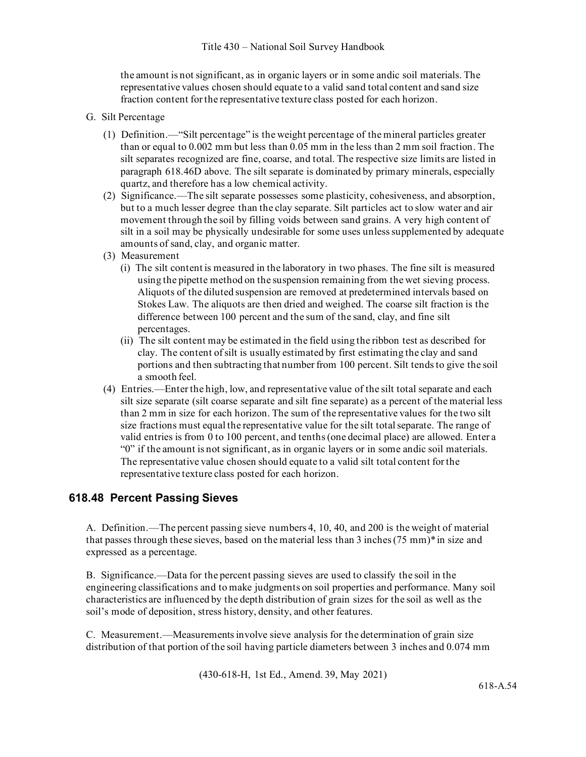the amount is not significant, as in organic layers or in some andic soil materials. The representative values chosen should equate to a valid sand total content and sand size fraction content for the representative texture class posted for each horizon.

- G. Silt Percentage
	- (1) Definition.—"Silt percentage" is the weight percentage of the mineral particles greater than or equal to 0.002 mm but less than 0.05 mm in the less than 2 mm soil fraction. The silt separates recognized are fine, coarse, and total. The respective size limits are listed in paragraph 618.46D above. The silt separate is dominated by primary minerals, especially quartz, and therefore has a low chemical activity.
	- (2) Significance.—The silt separate possesses some plasticity, cohesiveness, and absorption, but to a much lesser degree than the clay separate. Silt particles act to slow water and air movement through the soil by filling voids between sand grains. A very high content of silt in a soil may be physically undesirable for some uses unless supplemented by adequate amounts of sand, clay, and organic matter.
	- (3) Measurement
		- (i) The silt content is measured in the laboratory in two phases. The fine silt is measured using the pipette method on the suspension remaining from the wet sieving process. Aliquots of the diluted suspension are removed at predetermined intervals based on Stokes Law. The aliquots are then dried and weighed. The coarse silt fraction is the difference between 100 percent and the sum of the sand, clay, and fine silt percentages.
		- (ii) The silt content may be estimated in the field using the ribbon test as described for clay. The content of silt is usually estimated by first estimating the clay and sand portions and then subtracting that number from 100 percent. Silt tends to give the soil a smooth feel.
	- (4) Entries.—Enter the high, low, and representative value of the silt total separate and each silt size separate (silt coarse separate and silt fine separate) as a percent of the material less than 2 mm in size for each horizon. The sum of the representative values for the two silt size fractions must equal the representative value for the silt total separate. The range of valid entries is from 0 to 100 percent, and tenths (one decimal place) are allowed. Enter a "0" if the amount is not significant, as in organic layers or in some andic soil materials. The representative value chosen should equate to a valid silt total content for the representative texture class posted for each horizon.

## **618.48 Percent Passing Sieves**

A. Definition.—The percent passing sieve numbers 4, 10, 40, and 200 is the weight of material that passes through these sieves, based on the material less than 3 inches  $(75 \text{ mm})^*$  in size and expressed as a percentage.

B. Significance.—Data for the percent passing sieves are used to classify the soil in the engineering classifications and to make judgments on soil properties and performance. Many soil characteristics are influenced by the depth distribution of grain sizes for the soil as well as the soil's mode of deposition, stress history, density, and other features.

C. Measurement.—Measurements involve sieve analysis for the determination of grain size distribution of that portion of the soil having particle diameters between 3 inches and 0.074 mm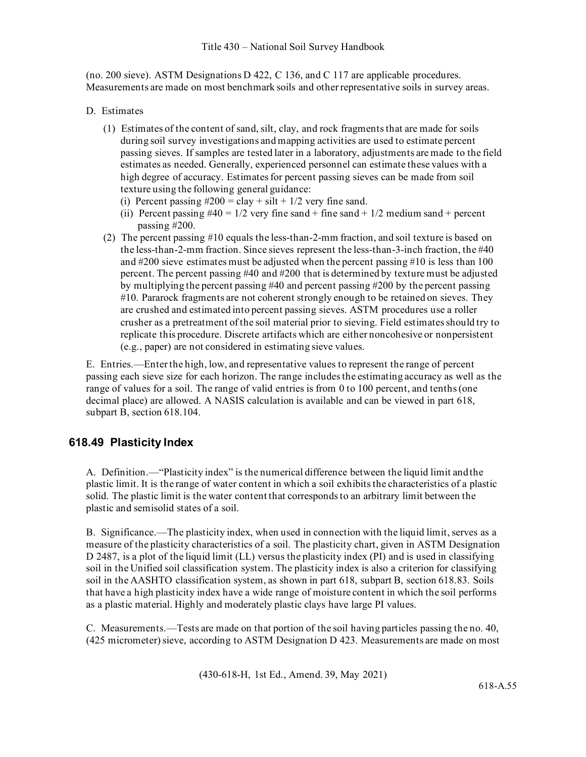(no. 200 sieve). ASTM Designations D 422, C 136, and C 117 are applicable procedures. Measurements are made on most benchmark soils and other representative soils in survey areas.

- D. Estimates
	- (1) Estimates of the content of sand, silt, clay, and rock fragments that are made for soils during soil survey investigations and mapping activities are used to estimate percent passing sieves. If samples are tested later in a laboratory, adjustments are made to the field estimates as needed. Generally, experienced personnel can estimate these values with a high degree of accuracy. Estimates for percent passing sieves can be made from soil texture using the following general guidance:
		- (i) Percent passing  $\#200 = \text{clay} + \text{silt} + 1/2$  very fine sand.
		- (ii) Percent passing  $#40 = 1/2$  very fine sand + fine sand + 1/2 medium sand + percent passing #200.
	- (2) The percent passing #10 equals the less-than-2-mm fraction, and soil texture is based on the less-than-2-mm fraction. Since sieves represent the less-than-3-inch fraction, the #40 and #200 sieve estimates must be adjusted when the percent passing #10 is less than 100 percent. The percent passing #40 and #200 that is determined by texture must be adjusted by multiplying the percent passing #40 and percent passing #200 by the percent passing #10. Pararock fragments are not coherent strongly enough to be retained on sieves. They are crushed and estimated into percent passing sieves. ASTM procedures use a roller crusher as a pretreatment of the soil material prior to sieving. Field estimates should try to replicate this procedure. Discrete artifacts which are either noncohesive or nonpersistent (e.g., paper) are not considered in estimating sieve values.

E. Entries.—Enter the high, low, and representative values to represent the range of percent passing each sieve size for each horizon. The range includes the estimating accuracy as well as the range of values for a soil. The range of valid entries is from 0 to 100 percent, and tenths (one decimal place) are allowed. A NASIS calculation is available and can be viewed in part 618, subpart B, section 618.104.

# **618.49 Plasticity Index**

A. Definition.—"Plasticity index" is the numerical difference between the liquid limit andthe plastic limit. It is the range of water content in which a soil exhibits the characteristics of a plastic solid. The plastic limit is the water content that corresponds to an arbitrary limit between the plastic and semisolid states of a soil.

B. Significance.—The plasticity index, when used in connection with the liquid limit, serves as a measure of the plasticity characteristics of a soil. The plasticity chart, given in ASTM Designation D 2487, is a plot of the liquid limit (LL) versus the plasticity index (PI) and is used in classifying soil in the Unified soil classification system. The plasticity index is also a criterion for classifying soil in the AASHTO classification system, as shown in part 618, subpart B, section 618.83. Soils that have a high plasticity index have a wide range of moisture content in which the soil performs as a plastic material. Highly and moderately plastic clays have large PI values.

C. Measurements.—Tests are made on that portion of the soil having particles passing the no. 40, (425 micrometer) sieve, according to ASTM Designation D 423. Measurements are made on most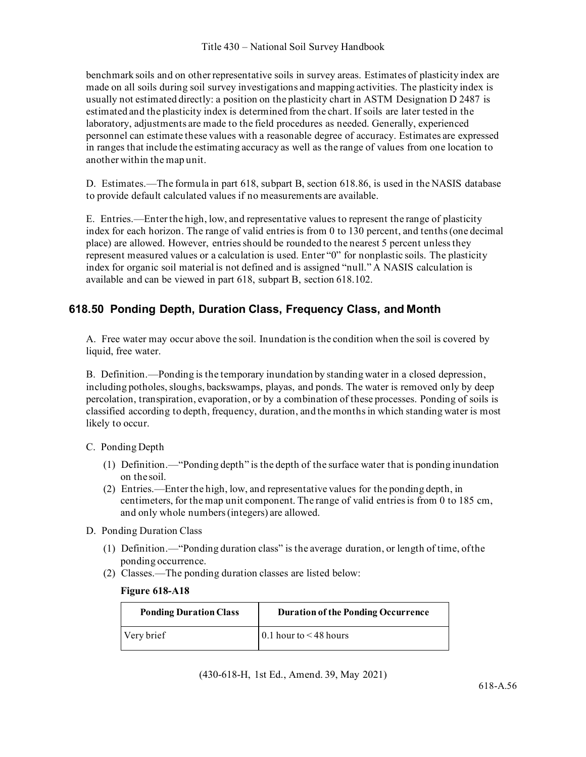benchmark soils and on other representative soils in survey areas. Estimates of plasticity index are made on all soils during soil survey investigations and mapping activities. The plasticity index is usually not estimated directly: a position on the plasticity chart in ASTM Designation D 2487 is estimated and the plasticity index is determined from the chart. If soils are later tested in the laboratory, adjustments are made to the field procedures as needed. Generally, experienced personnel can estimate these values with a reasonable degree of accuracy. Estimates are expressed in ranges that include the estimating accuracy as well as the range of values from one location to another within the map unit.

D. Estimates.—The formula in part 618, subpart B, section 618.86, is used in the NASIS database to provide default calculated values if no measurements are available.

E. Entries.—Enter the high, low, and representative values to represent the range of plasticity index for each horizon. The range of valid entries is from 0 to 130 percent, and tenths (one decimal place) are allowed. However, entries should be rounded to the nearest 5 percent unless they represent measured values or a calculation is used. Enter "0" for nonplastic soils. The plasticity index for organic soil material is not defined and is assigned "null." A NASIS calculation is available and can be viewed in part 618, subpart B, section 618.102.

# **618.50 Ponding Depth, Duration Class, Frequency Class, and Month**

A. Free water may occur above the soil. Inundation is the condition when the soil is covered by liquid, free water.

B. Definition.—Ponding is the temporary inundation by standing water in a closed depression, including potholes, sloughs, backswamps, playas, and ponds. The water is removed only by deep percolation, transpiration, evaporation, or by a combination of these processes. Ponding of soils is classified according to depth, frequency, duration, and the months in which standing water is most likely to occur.

### C. Ponding Depth

- (1) Definition.—"Ponding depth" is the depth of the surface water that is ponding inundation on the soil.
- (2) Entries.—Enter the high, low, and representative values for the ponding depth, in centimeters, for the map unit component. The range of valid entries is from 0 to 185 cm, and only whole numbers (integers) are allowed.
- D. Ponding Duration Class
	- (1) Definition.—"Ponding duration class" is the average duration, or length of time, ofthe ponding occurrence.
	- (2) Classes.—The ponding duration classes are listed below:

#### **Figure 618-A18**

| <b>Ponding Duration Class</b> | <b>Duration of the Ponding Occurrence</b> |
|-------------------------------|-------------------------------------------|
| Very brief                    | $\vert$ 0.1 hour to < 48 hours            |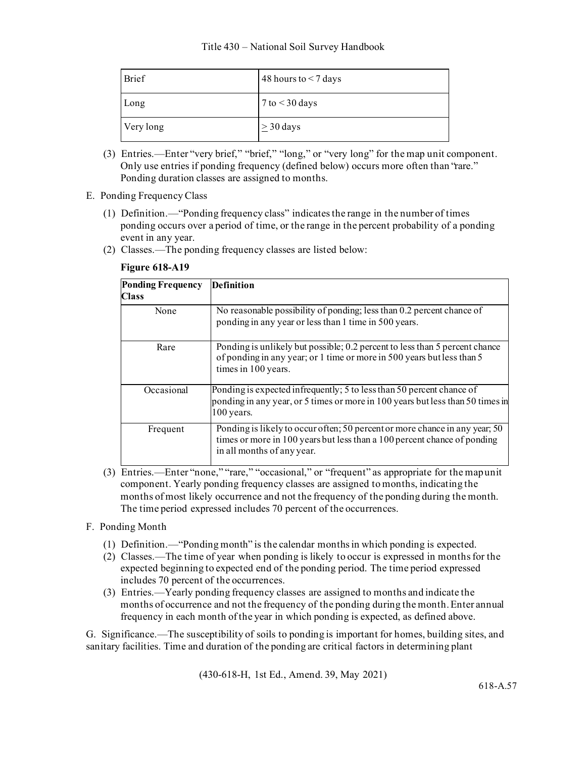| <b>Brief</b> | 48 hours to $<$ 7 days |
|--------------|------------------------|
| Long         | $7$ to $<$ 30 days     |
| Very long    | $\geq$ 30 days         |

- (3) Entries.—Enter "very brief," "brief," "long," or "very long" for the map unit component. Only use entries if ponding frequency (defined below) occurs more often than "rare." Ponding duration classes are assigned to months.
- E. Ponding Frequency Class
	- (1) Definition.—"Ponding frequency class" indicates the range in the number of times ponding occurs over a period of time, or the range in the percent probability of a ponding event in any year.
	- (2) Classes.—The ponding frequency classes are listed below:

| <b>Ponding Frequency</b><br><b>Class</b> | <b>Definition</b>                                                                                                                                                                     |
|------------------------------------------|---------------------------------------------------------------------------------------------------------------------------------------------------------------------------------------|
| None                                     | No reasonable possibility of ponding; less than 0.2 percent chance of<br>ponding in any year or less than 1 time in 500 years.                                                        |
| Rare                                     | Ponding is unlikely but possible; 0.2 percent to less than 5 percent chance<br>of ponding in any year; or 1 time or more in 500 years but less than 5<br>times in 100 years.          |
| Occasional                               | Ponding is expected infrequently; 5 to less than 50 percent chance of<br>ponding in any year, or 5 times or more in 100 years but less than 50 times in<br>$100$ years.               |
| Frequent                                 | Ponding is likely to occur often; 50 percent or more chance in any year; 50<br>times or more in 100 years but less than a 100 percent chance of ponding<br>in all months of any year. |

#### **Figure 618-A19**

(3) Entries.—Enter "none," "rare," "occasional," or "frequent" as appropriate for the mapunit component. Yearly ponding frequency classes are assigned to months, indicating the months of most likely occurrence and not the frequency of the ponding during the month. The time period expressed includes 70 percent of the occurrences.

### F. Ponding Month

- (1) Definition.—"Ponding month" is the calendar months in which ponding is expected.
- (2) Classes.—The time of year when ponding is likely to occur is expressed in months for the expected beginning to expected end of the ponding period. The time period expressed includes 70 percent of the occurrences.
- (3) Entries.—Yearly ponding frequency classes are assigned to months and indicate the months of occurrence and not the frequency of the ponding during the month. Enter annual frequency in each month of the year in which ponding is expected, as defined above.

G. Significance.—The susceptibility of soils to ponding is important for homes, building sites, and sanitary facilities. Time and duration of the ponding are critical factors in determining plant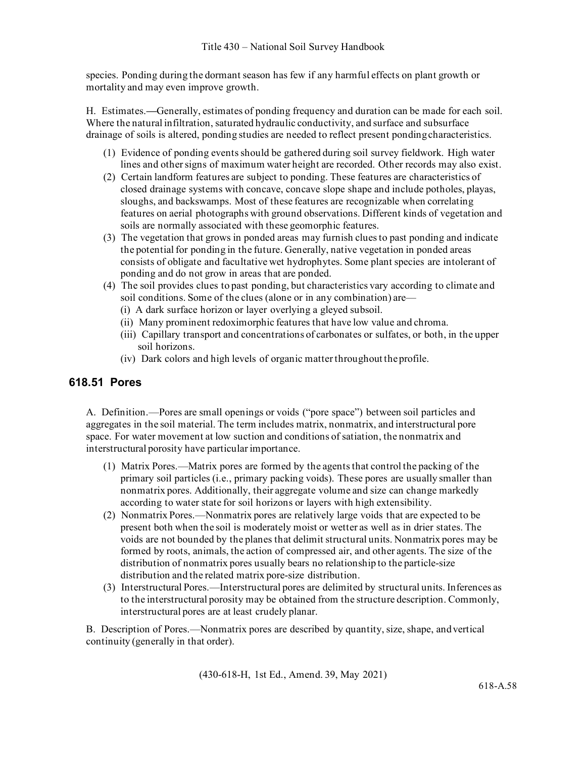species. Ponding during the dormant season has few if any harmful effects on plant growth or mortality and may even improve growth.

H. Estimates.**—**Generally, estimates of ponding frequency and duration can be made for each soil. Where the natural infiltration, saturated hydraulic conductivity, and surface and subsurface drainage of soils is altered, ponding studies are needed to reflect present pondingcharacteristics.

- (1) Evidence of ponding events should be gathered during soil survey fieldwork. High water lines and other signs of maximum water height are recorded. Other records may also exist.
- (2) Certain landform features are subject to ponding. These features are characteristics of closed drainage systems with concave, concave slope shape and include potholes, playas, sloughs, and backswamps. Most of these features are recognizable when correlating features on aerial photographs with ground observations. Different kinds of vegetation and soils are normally associated with these geomorphic features.
- (3) The vegetation that grows in ponded areas may furnish clues to past ponding and indicate the potential for ponding in the future. Generally, native vegetation in ponded areas consists of obligate and facultative wet hydrophytes. Some plant species are intolerant of ponding and do not grow in areas that are ponded.
- (4) The soil provides clues to past ponding, but characteristics vary according to climate and soil conditions. Some of the clues (alone or in any combination) are—
	- (i) A dark surface horizon or layer overlying a gleyed subsoil.
	- (ii) Many prominent redoximorphic features that have low value and chroma.
	- (iii) Capillary transport and concentrations of carbonates or sulfates, or both, in the upper soil horizons.
	- (iv) Dark colors and high levels of organic matter throughout theprofile.

## **618.51 Pores**

A. Definition.—Pores are small openings or voids ("pore space") between soil particles and aggregates in the soil material. The term includes matrix, nonmatrix, and interstructural pore space. For water movement at low suction and conditions of satiation, the nonmatrix and interstructural porosity have particular importance.

- (1) Matrix Pores.—Matrix pores are formed by the agents that control the packing of the primary soil particles (i.e., primary packing voids). These pores are usually smaller than nonmatrix pores. Additionally, their aggregate volume and size can change markedly according to water state for soil horizons or layers with high extensibility.
- (2) Nonmatrix Pores.—Nonmatrix pores are relatively large voids that are expected to be present both when the soil is moderately moist or wetter as well as in drier states. The voids are not bounded by the planes that delimit structural units. Nonmatrix pores may be formed by roots, animals, the action of compressed air, and other agents. The size of the distribution of nonmatrix pores usually bears no relationship to the particle-size distribution and the related matrix pore-size distribution.
- (3) Interstructural Pores.—Interstructural pores are delimited by structural units. Inferences as to the interstructural porosity may be obtained from the structure description. Commonly, interstructural pores are at least crudely planar.

B. Description of Pores.—Nonmatrix pores are described by quantity, size, shape, andvertical continuity (generally in that order).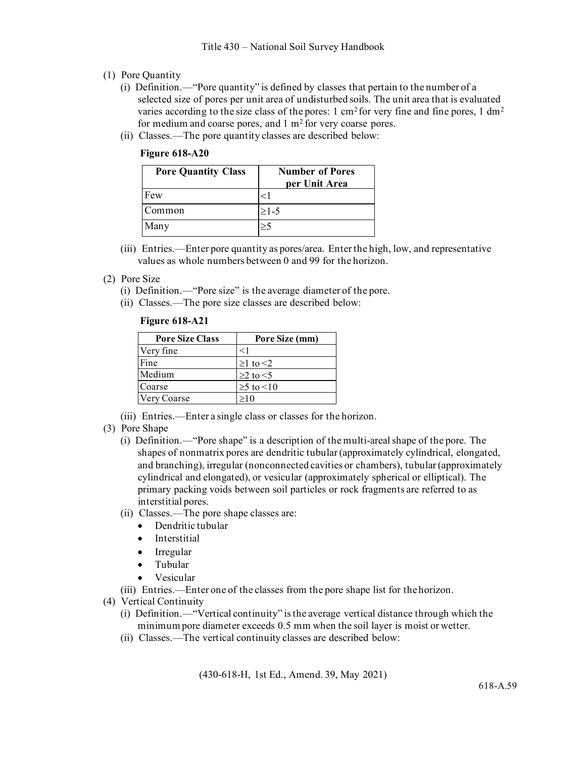- (1) Pore Quantity
	- (i) Definition.—"Pore quantity" is defined by classes that pertain to the number of a selected size of pores per unit area of undisturbed soils. The unit area that is evaluated varies according to the size class of the pores:  $1 \text{ cm}^2$  for very fine and fine pores,  $1 \text{ dm}^2$ for medium and coarse pores, and  $1 \text{ m}^2$  for very coarse pores.
	- (ii) Classes.—The pore quantity classes are described below:

#### **Figure 618-A20**

| <b>Pore Quantity Class</b> | <b>Number of Pores</b><br>per Unit Area |
|----------------------------|-----------------------------------------|
| Few                        | $<$ 1                                   |
| Common                     | $\geq 1-5$                              |
| Many                       | >:                                      |

(iii) Entries.—Enter pore quantity as pores/area. Enter the high, low, and representative values as whole numbers between 0 and 99 for the horizon.

#### (2) Pore Size

- (i) Definition.—"Pore size" is the average diameter of the pore.
- (ii) Classes.—The pore size classes are described below:

|  | <b>Figure 618-A21</b> |
|--|-----------------------|
|--|-----------------------|

| <b>Pore Size Class</b> | Pore Size (mm)       |  |
|------------------------|----------------------|--|
| Very fine              | $<$ 1                |  |
| Fine                   | $\geq 1$ to $\leq 2$ |  |
| Medium                 | $\geq$ to $\leq$ 5   |  |
| Coarse                 | $\geq$ to $\leq$ 10  |  |
| Very Coarse            | >10                  |  |

- (iii) Entries.—Enter a single class or classes for the horizon.
- (3) Pore Shape
	- (i) Definition.—"Pore shape" is a description of the multi-areal shape of the pore. The shapes of nonmatrix pores are dendritic tubular (approximately cylindrical, elongated, and branching), irregular (nonconnected cavities or chambers), tubular (approximately cylindrical and elongated), or vesicular (approximately spherical or elliptical). The primary packing voids between soil particles or rock fragments are referred to as interstitial pores.
	- (ii) Classes.—The pore shape classes are:
		- Dendritic tubular
		- Interstitial
		- Irregular
		- Tubular
		- Vesicular

(iii) Entries.—Enter one of the classes from the pore shape list for thehorizon.

- (4) Vertical Continuity
	- (i) Definition.—"Vertical continuity" is the average vertical distance through which the minimum pore diameter exceeds 0.5 mm when the soil layer is moist or wetter.
	- (ii) Classes.—The vertical continuity classes are described below: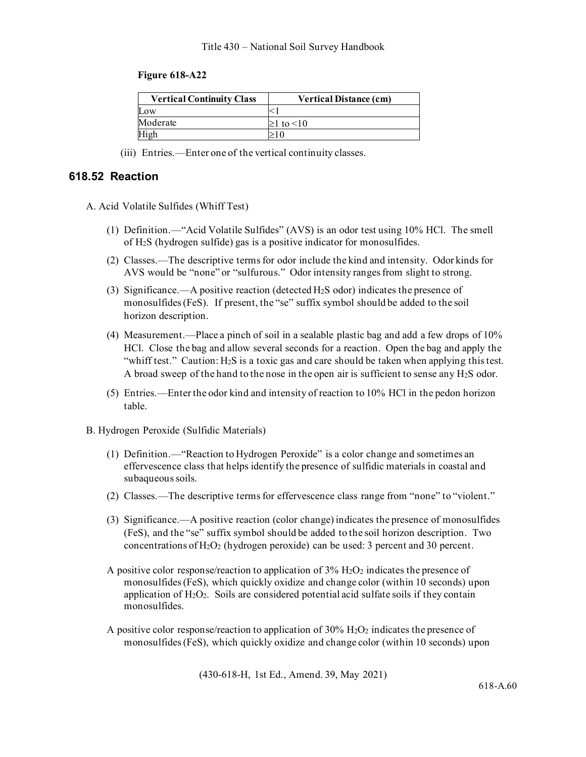#### **Figure 618-A22**

| <b>Vertical Continuity Class</b> | <b>Vertical Distance (cm)</b> |  |
|----------------------------------|-------------------------------|--|
| Low                              |                               |  |
| Moderate                         | $\geq$ 1 to $\leq$ 10         |  |
|                                  |                               |  |

(iii) Entries.—Enter one of the vertical continuity classes.

#### **618.52 Reaction**

- A. Acid Volatile Sulfides (Whiff Test)
	- (1) Definition.—"Acid Volatile Sulfides" (AVS) is an odor test using 10% HCl. The smell of H2S (hydrogen sulfide) gas is a positive indicator for monosulfides.
	- (2) Classes.—The descriptive terms for odor include the kind and intensity. Odor kinds for AVS would be "none" or "sulfurous." Odor intensity ranges from slight to strong.
	- (3) Significance.—A positive reaction (detected H2S odor) indicates the presence of monosulfides (FeS). If present, the "se" suffix symbol should be added to the soil horizon description.
	- (4) Measurement.—Place a pinch of soil in a sealable plastic bag and add a few drops of 10% HCl. Close the bag and allow several seconds for a reaction. Open the bag and apply the "whiff test." Caution:  $H_2S$  is a toxic gas and care should be taken when applying this test. A broad sweep of the hand to the nose in the open air is sufficient to sense any H2S odor.
	- (5) Entries.—Enter the odor kind and intensity of reaction to 10% HCl in the pedon horizon table.
- B. Hydrogen Peroxide (Sulfidic Materials)
	- (1) Definition.—"Reaction to Hydrogen Peroxide" is a color change and sometimes an effervescence class that helps identify the presence of sulfidic materials in coastal and subaqueous soils.
	- (2) Classes.—The descriptive terms for effervescence class range from "none" to "violent."
	- (3) Significance.—A positive reaction (color change) indicates the presence of monosulfides (FeS), and the "se" suffix symbol should be added to the soil horizon description. Two concentrations of  $H_2O_2$  (hydrogen peroxide) can be used: 3 percent and 30 percent.
	- A positive color response/reaction to application of  $3\%$  H<sub>2</sub>O<sub>2</sub> indicates the presence of monosulfides (FeS), which quickly oxidize and change color (within 10 seconds) upon application of  $H_2O_2$ . Soils are considered potential acid sulfate soils if they contain monosulfides.
	- A positive color response/reaction to application of  $30\%$  H<sub>2</sub>O<sub>2</sub> indicates the presence of monosulfides (FeS), which quickly oxidize and change color (within 10 seconds) upon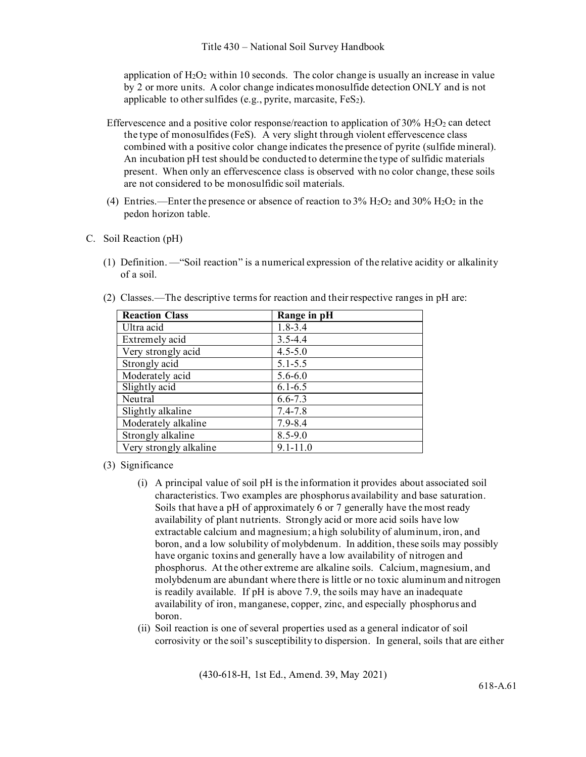application of  $H_2O_2$  within 10 seconds. The color change is usually an increase in value by 2 or more units. A color change indicates monosulfide detection ONLY and is not applicable to other sulfides (e.g., pyrite, marcasite,  $FeS<sub>2</sub>$ ).

- Effervescence and a positive color response/reaction to application of  $30\%$  H<sub>2</sub>O<sub>2</sub> can detect the type of monosulfides (FeS). A very slight through violent effervescence class combined with a positive color change indicates the presence of pyrite (sulfide mineral). An incubation pH test should be conducted to determine the type of sulfidic materials present. When only an effervescence class is observed with no color change, these soils are not considered to be monosulfidic soil materials.
- (4) Entries.—Enter the presence or absence of reaction to  $3\%$  H<sub>2</sub>O<sub>2</sub> and  $30\%$  H<sub>2</sub>O<sub>2</sub> in the pedon horizon table.
- C. Soil Reaction (pH)
	- (1) Definition. —"Soil reaction" is a numerical expression of the relative acidity or alkalinity of a soil.

| <b>Reaction Class</b>  | Range in pH  |
|------------------------|--------------|
| Ultra acid             | $1.8 - 3.4$  |
| Extremely acid         | $3.5 - 4.4$  |
| Very strongly acid     | $4.5 - 5.0$  |
| Strongly acid          | $5.1 - 5.5$  |
| Moderately acid        | $5.6 - 6.0$  |
| Slightly acid          | $6.1 - 6.5$  |
| Neutral                | $6.6 - 7.3$  |
| Slightly alkaline      | $7.4 - 7.8$  |
| Moderately alkaline    | $7.9 - 8.4$  |
| Strongly alkaline      | $8.5 - 9.0$  |
| Very strongly alkaline | $9.1 - 11.0$ |

(2) Classes.—The descriptive terms for reaction and their respective ranges in pH are:

- (3) Significance
	- (i) A principal value of soil pH is the information it provides about associated soil characteristics. Two examples are phosphorus availability and base saturation. Soils that have a pH of approximately 6 or 7 generally have the most ready availability of plant nutrients. Strongly acid or more acid soils have low extractable calcium and magnesium; a high solubility of aluminum, iron, and boron, and a low solubility of molybdenum. In addition, these soils may possibly have organic toxins and generally have a low availability of nitrogen and phosphorus. At the other extreme are alkaline soils. Calcium, magnesium, and molybdenum are abundant where there is little or no toxic aluminum and nitrogen is readily available. If pH is above 7.9, the soils may have an inadequate availability of iron, manganese, copper, zinc, and especially phosphorus and boron.
	- (ii) Soil reaction is one of several properties used as a general indicator of soil corrosivity or the soil's susceptibility to dispersion. In general, soils that are either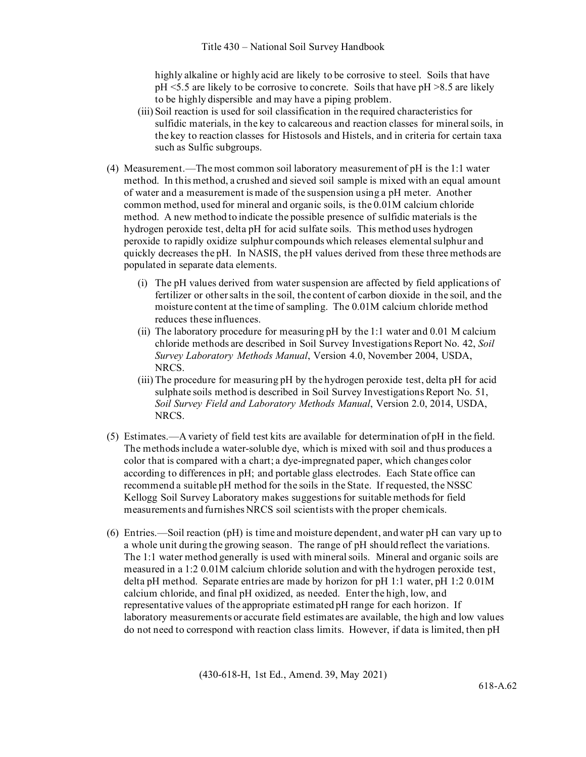highly alkaline or highly acid are likely to be corrosive to steel. Soils that have pH <5.5 are likely to be corrosive to concrete. Soils that have pH >8.5 are likely to be highly dispersible and may have a piping problem.

- (iii) Soil reaction is used for soil classification in the required characteristics for sulfidic materials, in the key to calcareous and reaction classes for mineral soils, in the key to reaction classes for Histosols and Histels, and in criteria for certain taxa such as Sulfic subgroups.
- (4) Measurement.—The most common soil laboratory measurement of pH is the 1:1 water method. In this method, a crushed and sieved soil sample is mixed with an equal amount of water and a measurement is made of the suspension using a pH meter. Another common method, used for mineral and organic soils, is the 0.01M calcium chloride method. A new method to indicate the possible presence of sulfidic materials is the hydrogen peroxide test, delta pH for acid sulfate soils. This method uses hydrogen peroxide to rapidly oxidize sulphur compounds which releases elemental sulphur and quickly decreases the pH. In NASIS, the pH values derived from these three methods are populated in separate data elements.
	- (i) The pH values derived from water suspension are affected by field applications of fertilizer or other salts in the soil, the content of carbon dioxide in the soil, and the moisture content at the time of sampling. The 0.01M calcium chloride method reduces these influences.
	- (ii) The laboratory procedure for measuring pH by the 1:1 water and 0.01 M calcium chloride methods are described in Soil Survey Investigations Report No. 42, *Soil Survey Laboratory Methods Manual*, Version 4.0, November 2004, USDA, NRCS.
	- (iii) The procedure for measuring pH by the hydrogen peroxide test, delta pH for acid sulphate soils method is described in Soil Survey Investigations Report No. 51, *Soil Survey Field and Laboratory Methods Manual*, Version 2.0, 2014, USDA, NRCS.
- (5) Estimates.—A variety of field test kits are available for determination of pH in the field. The methods include a water-soluble dye, which is mixed with soil and thus produces a color that is compared with a chart; a dye-impregnated paper, which changes color according to differences in pH; and portable glass electrodes. Each State office can recommend a suitable pH method for the soils in the State. If requested, the NSSC Kellogg Soil Survey Laboratory makes suggestions for suitable methods for field measurements and furnishes NRCS soil scientists with the proper chemicals.
- (6) Entries.—Soil reaction (pH) is time and moisture dependent, and water pH can vary up to a whole unit during the growing season. The range of pH should reflect the variations. The 1:1 water method generally is used with mineral soils. Mineral and organic soils are measured in a 1:2 0.01M calcium chloride solution and with the hydrogen peroxide test, delta pH method. Separate entries are made by horizon for pH 1:1 water, pH 1:2 0.01M calcium chloride, and final pH oxidized, as needed. Enter the high, low, and representative values of the appropriate estimated pH range for each horizon. If laboratory measurements or accurate field estimates are available, the high and low values do not need to correspond with reaction class limits. However, if data is limited, then pH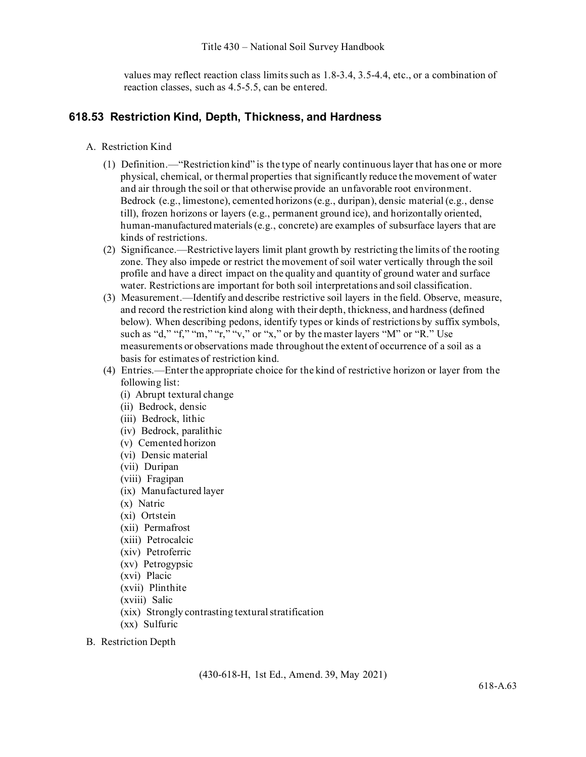values may reflect reaction class limits such as 1.8-3.4, 3.5-4.4, etc., or a combination of reaction classes, such as 4.5-5.5, can be entered.

## **618.53 Restriction Kind, Depth, Thickness, and Hardness**

- A. Restriction Kind
	- (1) Definition.—"Restriction kind" is the type of nearly continuous layer that has one or more physical, chemical, or thermal properties that significantly reduce the movement of water and air through the soil or that otherwise provide an unfavorable root environment. Bedrock (e.g., limestone), cemented horizons (e.g., duripan), densic material (e.g., dense till), frozen horizons or layers (e.g., permanent ground ice), and horizontally oriented, human-manufactured materials (e.g., concrete) are examples of subsurface layers that are kinds of restrictions.
	- (2) Significance.—Restrictive layers limit plant growth by restricting the limits of the rooting zone. They also impede or restrict the movement of soil water vertically through the soil profile and have a direct impact on the quality and quantity of ground water and surface water. Restrictions are important for both soil interpretations and soil classification.
	- (3) Measurement.—Identify and describe restrictive soil layers in the field. Observe, measure, and record the restriction kind along with their depth, thickness, and hardness (defined below). When describing pedons, identify types or kinds of restrictions by suffix symbols, such as "d," "f," "m," "r," "v," or "x," or by the master layers "M" or "R." Use measurements or observations made throughout the extent of occurrence of a soil as a basis for estimates of restriction kind.
	- (4) Entries.—Enter the appropriate choice for the kind of restrictive horizon or layer from the following list:
		- (i) Abrupt textural change
		- (ii) Bedrock, densic
		- (iii) Bedrock, lithic
		- (iv) Bedrock, paralithic
		- (v) Cemented horizon
		- (vi) Densic material
		- (vii) Duripan
		- (viii) Fragipan
		- (ix) Manufactured layer
		- (x) Natric
		- (xi) Ortstein
		- (xii) Permafrost
		- (xiii) Petrocalcic
		- (xiv) Petroferric
		- (xv) Petrogypsic
		- (xvi) Placic
		- (xvii) Plinthite
		- (xviii) Salic
		- (xix) Strongly contrasting textural stratification
		- (xx) Sulfuric
- B. Restriction Depth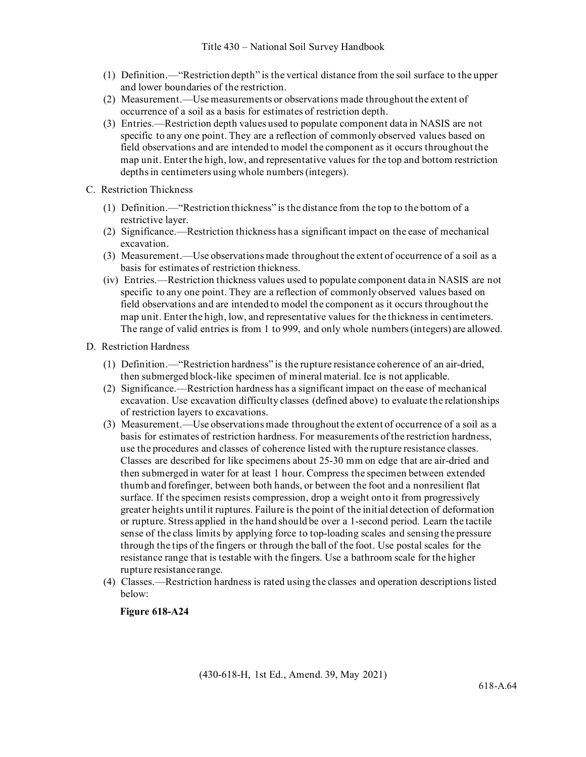- (1) Definition.—"Restriction depth" is the vertical distance from the soil surface to the upper and lower boundaries of the restriction.
- (2) Measurement.—Use measurements or observations made throughout the extent of occurrence of a soil as a basis for estimates of restriction depth.
- (3) Entries.—Restriction depth values used to populate component data in NASIS are not specific to any one point. They are a reflection of commonly observed values based on field observations and are intended to model the component as it occurs throughout the map unit. Enter the high, low, and representative values for the top and bottom restriction depths in centimeters using whole numbers(integers).
- C. Restriction Thickness
	- (1) Definition.—"Restriction thickness" is the distance from the top to the bottom of a restrictive layer.
	- (2) Significance.—Restriction thickness has a significant impact on the ease of mechanical excavation.
	- (3) Measurement.—Use observations made throughout the extent of occurrence of a soil as a basis for estimates of restriction thickness.
	- (iv) Entries.—Restriction thickness values used to populate component data in NASIS are not specific to any one point. They are a reflection of commonly observed values based on field observations and are intended to model the component as it occurs throughout the map unit. Enter the high, low, and representative values for the thickness in centimeters. The range of valid entries is from 1 to 999, and only whole numbers (integers) are allowed.
- D. Restriction Hardness
	- (1) Definition.—"Restriction hardness" is the rupture resistance coherence of an air-dried, then submerged block-like specimen of mineral material. Ice is not applicable.
	- (2) Significance.—Restriction hardness has a significant impact on the ease of mechanical excavation. Use excavation difficulty classes (defined above) to evaluate the relationships of restriction layers to excavations.
	- (3) Measurement.—Use observations made throughout the extent of occurrence of a soil as a basis for estimates of restriction hardness. For measurements of the restriction hardness, use the procedures and classes of coherence listed with the rupture resistance classes. Classes are described for like specimens about 25-30 mm on edge that are air-dried and then submerged in water for at least 1 hour. Compress the specimen between extended thumb and forefinger, between both hands, or between the foot and a nonresilient flat surface. If the specimen resists compression, drop a weight onto it from progressively greater heights untilit ruptures. Failure is the point of the initial detection of deformation or rupture. Stress applied in the hand should be over a 1-second period. Learn the tactile sense of the class limits by applying force to top-loading scales and sensing the pressure through the tips of the fingers or through the ball of the foot. Use postal scales for the resistance range that is testable with the fingers. Use a bathroom scale for the higher rupture resistance range.
	- (4) Classes.—Restriction hardness is rated using the classes and operation descriptions listed below:

**Figure 618-A24**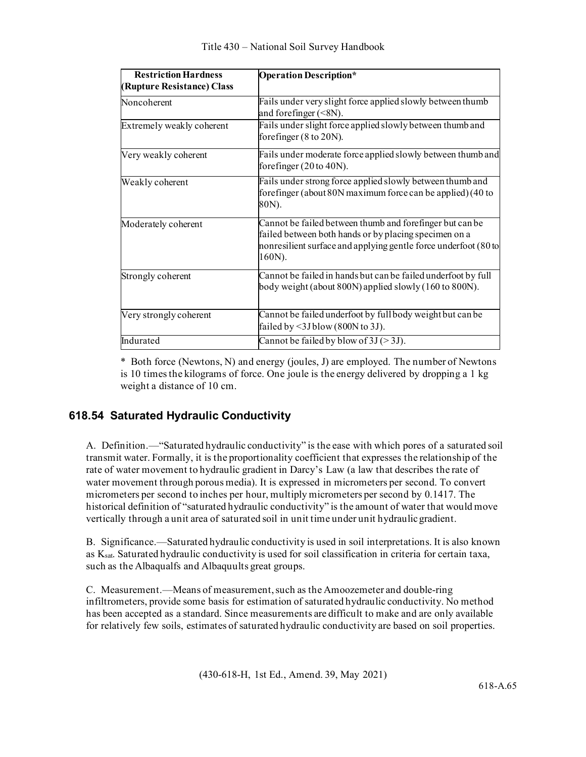| <b>Restriction Hardness</b><br>(Rupture Resistance) Class | <b>Operation Description*</b>                                                                                                                                                                  |
|-----------------------------------------------------------|------------------------------------------------------------------------------------------------------------------------------------------------------------------------------------------------|
| Noncoherent                                               | Fails under very slight force applied slowly between thumb<br>and forefinger $(<8N)$ .                                                                                                         |
| Extremely weakly coherent                                 | Fails under slight force applied slowly between thumb and<br>forefinger $(8 \text{ to } 20 \text{N})$ .                                                                                        |
| Very weakly coherent                                      | Fails under moderate force applied slowly between thumb and<br>forefinger $(20 \text{ to } 40 \text{N})$ .                                                                                     |
| Weakly coherent                                           | Fails under strong force applied slowly between thumb and<br>forefinger (about 80N maximum force can be applied) (40 to<br>80N).                                                               |
| Moderately coherent                                       | Cannot be failed between thumb and forefinger but can be<br>failed between both hands or by placing specimen on a<br>nonresilient surface and applying gentle force underfoot (80 to<br>160N). |
| Strongly coherent                                         | Cannot be failed in hands but can be failed underfoot by full<br>body weight (about $800N$ ) applied slowly (160 to $800N$ ).                                                                  |
| Very strongly coherent                                    | Cannot be failed underfoot by full body weight but can be<br>failed by <3J blow (800N to 3J).                                                                                                  |
| Indurated                                                 | Cannot be failed by blow of $3J (> 3J)$ .                                                                                                                                                      |

\* Both force (Newtons, N) and energy (joules, J) are employed. The number of Newtons is 10 times the kilograms of force. One joule is the energy delivered by dropping a 1 kg weight a distance of 10 cm.

# **618.54 Saturated Hydraulic Conductivity**

A. Definition.—"Saturated hydraulic conductivity" is the ease with which pores of a saturated soil transmit water. Formally, it is the proportionality coefficient that expresses the relationship of the rate of water movement to hydraulic gradient in Darcy's Law (a law that describes the rate of water movement through porous media). It is expressed in micrometers per second. To convert micrometers per second to inches per hour, multiply micrometers per second by 0.1417. The historical definition of "saturated hydraulic conductivity" is the amount of water that would move vertically through a unit area of saturated soil in unit time under unit hydraulicgradient.

B. Significance.—Saturated hydraulic conductivity is used in soil interpretations. It is also known as Ksat. Saturated hydraulic conductivity is used for soil classification in criteria for certain taxa, such as the Albaqualfs and Albaquults great groups.

C. Measurement.—Means of measurement, such as the Amoozemeter and double-ring infiltrometers, provide some basis for estimation of saturated hydraulic conductivity. No method has been accepted as a standard. Since measurements are difficult to make and are only available for relatively few soils, estimates of saturated hydraulic conductivity are based on soil properties.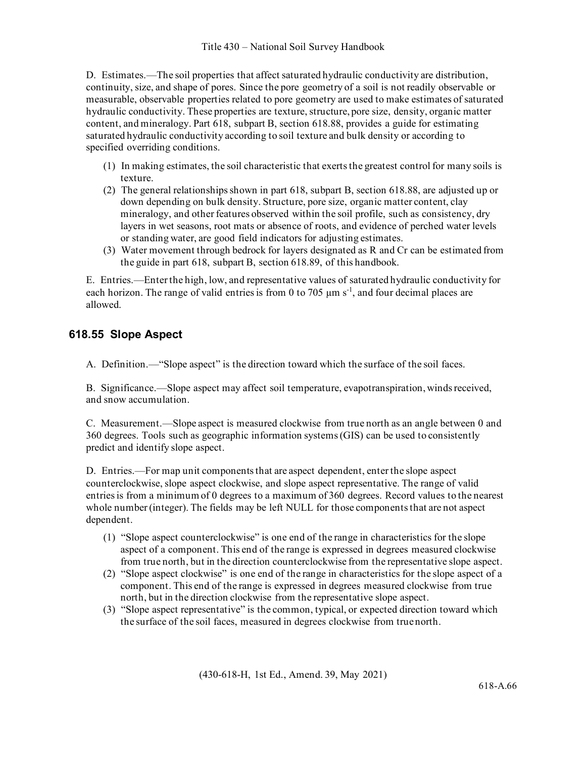D. Estimates.—The soil properties that affect saturated hydraulic conductivity are distribution, continuity, size, and shape of pores. Since the pore geometry of a soil is not readily observable or measurable, observable properties related to pore geometry are used to make estimates of saturated hydraulic conductivity. These properties are texture, structure, pore size, density, organic matter content, and mineralogy. Part 618, subpart B, section 618.88, provides a guide for estimating saturated hydraulic conductivity according to soil texture and bulk density or according to specified overriding conditions.

- (1) In making estimates, the soil characteristic that exerts the greatest control for many soils is texture.
- (2) The general relationships shown in part 618, subpart B, section 618.88, are adjusted up or down depending on bulk density. Structure, pore size, organic matter content, clay mineralogy, and other features observed within the soil profile, such as consistency, dry layers in wet seasons, root mats or absence of roots, and evidence of perched water levels or standing water, are good field indicators for adjusting estimates.
- (3) Water movement through bedrock for layers designated as R and Cr can be estimated from the guide in part 618, subpart B, section 618.89, of this handbook.

E. Entries.—Enter the high, low, and representative values of saturated hydraulic conductivity for each horizon. The range of valid entries is from 0 to 705  $\mu$ m s<sup>-1</sup>, and four decimal places are allowed.

# **618.55 Slope Aspect**

A. Definition.—"Slope aspect" is the direction toward which the surface of the soil faces.

B. Significance.—Slope aspect may affect soil temperature, evapotranspiration, winds received, and snow accumulation.

C. Measurement.—Slope aspect is measured clockwise from true north as an angle between 0 and 360 degrees. Tools such as geographic information systems (GIS) can be used to consistently predict and identify slope aspect.

D. Entries.—For map unit components that are aspect dependent, enter the slope aspect counterclockwise, slope aspect clockwise, and slope aspect representative. The range of valid entries is from a minimum of 0 degrees to a maximum of 360 degrees. Record values to the nearest whole number (integer). The fields may be left NULL for those components that are not aspect dependent.

- (1) "Slope aspect counterclockwise" is one end of the range in characteristics for the slope aspect of a component. This end of the range is expressed in degrees measured clockwise from true north, but in the direction counterclockwise from the representative slope aspect.
- (2) "Slope aspect clockwise" is one end of the range in characteristics for the slope aspect of a component. This end of the range is expressed in degrees measured clockwise from true north, but in the direction clockwise from the representative slope aspect.
- (3) "Slope aspect representative" is the common, typical, or expected direction toward which the surface of the soil faces, measured in degrees clockwise from truenorth.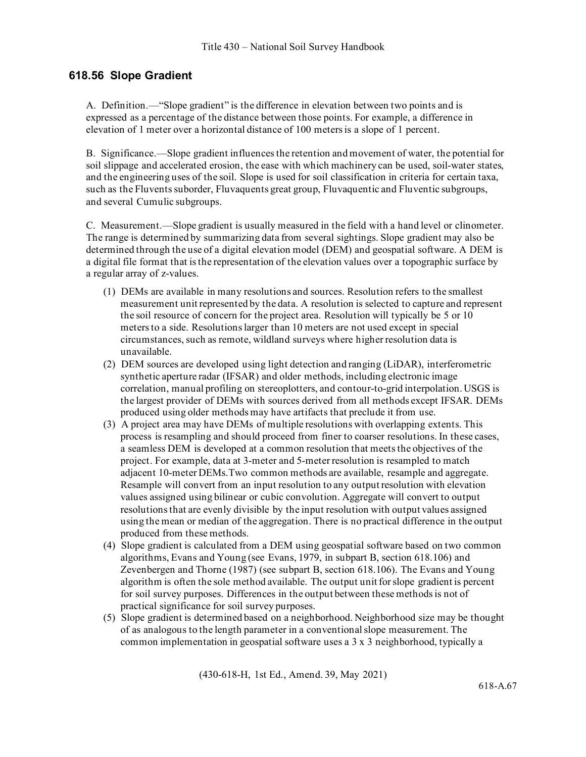# **618.56 Slope Gradient**

A. Definition.—"Slope gradient" is the difference in elevation between two points and is expressed as a percentage of the distance between those points. For example, a difference in elevation of 1 meter over a horizontal distance of 100 meters is a slope of 1 percent.

B. Significance.—Slope gradient influences the retention and movement of water, the potential for soil slippage and accelerated erosion, the ease with which machinery can be used, soil-water states, and the engineering uses of the soil. Slope is used for soil classification in criteria for certain taxa, such as the Fluvents suborder, Fluvaquents great group, Fluvaquentic and Fluventic subgroups, and several Cumulic subgroups.

C. Measurement.—Slope gradient is usually measured in the field with a hand level or clinometer. The range is determined by summarizing data from several sightings. Slope gradient may also be determined through the use of a digital elevation model (DEM) and geospatial software. A DEM is a digital file format that is the representation of the elevation values over a topographic surface by a regular array of z-values.

- (1) DEMs are available in many resolutions and sources. Resolution refers to the smallest measurement unit represented by the data. A resolution is selected to capture and represent the soil resource of concern for the project area. Resolution will typically be 5 or 10 meters to a side. Resolutions larger than 10 meters are not used except in special circumstances, such as remote, wildland surveys where higher resolution data is unavailable.
- (2) DEM sources are developed using light detection and ranging (LiDAR), interferometric synthetic aperture radar (IFSAR) and older methods, including electronic image correlation, manual profiling on stereoplotters, and contour-to-grid interpolation. USGS is the largest provider of DEMs with sources derived from all methods except IFSAR. DEMs produced using older methods may have artifacts that preclude it from use.
- (3) A project area may have DEMs of multiple resolutions with overlapping extents. This process is resampling and should proceed from finer to coarser resolutions. In these cases, a seamless DEM is developed at a common resolution that meets the objectives of the project. For example, data at 3-meter and 5-meter resolution is resampled to match adjacent 10-meter DEMs.Two common methods are available, resample and aggregate. Resample will convert from an input resolution to any output resolution with elevation values assigned using bilinear or cubic convolution. Aggregate will convert to output resolutions that are evenly divisible by the input resolution with output values assigned using the mean or median of the aggregation. There is no practical difference in the output produced from these methods.
- (4) Slope gradient is calculated from a DEM using geospatial software based on two common algorithms, Evans and Young (see Evans, 1979, in subpart B, section 618.106) and Zevenbergen and Thorne (1987) (see subpart B, section 618.106). The Evans and Young algorithm is often the sole method available. The output unit for slope gradient is percent for soil survey purposes. Differences in the output between these methods is not of practical significance for soil survey purposes.
- (5) Slope gradient is determined based on a neighborhood. Neighborhood size may be thought of as analogous to the length parameter in a conventional slope measurement. The common implementation in geospatial software uses a 3 x 3 neighborhood, typically a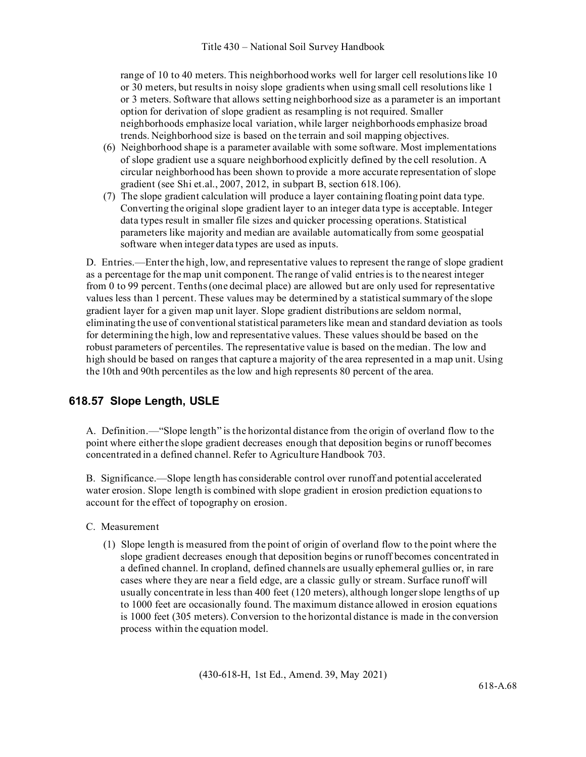range of 10 to 40 meters. This neighborhood works well for larger cell resolutions like 10 or 30 meters, but results in noisy slope gradients when using small cell resolutions like 1 or 3 meters. Software that allows setting neighborhood size as a parameter is an important option for derivation of slope gradient as resampling is not required. Smaller neighborhoods emphasize local variation, while larger neighborhoods emphasize broad trends. Neighborhood size is based on the terrain and soil mapping objectives.

- (6) Neighborhood shape is a parameter available with some software. Most implementations of slope gradient use a square neighborhood explicitly defined by the cell resolution. A circular neighborhood has been shown to provide a more accurate representation of slope gradient (see Shi et.al., 2007, 2012, in subpart B, section 618.106).
- (7) The slope gradient calculation will produce a layer containing floating point data type. Converting the original slope gradient layer to an integer data type is acceptable. Integer data types result in smaller file sizes and quicker processing operations. Statistical parameters like majority and median are available automatically from some geospatial software when integer data types are used as inputs.

D. Entries.—Enter the high, low, and representative values to represent the range of slope gradient as a percentage for the map unit component. The range of valid entries is to the nearest integer from 0 to 99 percent. Tenths (one decimal place) are allowed but are only used for representative values less than 1 percent. These values may be determined by a statistical summary of the slope gradient layer for a given map unit layer. Slope gradient distributions are seldom normal, eliminating the use of conventional statistical parameters like mean and standard deviation as tools for determining the high, low and representative values. These values should be based on the robust parameters of percentiles. The representative value is based on the median. The low and high should be based on ranges that capture a majority of the area represented in a map unit. Using the 10th and 90th percentiles as the low and high represents 80 percent of the area.

# **618.57 Slope Length, USLE**

A. Definition.—"Slope length" is the horizontal distance from the origin of overland flow to the point where either the slope gradient decreases enough that deposition begins or runoff becomes concentrated in a defined channel. Refer to Agriculture Handbook 703.

B. Significance.—Slope length has considerable control over runoff and potential accelerated water erosion. Slope length is combined with slope gradient in erosion prediction equations to account for the effect of topography on erosion.

- C. Measurement
	- (1) Slope length is measured from the point of origin of overland flow to the point where the slope gradient decreases enough that deposition begins or runoff becomes concentrated in a defined channel. In cropland, defined channels are usually ephemeral gullies or, in rare cases where they are near a field edge, are a classic gully or stream. Surface runoff will usually concentrate in less than 400 feet (120 meters), although longer slope lengths of up to 1000 feet are occasionally found. The maximum distance allowed in erosion equations is 1000 feet (305 meters). Conversion to the horizontal distance is made in the conversion process within the equation model.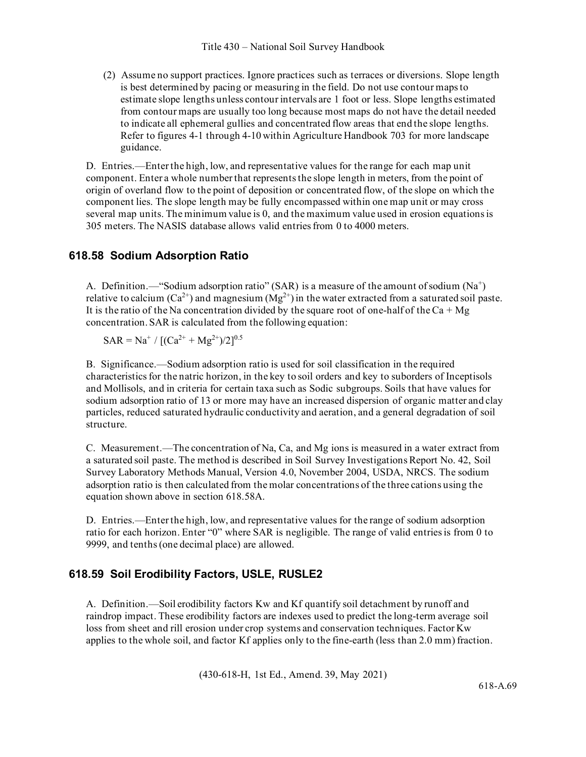(2) Assume no support practices. Ignore practices such as terraces or diversions. Slope length is best determined by pacing or measuring in the field. Do not use contour maps to estimate slope lengths unless contour intervals are 1 foot or less. Slope lengths estimated from contour maps are usually too long because most maps do not have the detail needed to indicate all ephemeral gullies and concentrated flow areas that end the slope lengths. Refer to figures 4-1 through 4-10 within Agriculture Handbook 703 for more landscape guidance.

D. Entries.—Enter the high, low, and representative values for the range for each map unit component. Enter a whole number that represents the slope length in meters, from the point of origin of overland flow to the point of deposition or concentrated flow, of the slope on which the component lies. The slope length may be fully encompassed within one map unit or may cross several map units. The minimum value is 0, and the maximum value used in erosion equations is 305 meters. The NASIS database allows valid entries from 0 to 4000 meters.

## **618.58 Sodium Adsorption Ratio**

A. Definition.—"Sodium adsorption ratio" (SAR) is a measure of the amount of sodium  $(Na^+)$ relative to calcium  $(Ca^{2+})$  and magnesium  $(Mg^{2+})$  in the water extracted from a saturated soil paste. It is the ratio of the Na concentration divided by the square root of one-half of the  $Ca + Mg$ concentration. SAR is calculated from the following equation:

 $SAR = Na^{+} / [(Ca^{2+} + Mg^{2+})/2]^{0.5}$ 

B. Significance.—Sodium adsorption ratio is used for soil classification in the required characteristics for the natric horizon, in the key to soil orders and key to suborders of Inceptisols and Mollisols, and in criteria for certain taxa such as Sodic subgroups. Soils that have values for sodium adsorption ratio of 13 or more may have an increased dispersion of organic matter and clay particles, reduced saturated hydraulic conductivity and aeration, and a general degradation of soil structure.

C. Measurement.—The concentration of Na, Ca, and Mg ions is measured in a water extract from a saturated soil paste. The method is described in Soil Survey Investigations Report No. 42, Soil Survey Laboratory Methods Manual, Version 4.0, November 2004, USDA, NRCS. The sodium adsorption ratio is then calculated from the molar concentrations of the three cations using the equation shown above in section 618.58A.

D. Entries.—Enter the high, low, and representative values for the range of sodium adsorption ratio for each horizon. Enter "0" where SAR is negligible. The range of valid entries is from 0 to 9999, and tenths (one decimal place) are allowed.

# **618.59 Soil Erodibility Factors, USLE, RUSLE2**

A. Definition.—Soil erodibility factors Kw and Kf quantify soil detachment by runoff and raindrop impact. These erodibility factors are indexes used to predict the long-term average soil loss from sheet and rill erosion under crop systems and conservation techniques. Factor Kw applies to the whole soil, and factor Kf applies only to the fine-earth (less than 2.0 mm) fraction.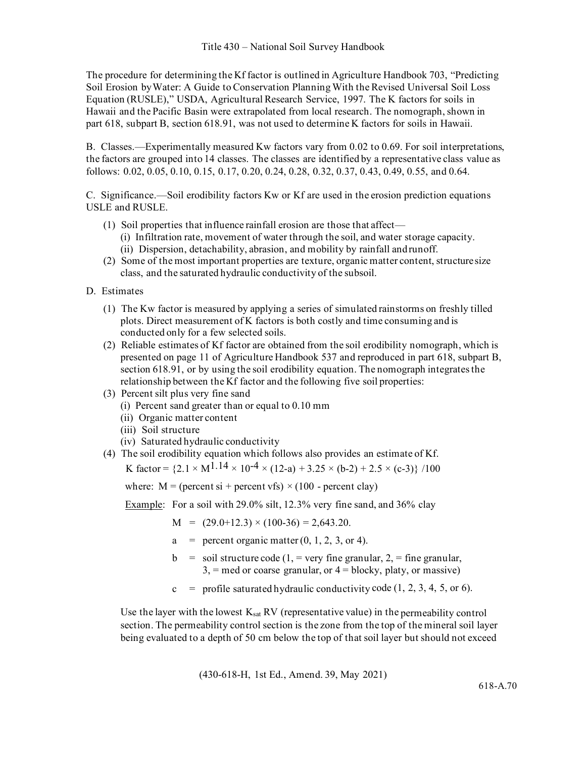The procedure for determining the Kf factor is outlined in Agriculture Handbook 703, "Predicting Soil Erosion byWater: A Guide to Conservation Planning With the Revised Universal Soil Loss Equation (RUSLE)," USDA, Agricultural Research Service, 1997. The K factors for soils in Hawaii and the Pacific Basin were extrapolated from local research. The nomograph, shown in part 618, subpart B, section 618.91, was not used to determine K factors for soils in Hawaii.

B. Classes.—Experimentally measured Kw factors vary from 0.02 to 0.69. For soil interpretations, the factors are grouped into 14 classes. The classes are identified by a representative class value as follows: 0.02, 0.05, 0.10, 0.15, 0.17, 0.20, 0.24, 0.28, 0.32, 0.37, 0.43, 0.49, 0.55, and 0.64.

C. Significance.—Soil erodibility factors Kw or Kf are used in the erosion prediction equations USLE and RUSLE.

- (1) Soil properties that influence rainfall erosion are those that affect—
	- (i) Infiltration rate, movement of water through the soil, and water storage capacity.
	- (ii) Dispersion, detachability, abrasion, and mobility by rainfall andrunoff.
- (2) Some of the most important properties are texture, organic matter content, structure size class, and the saturated hydraulic conductivity of the subsoil.
- D. Estimates
	- (1) The Kw factor is measured by applying a series of simulated rainstorms on freshly tilled plots. Direct measurement of K factors is both costly and time consuming and is conducted only for a few selected soils.
	- (2) Reliable estimates of Kf factor are obtained from the soil erodibility nomograph, which is presented on page 11 of Agriculture Handbook 537 and reproduced in part 618, subpart B, section 618.91, or by using the soil erodibility equation. The nomograph integrates the relationship between the Kf factor and the following five soil properties:
	- (3) Percent silt plus very fine sand
		- (i) Percent sand greater than or equal to 0.10 mm
		- (ii) Organic matter content
		- (iii) Soil structure
		- (iv) Saturated hydraulic conductivity
	- (4) The soil erodibility equation which follows also provides an estimate of Kf.

K factor =  $\{2.1 \times M^{1.14} \times 10^{-4} \times (12-a) + 3.25 \times (b-2) + 2.5 \times (c-3)\}$  /100

where:  $M = (percent s i + percent vfs) \times (100 - percent c lay)$ 

Example: For a soil with 29.0% silt, 12.3% very fine sand, and 36% clay

 $M = (29.0 + 12.3) \times (100 - 36) = 2{,}643.20.$ 

- $a =$  percent organic matter  $(0, 1, 2, 3, 0r 4)$ .
- $b =$  soil structure code (1, = very fine granular, 2, = fine granular,  $3$ , = med or coarse granular, or  $4 = \text{blocky}$ , platy, or massive)
- $c =$  profile saturated hydraulic conductivity code (1, 2, 3, 4, 5, or 6).

Use the layer with the lowest  $K_{sat}$  RV (representative value) in the permeability control section. The permeability control section is the zone from the top of the mineral soil layer being evaluated to a depth of 50 cm below the top of that soil layer but should not exceed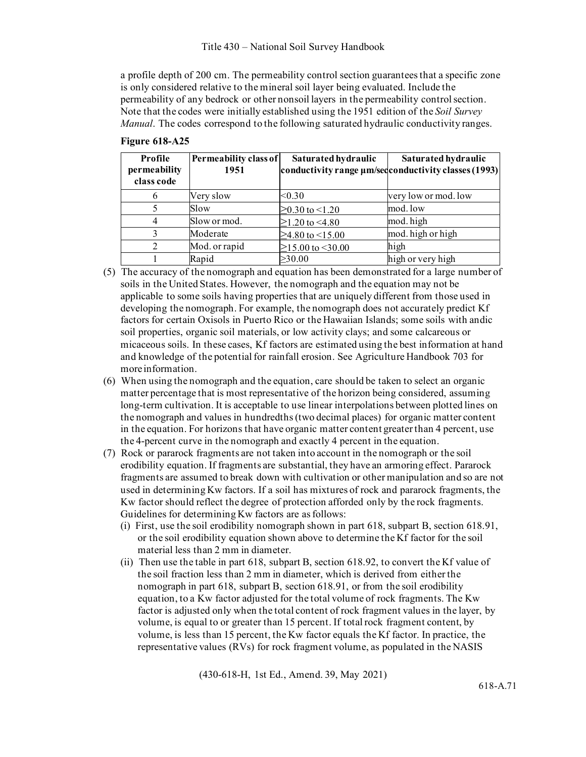a profile depth of 200 cm. The permeability control section guarantees that a specific zone is only considered relative to the mineral soil layer being evaluated. Include the permeability of any bedrock or other nonsoil layers in the permeability control section. Note that the codes were initially established using the 1951 edition of the *Soil Survey Manual*. The codes correspond to the following saturated hydraulic conductivity ranges.

| Profile<br>permeability<br>class code | Permeability class of<br>1951 | Saturated hydraulic   | Saturated hydraulic<br>conductivity range $\mu$ m/sedconductivity classes (1993) |
|---------------------------------------|-------------------------------|-----------------------|----------------------------------------------------------------------------------|
|                                       | Very slow                     | < 0.30                | very low or mod. low                                                             |
|                                       | Slow                          | $\geq$ 0.30 to <1.20  | mod. low                                                                         |
|                                       | Slow or mod.                  | $>1.20$ to $< 4.80$   | mod. high                                                                        |
|                                       | Moderate                      | $>4.80$ to $< 15.00$  | mod. high or high                                                                |
|                                       | Mod. or rapid                 | $>15.00$ to $<$ 30.00 | high                                                                             |
|                                       | Rapid                         | $\geq 30.00$          | high or very high                                                                |

|  | <b>Figure 618-A25</b> |
|--|-----------------------|
|--|-----------------------|

- (5) The accuracy of the nomograph and equation has been demonstrated for a large number of soils in the United States. However, the nomograph and the equation may not be applicable to some soils having properties that are uniquely different from those used in developing the nomograph. For example, the nomograph does not accurately predict Kf factors for certain Oxisols in Puerto Rico or the Hawaiian Islands; some soils with andic soil properties, organic soil materials, or low activity clays; and some calcareous or micaceous soils. In these cases, Kf factors are estimated using the best information at hand and knowledge of the potential for rainfall erosion. See Agriculture Handbook 703 for more information.
- (6) When using the nomograph and the equation, care should be taken to select an organic matter percentage that is most representative of the horizon being considered, assuming long-term cultivation. It is acceptable to use linear interpolations between plotted lines on the nomograph and values in hundredths (two decimal places) for organic matter content in the equation. For horizons that have organic matter content greater than 4 percent, use the 4-percent curve in the nomograph and exactly 4 percent in the equation.
- (7) Rock or pararock fragments are not taken into account in the nomograph or the soil erodibility equation. If fragments are substantial, they have an armoring effect. Pararock fragments are assumed to break down with cultivation or other manipulation and so are not used in determining Kw factors. If a soil has mixtures of rock and pararock fragments, the Kw factor should reflect the degree of protection afforded only by the rock fragments. Guidelines for determining Kw factors are as follows:
	- (i) First, use the soil erodibility nomograph shown in part 618, subpart B, section 618.91, or the soil erodibility equation shown above to determine the Kf factor for the soil material less than 2 mm in diameter.
	- (ii) Then use the table in part 618, subpart B, section 618.92, to convert the Kf value of the soil fraction less than 2 mm in diameter, which is derived from either the nomograph in part 618, subpart B, section 618.91, or from the soil erodibility equation, to a Kw factor adjusted for the total volume of rock fragments. The Kw factor is adjusted only when the total content of rock fragment values in the layer, by volume, is equal to or greater than 15 percent. If total rock fragment content, by volume, is less than 15 percent, the Kw factor equals the Kf factor. In practice, the representative values (RVs) for rock fragment volume, as populated in the NASIS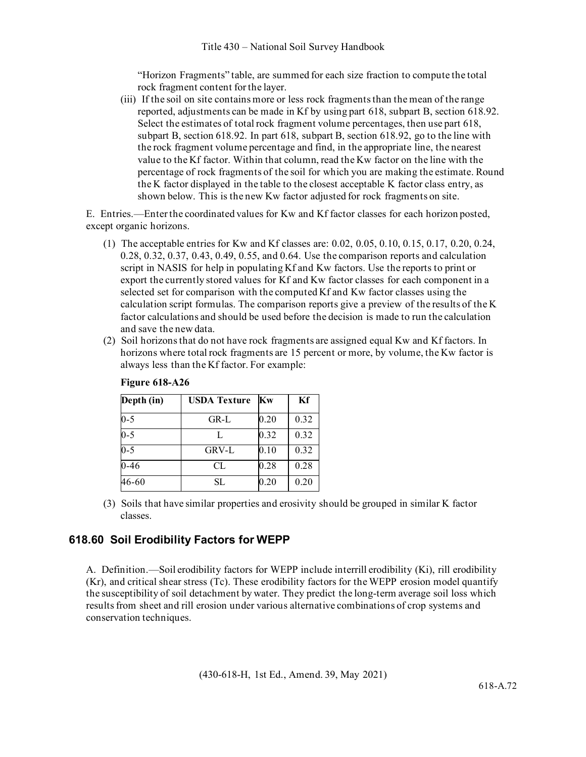"Horizon Fragments" table, are summed for each size fraction to compute the total rock fragment content for the layer.

(iii) If the soil on site contains more or less rock fragments than the mean of the range reported, adjustments can be made in Kf by using part 618, subpart B, section 618.92. Select the estimates of total rock fragment volume percentages, then use part 618, subpart B, section 618.92. In part 618, subpart B, section 618.92, go to the line with the rock fragment volume percentage and find, in the appropriate line, the nearest value to the Kf factor. Within that column, read the Kw factor on the line with the percentage of rock fragments of the soil for which you are making the estimate. Round the K factor displayed in the table to the closest acceptable K factor class entry, as shown below. This is the new Kw factor adjusted for rock fragments on site.

E. Entries.—Enter the coordinated values for Kw and Kf factor classes for each horizon posted, except organic horizons.

- (1) The acceptable entries for Kw and Kf classes are: 0.02, 0.05, 0.10, 0.15, 0.17, 0.20, 0.24, 0.28, 0.32, 0.37, 0.43, 0.49, 0.55, and 0.64. Use the comparison reports and calculation script in NASIS for help in populating Kf and Kw factors. Use the reports to print or export the currently stored values for Kf and Kw factor classes for each component in a selected set for comparison with the computed Kf and Kw factor classes using the calculation script formulas. The comparison reports give a preview of the results of the K factor calculations and should be used before the decision is made to run the calculation and save the new data.
- (2) Soil horizons that do not have rock fragments are assigned equal Kw and Kf factors. In horizons where total rock fragments are 15 percent or more, by volume, the Kw factor is always less than the Kf factor. For example:

| Depth (in) | <b>USDA Texture</b> | Kw       | Kf   |
|------------|---------------------|----------|------|
| $0 - 5$    | $GR-L$              | 0.20     | 0.32 |
| $0 - 5$    | L                   | 0.32     | 0.32 |
| $0 - 5$    | GRV-L               | $0.10\,$ | 0.32 |
| $0 - 46$   | CL                  | 0.28     | 0.28 |
| 46-60      | SL                  | 0.20     | 0.20 |

### **Figure 618-A26**

(3) Soils that have similar properties and erosivity should be grouped in similar K factor classes.

## **618.60 Soil Erodibility Factors for WEPP**

A. Definition.—Soil erodibility factors for WEPP include interrill erodibility (Ki), rill erodibility (Kr), and critical shear stress (Tc). These erodibility factors for the WEPP erosion model quantify the susceptibility of soil detachment by water. They predict the long-term average soil loss which results from sheet and rill erosion under various alternative combinations of crop systems and conservation techniques.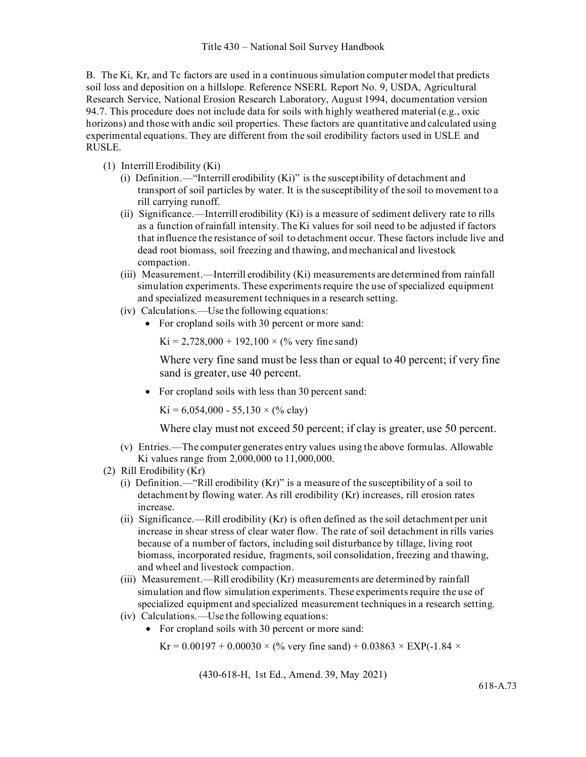B. The Ki, Kr, and Tc factors are used in a continuous simulation computer model that predicts soil loss and deposition on a hillslope. Reference NSERL Report No. 9, USDA, Agricultural Research Service, National Erosion Research Laboratory, August 1994, documentation version 94.7. This procedure does not include data for soils with highly weathered material (e.g., oxic horizons) and those with andic soil properties. These factors are quantitative and calculated using experimental equations. They are different from the soil erodibility factors used in USLE and RUSLE.

- (1) Interrill Erodibility (Ki)
	- (i) Definition.—"Interrill erodibility (Ki)" is the susceptibility of detachment and transport of soil particles by water. It is the susceptibility of the soil to movement to a rill carrying runoff.
	- (ii) Significance.—Interrill erodibility (Ki) is a measure of sediment delivery rate to rills as a function of rainfall intensity. The Ki values for soil need to be adjusted if factors that influence the resistance of soil to detachment occur. These factors include live and dead root biomass, soil freezing and thawing, and mechanical and livestock compaction.
	- (iii) Measurement.—Interrill erodibility (Ki) measurements are determined from rainfall simulation experiments. These experiments require the use of specialized equipment and specialized measurement techniques in a research setting.
	- (iv) Calculations.—Use the following equations:
		- For cropland soils with 30 percent or more sand:

 $Ki = 2,728,000 + 192,100 \times (%$  very fine sand)

Where very fine sand must be less than or equal to 40 percent; if very fine sand is greater, use 40 percent.

• For cropland soils with less than 30 percent sand:

 $Ki = 6,054,000 - 55,130 \times (% \text{ clay})$ 

Where clay must not exceed 50 percent; if clay is greater, use 50 percent.

- (v) Entries.—The computer generates entry values using the above formulas. Allowable Ki values range from 2,000,000 to 11,000,000.
- (2) Rill Erodibility (Kr)
	- (i) Definition.—"Rill erodibility (Kr)" is a measure of the susceptibility of a soil to detachment by flowing water. As rill erodibility (Kr) increases, rill erosion rates increase.
	- (ii) Significance.—Rill erodibility (Kr) is often defined as the soil detachment per unit increase in shear stress of clear water flow. The rate of soil detachment in rills varies because of a number of factors, including soil disturbance by tillage, living root biomass, incorporated residue, fragments, soil consolidation, freezing and thawing, and wheel and livestock compaction.
	- (iii) Measurement.—Rill erodibility (Kr) measurements are determined by rainfall simulation and flow simulation experiments. These experiments require the use of specialized equipment and specialized measurement techniques in a research setting.
	- (iv) Calculations.—Use the following equations:
		- For cropland soils with 30 percent or more sand:

 $Kr = 0.00197 + 0.00030 \times (%$  very fine sand) + 0.03863  $\times$  EXP(-1.84  $\times$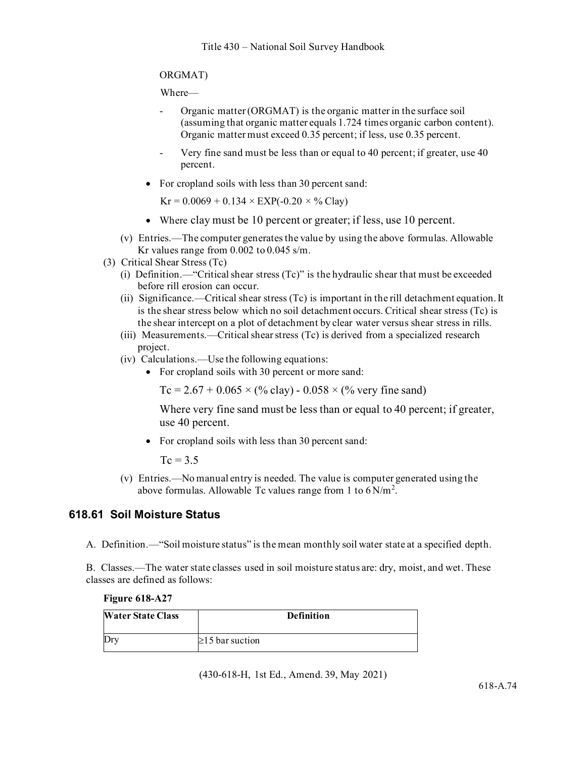### ORGMAT)

Where—

- Organic matter (ORGMAT) is the organic matter in the surface soil (assuming that organic matter equals 1.724 times organic carbon content). Organic matter must exceed 0.35 percent; if less, use 0.35 percent.
- Very fine sand must be less than or equal to 40 percent; if greater, use 40 percent.
- For cropland soils with less than 30 percent sand:

 $Kr = 0.0069 + 0.134 \times EXP(-0.20 \times \%$  Clay)

- Where clay must be 10 percent or greater; if less, use 10 percent.
- (v) Entries.—The computer generates the value by using the above formulas. Allowable Kr values range from 0.002 to 0.045 s/m.
- (3) Critical Shear Stress (Tc)
	- (i) Definition.—"Critical shear stress (Tc)" is the hydraulic shear that must be exceeded before rill erosion can occur.
	- (ii) Significance.—Critical shear stress (Tc) is important in the rill detachment equation. It is the shear stress below which no soil detachment occurs. Critical shear stress (Tc) is the shear intercept on a plot of detachment by clear water versus shear stress in rills.
	- (iii) Measurements.—Critical shear stress (Tc) is derived from a specialized research project.
	- (iv) Calculations.—Use the following equations:
		- For cropland soils with 30 percent or more sand:

Tc = 2.67 + 0.065  $\times$  (% clay) - 0.058  $\times$  (% very fine sand)

Where very fine sand must be less than or equal to 40 percent; if greater, use 40 percent.

• For cropland soils with less than 30 percent sand:

 $T_c = 3.5$ 

(v) Entries.—No manual entry is needed. The value is computer generated using the above formulas. Allowable Tc values range from 1 to  $6 \text{ N/m}^2$ .

## **618.61 Soil Moisture Status**

A. Definition.—"Soil moisture status" is the mean monthly soil water state at a specified depth.

B. Classes.—The water state classes used in soil moisture status are: dry, moist, and wet. These classes are defined as follows:

#### **Figure 618-A27**

| <b>Water State Class</b> | <b>Definition</b>     |
|--------------------------|-----------------------|
| Dry                      | $\geq$ 15 bar suction |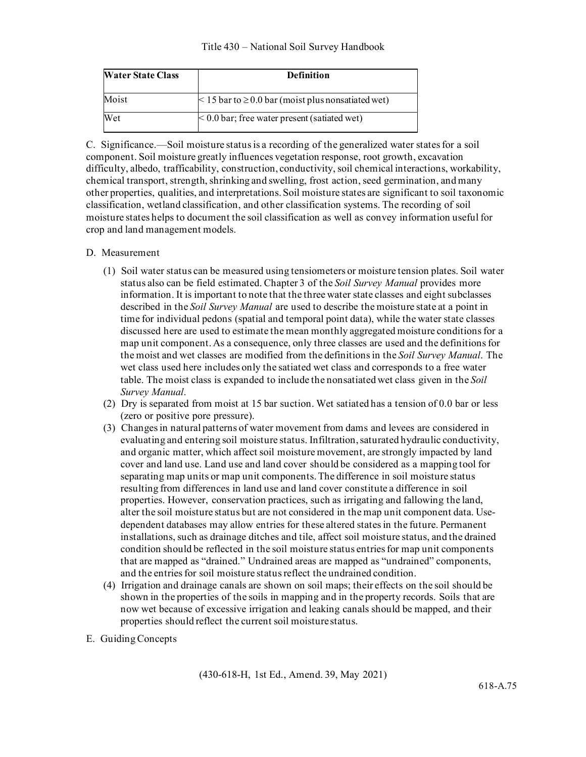| <b>Water State Class</b> | <b>Definition</b>                                            |
|--------------------------|--------------------------------------------------------------|
| Moist                    | $\leq$ 15 bar to $\geq$ 0.0 bar (moist plus nonsatiated wet) |
| Wet                      | $< 0.0$ bar; free water present (satiated wet)               |

C. Significance.—Soil moisture status is a recording of the generalized water states for a soil component. Soil moisture greatly influences vegetation response, root growth, excavation difficulty, albedo, trafficability, construction, conductivity, soil chemical interactions, workability, chemical transport, strength, shrinking and swelling, frost action, seed germination, and many other properties, qualities, and interpretations. Soil moisture states are significant to soil taxonomic classification, wetland classification, and other classification systems. The recording of soil moisture states helps to document the soil classification as well as convey information useful for crop and land management models.

### D. Measurement

- (1) Soil water status can be measured using tensiometers or moisture tension plates. Soil water status also can be field estimated. Chapter 3 of the *Soil Survey Manual* provides more information. It is important to note that the three water state classes and eight subclasses described in the *Soil Survey Manual* are used to describe the moisture state at a point in time for individual pedons (spatial and temporal point data), while the water state classes discussed here are used to estimate the mean monthly aggregated moisture conditionsfor a map unit component.As a consequence, only three classes are used and the definitions for the moist and wet classes are modified from the definitions in the *Soil Survey Manual*. The wet class used here includes only the satiated wet class and corresponds to a free water table. The moist class is expanded to include the nonsatiated wet class given in the *Soil Survey Manual*.
- (2) Dry is separated from moist at 15 bar suction. Wet satiated has a tension of 0.0 bar or less (zero or positive pore pressure).
- (3) Changes in natural patterns of water movement from dams and levees are considered in evaluating and entering soil moisture status. Infiltration, saturated hydraulic conductivity, and organic matter, which affect soil moisture movement, are strongly impacted by land cover and land use. Land use and land cover should be considered as a mapping tool for separating map units or map unit components. The difference in soil moisture status resulting from differences in land use and land cover constitute a difference in soil properties. However, conservation practices, such as irrigating and fallowing the land, alter the soil moisture status but are not considered in the map unit component data. Usedependent databases may allow entries for these altered states in the future. Permanent installations, such as drainage ditches and tile, affect soil moisture status, and the drained condition should be reflected in the soil moisture status entries for map unit components that are mapped as "drained." Undrained areas are mapped as "undrained" components, and the entries for soil moisture status reflect the undrained condition.
- (4) Irrigation and drainage canals are shown on soil maps; their effects on the soil should be shown in the properties of the soils in mapping and in the property records. Soils that are now wet because of excessive irrigation and leaking canals should be mapped, and their properties should reflect the current soil moisture status.
- E. Guiding Concepts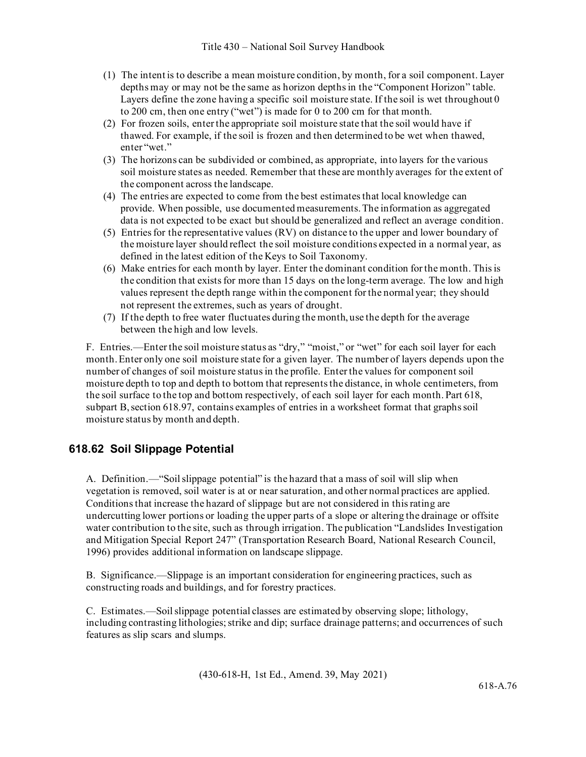- (1) The intent is to describe a mean moisture condition, by month, for a soil component. Layer depths may or may not be the same as horizon depths in the "Component Horizon" table. Layers define the zone having a specific soil moisture state. If the soil is wet throughout 0 to 200 cm, then one entry ("wet") is made for 0 to 200 cm for that month.
- (2) For frozen soils, enter the appropriate soil moisture state that the soil would have if thawed. For example, if the soil is frozen and then determined to be wet when thawed, enter "wet."
- (3) The horizons can be subdivided or combined, as appropriate, into layers for the various soil moisture states as needed. Remember that these are monthly averages for the extent of the component across the landscape.
- (4) The entries are expected to come from the best estimatesthat local knowledge can provide. When possible, use documented measurements. The information as aggregated data is not expected to be exact but should be generalized and reflect an average condition.
- (5) Entries for the representative values (RV) on distance to the upper and lower boundary of the moisture layer should reflect the soil moisture conditions expected in a normal year, as defined in the latest edition of the Keys to Soil Taxonomy.
- (6) Make entries for each month by layer. Enter the dominant condition for the month. This is the condition that exists for more than 15 days on the long-term average. The low and high values represent the depth range within the component for the normal year; they should not represent the extremes, such as years of drought.
- (7) If the depth to free water fluctuates during the month, use the depth for the average between the high and low levels.

F. Entries.—Enter the soil moisture status as "dry," "moist," or "wet" for each soil layer for each month. Enter only one soil moisture state for a given layer. The number of layers depends upon the number of changes of soil moisture status in the profile. Enter the values for component soil moisture depth to top and depth to bottom that represents the distance, in whole centimeters, from the soil surface to the top and bottom respectively, of each soil layer for each month. Part 618, subpart B,section 618.97, contains examples of entries in a worksheet format that graphs soil moisture status by month and depth.

# **618.62 Soil Slippage Potential**

A. Definition.—"Soil slippage potential" is the hazard that a mass of soil will slip when vegetation is removed, soil water is at or near saturation, and other normal practices are applied. Conditions that increase the hazard of slippage but are not considered in this rating are undercutting lower portions or loading the upper parts of a slope or altering the drainage or offsite water contribution to the site, such as through irrigation. The publication "Landslides Investigation and Mitigation Special Report 247" (Transportation Research Board, National Research Council, 1996) provides additional information on landscape slippage.

B. Significance.—Slippage is an important consideration for engineering practices, such as constructing roads and buildings, and for forestry practices.

C. Estimates.—Soil slippage potential classes are estimated by observing slope; lithology, including contrasting lithologies; strike and dip; surface drainage patterns; and occurrences of such features as slip scars and slumps.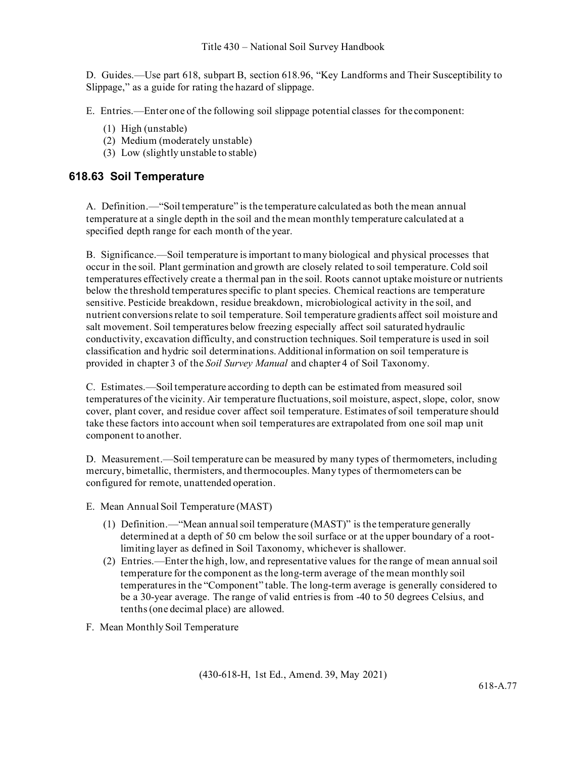D. Guides.—Use part 618, subpart B, section 618.96, "Key Landforms and Their Susceptibility to Slippage," as a guide for rating the hazard of slippage.

E. Entries.—Enter one of the following soil slippage potential classes for thecomponent:

- (1) High (unstable)
- (2) Medium (moderately unstable)
- (3) Low (slightly unstable to stable)

### **618.63 Soil Temperature**

A. Definition.—"Soil temperature" is the temperature calculated as both the mean annual temperature at a single depth in the soil and the mean monthly temperature calculated at a specified depth range for each month of the year.

B. Significance.—Soil temperature is important to many biological and physical processes that occur in the soil. Plant germination and growth are closely related to soil temperature. Cold soil temperatures effectively create a thermal pan in the soil. Roots cannot uptake moisture or nutrients below the threshold temperatures specific to plant species. Chemical reactions are temperature sensitive. Pesticide breakdown, residue breakdown, microbiological activity in the soil, and nutrient conversions relate to soil temperature. Soil temperature gradients affect soil moisture and salt movement. Soil temperatures below freezing especially affect soil saturated hydraulic conductivity, excavation difficulty, and construction techniques. Soil temperature is used in soil classification and hydric soil determinations. Additional information on soil temperature is provided in chapter 3 of the *Soil Survey Manual* and chapter 4 of Soil Taxonomy.

C. Estimates.—Soil temperature according to depth can be estimated from measured soil temperatures of the vicinity. Air temperature fluctuations, soil moisture, aspect, slope, color, snow cover, plant cover, and residue cover affect soil temperature. Estimates of soil temperature should take these factors into account when soil temperatures are extrapolated from one soil map unit component to another.

D. Measurement.—Soil temperature can be measured by many types of thermometers, including mercury, bimetallic, thermisters, and thermocouples. Many types of thermometers can be configured for remote, unattended operation.

- E. Mean Annual Soil Temperature (MAST)
	- (1) Definition.—"Mean annual soil temperature (MAST)" is the temperature generally determined at a depth of 50 cm below the soil surface or at the upper boundary of a rootlimiting layer as defined in Soil Taxonomy, whichever is shallower.
	- (2) Entries.—Enter the high, low, and representative values for the range of mean annual soil temperature for the component as the long-term average of the mean monthly soil temperatures in the "Component" table. The long-term average is generally considered to be a 30-year average. The range of valid entries is from -40 to 50 degrees Celsius, and tenths (one decimal place) are allowed.
- F. Mean Monthly Soil Temperature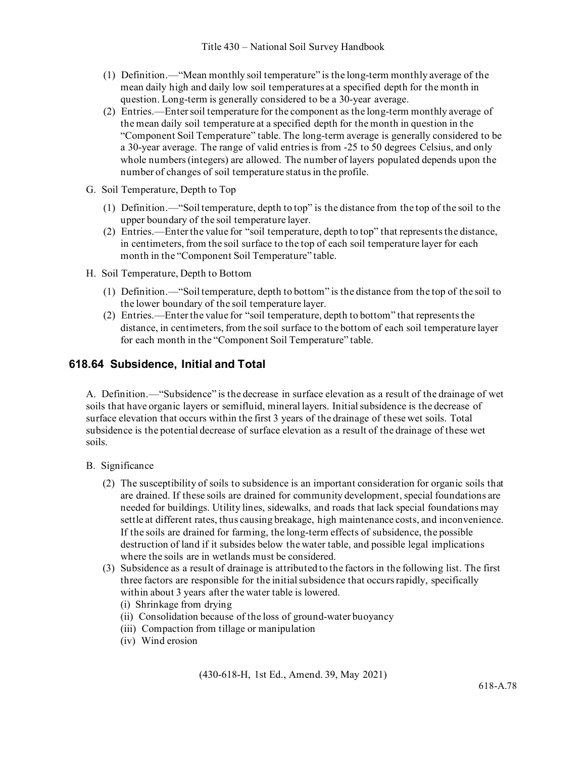- (1) Definition.—"Mean monthly soil temperature" is the long-term monthly average of the mean daily high and daily low soil temperatures at a specified depth for the month in question. Long-term is generally considered to be a 30-year average.
- (2) Entries.—Enter soil temperature for the component as the long-term monthly average of the mean daily soil temperature at a specified depth for the month in question in the "Component Soil Temperature" table. The long-term average is generally considered to be a 30-year average. The range of valid entries is from -25 to 50 degrees Celsius, and only whole numbers (integers) are allowed. The number of layers populated depends upon the number of changes of soil temperature status in the profile.
- G. Soil Temperature, Depth to Top
	- (1) Definition.—"Soil temperature, depth to top" is the distance from the top of the soil to the upper boundary of the soil temperature layer.
	- (2) Entries.—Enter the value for "soil temperature, depth to top" that represents the distance, in centimeters, from the soil surface to the top of each soil temperature layer for each month in the "Component Soil Temperature" table.
- H. Soil Temperature, Depth to Bottom
	- (1) Definition.—"Soil temperature, depth to bottom" is the distance from the top of the soil to the lower boundary of the soil temperature layer.
	- (2) Entries.—Enter the value for "soil temperature, depth to bottom" that represents the distance, in centimeters, from the soil surface to the bottom of each soil temperature layer for each month in the "Component Soil Temperature" table.

## **618.64 Subsidence, Initial and Total**

A. Definition.—"Subsidence" is the decrease in surface elevation as a result of the drainage of wet soils that have organic layers or semifluid, mineral layers. Initial subsidence is the decrease of surface elevation that occurs within the first 3 years of the drainage of these wet soils. Total subsidence is the potential decrease of surface elevation as a result of the drainage of these wet soils.

- B. Significance
	- (2) The susceptibility of soils to subsidence is an important consideration for organic soils that are drained. If these soils are drained for community development, special foundations are needed for buildings. Utility lines, sidewalks, and roads that lack special foundations may settle at different rates, thus causing breakage, high maintenance costs, and inconvenience. If the soils are drained for farming, the long-term effects of subsidence, the possible destruction of land if it subsides below the water table, and possible legal implications where the soils are in wetlands must be considered.
	- (3) Subsidence as a result of drainage is attributed to the factors in the following list. The first three factors are responsible for the initial subsidence that occurs rapidly, specifically within about 3 years after the water table is lowered.
		- (i) Shrinkage from drying
		- (ii) Consolidation because of the loss of ground-water buoyancy
		- (iii) Compaction from tillage or manipulation
		- (iv) Wind erosion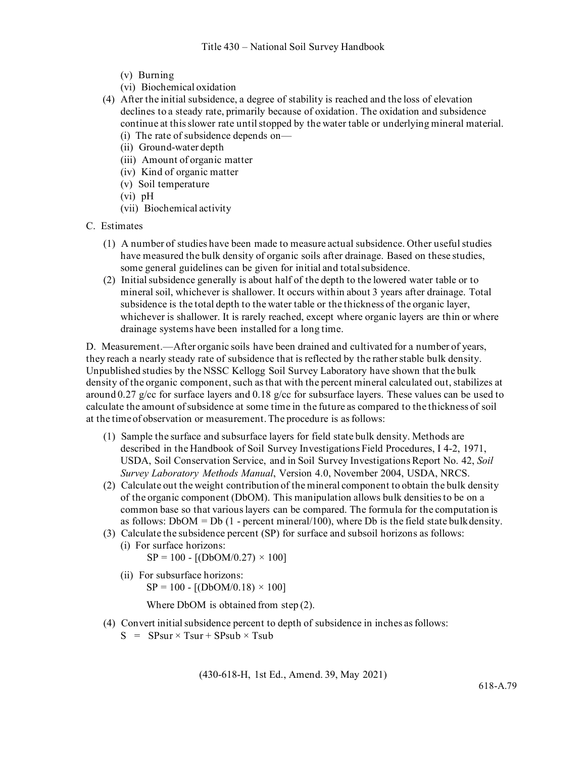- (v) Burning
- (vi) Biochemical oxidation
- (4) After the initial subsidence, a degree of stability is reached and the loss of elevation declines to a steady rate, primarily because of oxidation. The oxidation and subsidence continue at this slower rate until stopped by the water table or underlying mineral material. (i) The rate of subsidence depends on—
	- (ii) Ground-water depth
	- (iii) Amount of organic matter
	- (iv) Kind of organic matter
	- (v) Soil temperature
	- (vi) pH
	- (vii) Biochemical activity
- C. Estimates
	- (1) A number of studies have been made to measure actual subsidence. Other useful studies have measured the bulk density of organic soils after drainage. Based on these studies, some general guidelines can be given for initial and totalsubsidence.
	- (2) Initial subsidence generally is about half of the depth to the lowered water table or to mineral soil, whichever is shallower. It occurs within about 3 years after drainage. Total subsidence is the total depth to the water table or the thickness of the organic layer, whichever is shallower. It is rarely reached, except where organic layers are thin or where drainage systems have been installed for a long time.

D. Measurement.—After organic soils have been drained and cultivated for a number of years, they reach a nearly steady rate of subsidence that is reflected by the rather stable bulk density. Unpublished studies by the NSSC Kellogg Soil Survey Laboratory have shown that the bulk density of the organic component, such as that with the percent mineral calculated out, stabilizes at around 0.27 g/cc for surface layers and 0.18 g/cc for subsurface layers. These values can be used to calculate the amount of subsidence at some time in the future as compared to the thickness of soil at the timeof observation or measurement.The procedure is asfollows:

- (1) Sample the surface and subsurface layers for field state bulk density. Methods are described in the Handbook of Soil Survey Investigations Field Procedures, I 4-2, 1971, USDA, Soil Conservation Service, and in Soil Survey Investigations Report No. 42, *Soil Survey Laboratory Methods Manual*, Version 4.0, November 2004, USDA, NRCS.
- (2) Calculate out the weight contribution of the mineral component to obtain the bulk density of the organic component (DbOM). This manipulation allows bulk densities to be on a common base so that various layers can be compared. The formula for the computation is as follows:  $DbOM = Db$  (1 - percent mineral/100), where Db is the field state bulk density.
- (3) Calculate the subsidence percent (SP) for surface and subsoil horizons as follows:
	- (i) For surface horizons:  $SP = 100 - [(DbOM/0.27) \times 100]$
	- (ii) For subsurface horizons:  $SP = 100 - [(DbOM/0.18) \times 100]$

Where DbOM is obtained from step (2).

- (4) Convert initial subsidence percent to depth of subsidence in inches asfollows:
	- $S = SPsur \times Tsur + SPsub \times Tsub$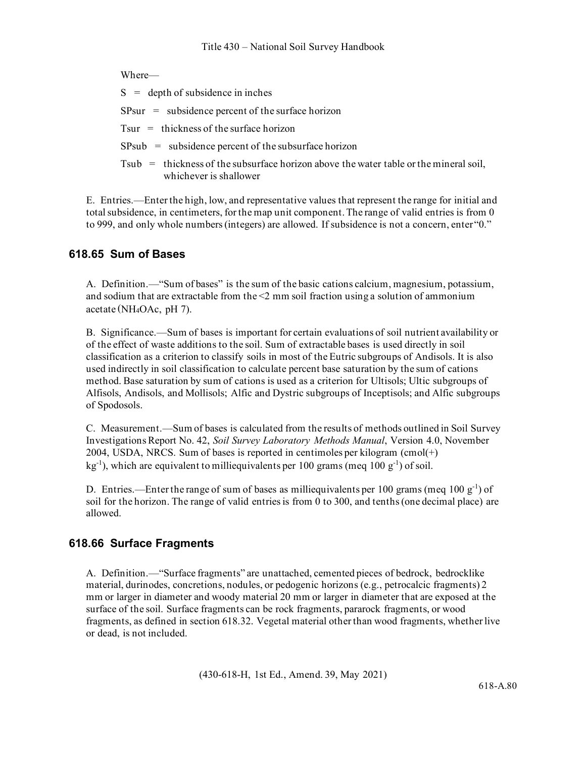| $S =$ depth of subsidence in inches                                                                               |
|-------------------------------------------------------------------------------------------------------------------|
| $SPsur = substance percent of the surface horizon$                                                                |
| $Tsur =$ thickness of the surface horizon                                                                         |
| $SPsub = substance percent of the substance horizon$                                                              |
| Tsub $=$ thickness of the subsurface horizon above the water table or the mineral soil,<br>whichever is shallower |

E. Entries.—Enter the high, low, and representative values that represent the range for initial and total subsidence, in centimeters, for the map unit component. The range of valid entries is from 0 to 999, and only whole numbers (integers) are allowed. If subsidence is not a concern, enter "0."

## **618.65 Sum of Bases**

A. Definition.—"Sum of bases" is the sum of the basic cations calcium, magnesium, potassium, and sodium that are extractable from the  $\leq$  mm soil fraction using a solution of ammonium acetate (NH4OAc, pH 7).

B. Significance.—Sum of bases is important for certain evaluations of soil nutrient availability or of the effect of waste additions to the soil. Sum of extractable bases is used directly in soil classification as a criterion to classify soils in most of the Eutric subgroups of Andisols. It is also used indirectly in soil classification to calculate percent base saturation by the sum of cations method. Base saturation by sum of cations is used as a criterion for Ultisols; Ultic subgroups of Alfisols, Andisols, and Mollisols; Alfic and Dystric subgroups of Inceptisols; and Alfic subgroups of Spodosols.

C. Measurement.—Sum of bases is calculated from the results of methods outlined in Soil Survey Investigations Report No. 42, *Soil Survey Laboratory Methods Manual*, Version 4.0, November 2004, USDA, NRCS. Sum of bases is reported in centimoles per kilogram (cmol(+)  $\text{kg}^{-1}$ ), which are equivalent to milliequivalents per 100 grams (meq 100 g<sup>-1</sup>) of soil.

D. Entries.—Enter the range of sum of bases as milliequivalents per 100 grams (meq 100  $g^{-1}$ ) of soil for the horizon. The range of valid entries is from 0 to 300, and tenths (one decimal place) are allowed.

## **618.66 Surface Fragments**

A. Definition.—"Surface fragments" are unattached, cemented pieces of bedrock, bedrocklike material, durinodes, concretions, nodules, or pedogenic horizons (e.g., petrocalcic fragments) 2 mm or larger in diameter and woody material 20 mm or larger in diameter that are exposed at the surface of the soil. Surface fragments can be rock fragments, pararock fragments, or wood fragments, as defined in section 618.32. Vegetal material other than wood fragments, whether live or dead, is not included.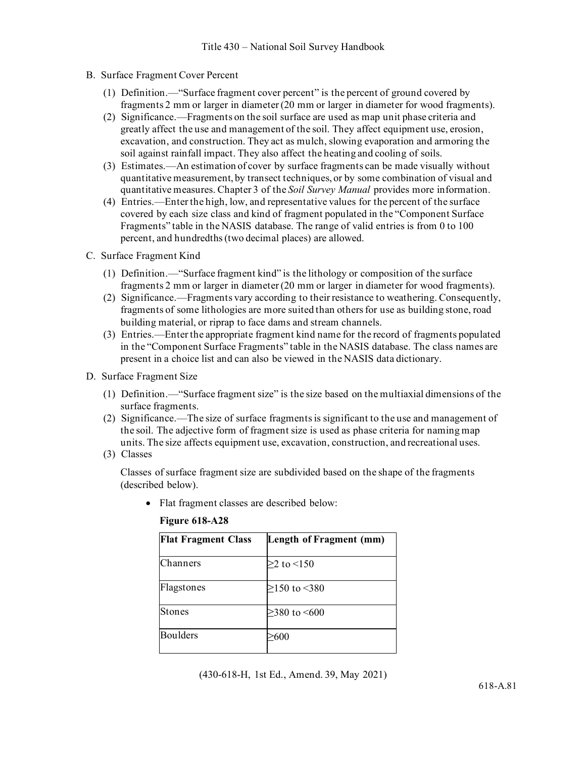- B. Surface Fragment Cover Percent
	- (1) Definition.—"Surface fragment cover percent" is the percent of ground covered by fragments 2 mm or larger in diameter (20 mm or larger in diameter for wood fragments).
	- (2) Significance.—Fragments on the soil surface are used as map unit phase criteria and greatly affect the use and management of the soil. They affect equipment use, erosion, excavation, and construction. They act as mulch, slowing evaporation and armoring the soil against rainfall impact. They also affect the heating and cooling of soils.
	- (3) Estimates.—An estimation of cover by surface fragments can be made visually without quantitative measurement, by transect techniques, or by some combination of visual and quantitative measures. Chapter 3 of the *Soil Survey Manual* provides more information.
	- (4) Entries.—Enter the high, low, and representative values for the percent of the surface covered by each size class and kind of fragment populated in the "Component Surface Fragments" table in the NASIS database. The range of valid entries is from 0 to 100 percent, and hundredths (two decimal places) are allowed.
- C. Surface Fragment Kind
	- (1) Definition.—"Surface fragment kind" is the lithology or composition of the surface fragments 2 mm or larger in diameter (20 mm or larger in diameter for wood fragments).
	- (2) Significance.—Fragments vary according to their resistance to weathering. Consequently, fragments of some lithologies are more suited than others for use as building stone, road building material, or riprap to face dams and stream channels.
	- (3) Entries.—Enter the appropriate fragment kind name for the record of fragments populated in the "Component Surface Fragments" table in the NASIS database. The class names are present in a choice list and can also be viewed in the NASIS data dictionary.
- D. Surface Fragment Size
	- (1) Definition.—"Surface fragment size" is the size based on the multiaxial dimensions of the surface fragments.
	- (2) Significance.—The size of surface fragments is significant to the use and management of the soil. The adjective form of fragment size is used as phase criteria for naming map units. The size affects equipment use, excavation, construction, and recreational uses.
	- (3) Classes

Classes of surface fragment size are subdivided based on the shape of the fragments (described below).

• Flat fragment classes are described below:

| <b>Flat Fragment Class</b> | Length of Fragment (mm) |
|----------------------------|-------------------------|
| Channers                   | $>2$ to $<$ 150         |
| Flagstones                 | $>150$ to $<$ 380       |
| <b>Stones</b>              | $≥380$ to <600          |
| Boulders                   | 600                     |

### **Figure 618-A28**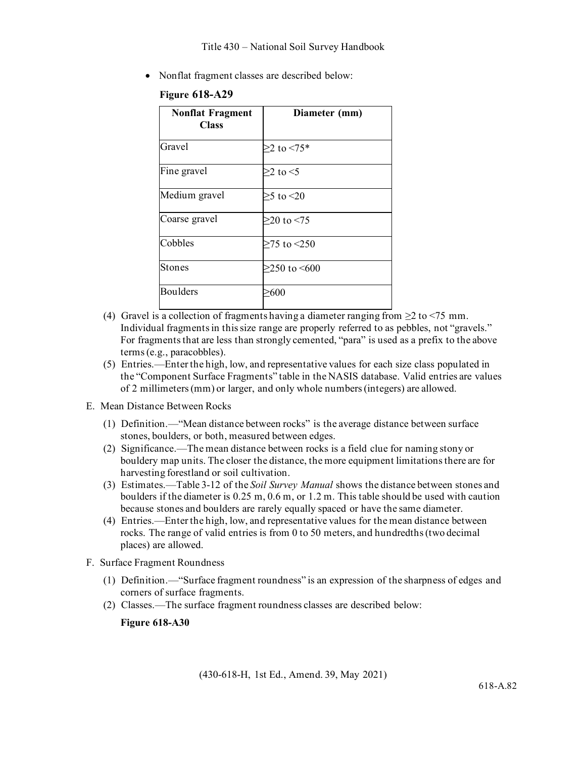• Nonflat fragment classes are described below:

| <b>Nonflat Fragment</b><br><b>Class</b> | Diameter (mm)        |
|-----------------------------------------|----------------------|
| Gravel                                  | $\geq$ 2 to <75*     |
| Fine gravel                             | $>2$ to $<$ 5        |
| Medium gravel                           | $>$ 5 to <20         |
| Coarse gravel                           | $>20$ to $< 75$      |
| Cobbles                                 | $>75$ to $< 250$     |
| <b>Stones</b>                           | $>250$ to $\leq 600$ |
| Boulders                                | -600                 |

### **Figure 618-A29**

- (4) Gravel is a collection of fragments having a diameter ranging from  $\geq$  to <75 mm. Individual fragments in this size range are properly referred to as pebbles, not "gravels." For fragments that are less than strongly cemented, "para" is used as a prefix to the above terms (e.g., paracobbles).
- (5) Entries.—Enter the high, low, and representative values for each size class populated in the "Component Surface Fragments" table in the NASIS database. Valid entries are values of 2 millimeters (mm) or larger, and only whole numbers (integers) are allowed.
- E. Mean Distance Between Rocks
	- (1) Definition.—"Mean distance between rocks" is the average distance between surface stones, boulders, or both, measured between edges.
	- (2) Significance.—The mean distance between rocks is a field clue for naming stony or bouldery map units. The closer the distance, the more equipment limitations there are for harvesting forestland or soil cultivation.
	- (3) Estimates.—Table 3-12 of the *Soil Survey Manual* shows the distance between stones and boulders if the diameter is 0.25 m, 0.6 m, or 1.2 m. This table should be used with caution because stones and boulders are rarely equally spaced or have the same diameter.
	- (4) Entries.—Enter the high, low, and representative values for the mean distance between rocks. The range of valid entries is from 0 to 50 meters, and hundredths (two decimal places) are allowed.
- F. Surface Fragment Roundness
	- (1) Definition.—"Surface fragment roundness" is an expression of the sharpness of edges and corners of surface fragments.
	- (2) Classes.—The surface fragment roundness classes are described below:

### **Figure 618-A30**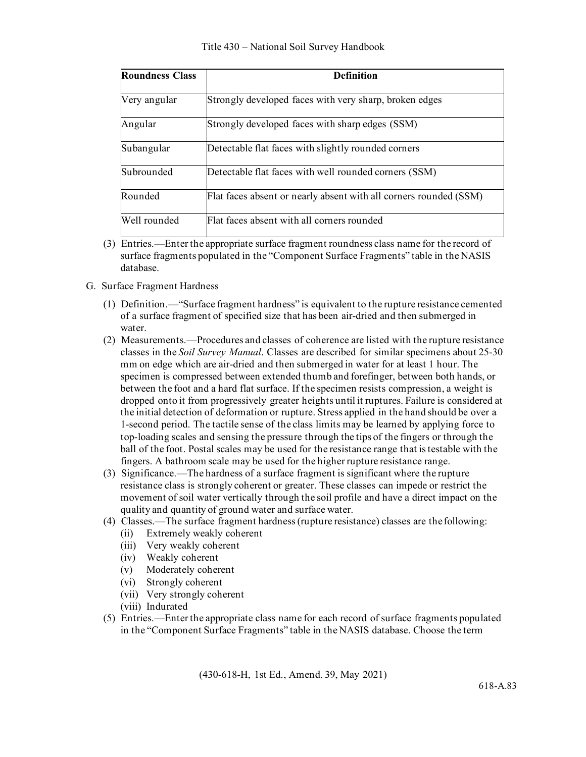| <b>Roundness Class</b> | <b>Definition</b>                                                 |
|------------------------|-------------------------------------------------------------------|
| Very angular           | Strongly developed faces with very sharp, broken edges            |
| Angular                | Strongly developed faces with sharp edges (SSM)                   |
| Subangular             | Detectable flat faces with slightly rounded corners               |
| Subrounded             | Detectable flat faces with well rounded corners (SSM)             |
| Rounded                | Flat faces absent or nearly absent with all corners rounded (SSM) |
| Well rounded           | Flat faces absent with all corners rounded                        |

(3) Entries.—Enter the appropriate surface fragment roundness class name for the record of surface fragments populated in the "Component Surface Fragments" table in the NASIS database.

### G. Surface Fragment Hardness

- (1) Definition.—"Surface fragment hardness" is equivalent to the rupture resistance cemented of a surface fragment of specified size that has been air-dried and then submerged in water.
- (2) Measurements.—Procedures and classes of coherence are listed with the rupture resistance classes in the *Soil Survey Manual*. Classes are described for similar specimens about 25-30 mm on edge which are air-dried and then submerged in water for at least 1 hour. The specimen is compressed between extended thumb and forefinger, between both hands, or between the foot and a hard flat surface. If the specimen resists compression, a weight is dropped onto it from progressively greater heights until it ruptures. Failure is considered at the initial detection of deformation or rupture. Stress applied in the hand should be over a 1-second period. The tactile sense of the class limits may be learned by applying force to top-loading scales and sensing the pressure through the tips of the fingers or through the ball of the foot. Postal scales may be used for the resistance range that is testable with the fingers. A bathroom scale may be used for the higher rupture resistance range.
- (3) Significance.—The hardness of a surface fragment is significant where the rupture resistance class is strongly coherent or greater. These classes can impede or restrict the movement of soil water vertically through the soil profile and have a direct impact on the quality and quantity of ground water and surface water.
- (4) Classes.—The surface fragment hardness (rupture resistance) classes are the following:
	- (ii) Extremely weakly coherent
	- (iii) Very weakly coherent
	- (iv) Weakly coherent
	- (v) Moderately coherent
	- (vi) Strongly coherent
	- (vii) Very strongly coherent
	- (viii) Indurated
- (5) Entries.—Enter the appropriate class name for each record of surface fragments populated in the "Component Surface Fragments" table in the NASIS database. Choose the term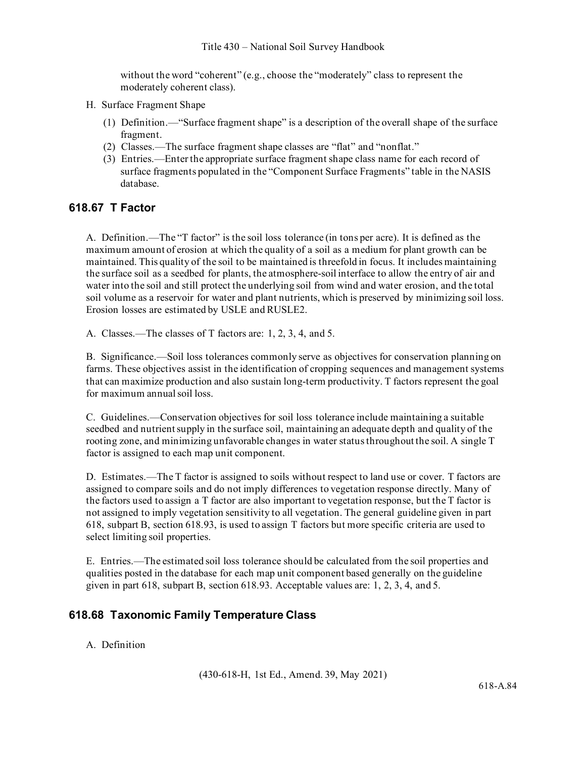without the word "coherent" (e.g., choose the "moderately" class to represent the moderately coherent class).

- H. Surface Fragment Shape
	- (1) Definition.—"Surface fragment shape" is a description of the overall shape of the surface fragment.
	- (2) Classes.—The surface fragment shape classes are "flat" and "nonflat."
	- (3) Entries.—Enter the appropriate surface fragment shape class name for each record of surface fragments populated in the "Component Surface Fragments" table in the NASIS database.

## **618.67 T Factor**

A. Definition.—The "T factor" is the soil loss tolerance (in tons per acre). It is defined as the maximum amount of erosion at which the quality of a soil as a medium for plant growth can be maintained. This quality of the soil to be maintained is threefold in focus. It includes maintaining the surface soil as a seedbed for plants, the atmosphere-soil interface to allow the entry of air and water into the soil and still protect the underlying soil from wind and water erosion, and the total soil volume as a reservoir for water and plant nutrients, which is preserved by minimizing soil loss. Erosion losses are estimated by USLE and RUSLE2.

A. Classes.—The classes of T factors are: 1, 2, 3, 4, and 5.

B. Significance.—Soil loss tolerances commonly serve as objectives for conservation planning on farms. These objectives assist in the identification of cropping sequences and management systems that can maximize production and also sustain long-term productivity. T factors represent the goal for maximum annual soil loss.

C. Guidelines.—Conservation objectives for soil loss tolerance include maintaining a suitable seedbed and nutrient supply in the surface soil, maintaining an adequate depth and quality of the rooting zone, and minimizing unfavorable changes in water status throughout the soil. A single T factor is assigned to each map unit component.

D. Estimates.—The T factor is assigned to soils without respect to land use or cover. T factors are assigned to compare soils and do not imply differences to vegetation response directly. Many of the factors used to assign a T factor are also important to vegetation response, but the T factor is not assigned to imply vegetation sensitivity to all vegetation. The general guideline given in part 618, subpart B, section 618.93, is used to assign T factors but more specific criteria are used to select limiting soil properties.

E. Entries.—The estimated soil loss tolerance should be calculated from the soil properties and qualities posted in the database for each map unit component based generally on the guideline given in part 618, subpart B, section 618.93. Acceptable values are: 1, 2, 3, 4, and 5.

## **618.68 Taxonomic Family Temperature Class**

### A. Definition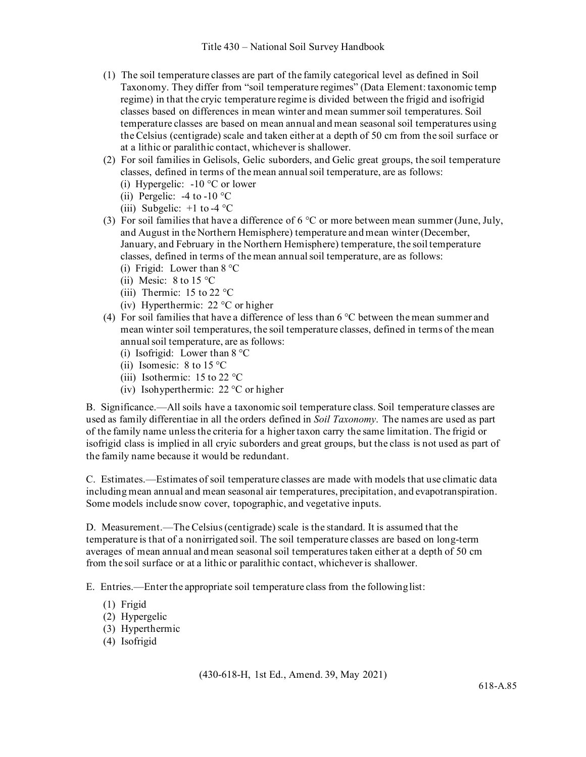- (1) The soil temperature classes are part of the family categorical level as defined in Soil Taxonomy. They differ from "soil temperature regimes" (Data Element: taxonomic temp regime) in that the cryic temperature regime is divided between the frigid and isofrigid classes based on differences in mean winter and mean summer soil temperatures. Soil temperature classes are based on mean annual and mean seasonal soil temperatures using the Celsius (centigrade) scale and taken either at a depth of 50 cm from the soil surface or at a lithic or paralithic contact, whichever is shallower.
- (2) For soil families in Gelisols, Gelic suborders, and Gelic great groups, the soil temperature classes, defined in terms of the mean annual soil temperature, are as follows: (i) Hypergelic:  $-10$  °C or lower
	- (ii) Pergelic:  $-4$  to  $-10$  °C
	- (iii) Subgelic:  $+1$  to -4  $^{\circ}$ C
- (3) For soil families that have a difference of  $6^{\circ}$ C or more between mean summer (June, July, and August in the Northern Hemisphere) temperature and mean winter (December, January, and February in the Northern Hemisphere) temperature, the soil temperature classes, defined in terms of the mean annual soil temperature, are as follows:
	- (i) Frigid: Lower than  $8^{\circ}$ C
	- (ii) Mesic:  $8 \text{ to } 15 \text{ °C}$
	- (iii) Thermic:  $15$  to  $22$  °C
	- (iv) Hyperthermic: 22 °C or higher
- (4) For soil families that have a difference of less than  $6^{\circ}$ C between the mean summer and mean winter soil temperatures, the soil temperature classes, defined in terms of the mean annual soil temperature, are as follows:
	- (i) Isofrigid: Lower than  $8^{\circ}$ C
	- (ii) Isomesic:  $8 \text{ to } 15 \text{ °C}$
	- (iii) Isothermic: 15 to 22 °C
	- (iv) Isohyperthermic: 22 °C or higher

B. Significance.—All soils have a taxonomic soil temperature class. Soil temperature classes are used as family differentiae in all the orders defined in *Soil Taxonomy*. The names are used as part of the family name unless the criteria for a higher taxon carry the same limitation. The frigid or isofrigid class is implied in all cryic suborders and great groups, but the class is not used as part of the family name because it would be redundant.

C. Estimates.—Estimates of soil temperature classes are made with models that use climatic data including mean annual and mean seasonal air temperatures, precipitation, and evapotranspiration. Some models include snow cover, topographic, and vegetative inputs.

D. Measurement.—The Celsius (centigrade) scale is the standard. It is assumed that the temperature is that of a nonirrigated soil. The soil temperature classes are based on long-term averages of mean annual and mean seasonal soil temperatures taken either at a depth of 50 cm from the soil surface or at a lithic or paralithic contact, whichever is shallower.

E. Entries.—Enter the appropriate soil temperature class from the followinglist:

- (1) Frigid
- (2) Hypergelic
- (3) Hyperthermic
- (4) Isofrigid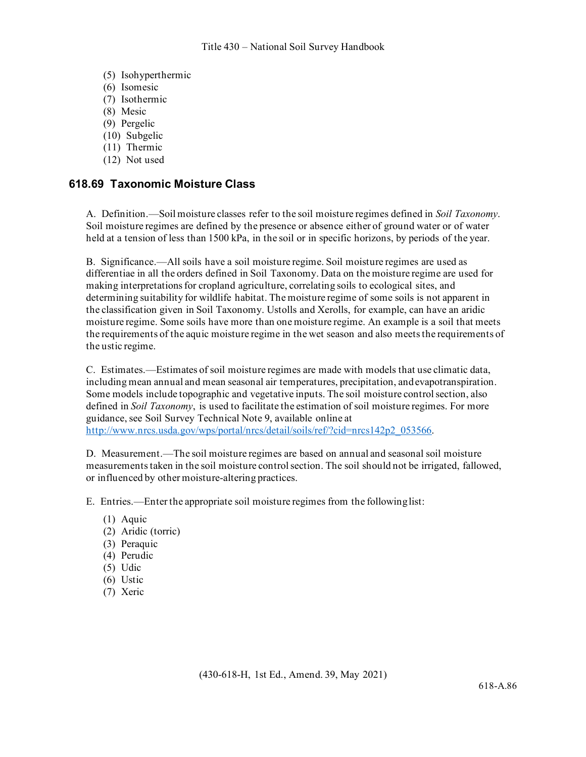- (5) Isohyperthermic
- (6) Isomesic
- (7) Isothermic
- (8) Mesic
- (9) Pergelic
- (10) Subgelic
- (11) Thermic
- (12) Not used

### **618.69 Taxonomic Moisture Class**

A. Definition.—Soil moisture classes refer to the soil moisture regimes defined in *Soil Taxonomy*. Soil moisture regimes are defined by the presence or absence either of ground water or of water held at a tension of less than 1500 kPa, in the soil or in specific horizons, by periods of the year.

B. Significance.—All soils have a soil moisture regime. Soil moisture regimes are used as differentiae in all the orders defined in Soil Taxonomy. Data on the moisture regime are used for making interpretations for cropland agriculture, correlating soils to ecological sites, and determining suitability for wildlife habitat. The moisture regime of some soils is not apparent in the classification given in Soil Taxonomy. Ustolls and Xerolls, for example, can have an aridic moisture regime. Some soils have more than one moisture regime. An example is a soil that meets the requirements of the aquic moisture regime in the wet season and also meets the requirements of the ustic regime.

C. Estimates.—Estimates of soil moisture regimes are made with models that use climatic data, including mean annual and mean seasonal air temperatures, precipitation, andevapotranspiration. Some models include topographic and vegetative inputs. The soil moisture control section, also defined in *Soil Taxonomy*, is used to facilitate the estimation of soil moisture regimes. For more guidance, see Soil Survey Technical Note 9, available online at [http://www.nrcs.usda.gov/wps/portal/nrcs/detail/soils/ref/?cid=nrcs142p2\\_053566.](http://www.nrcs.usda.gov/wps/portal/nrcs/detail/soils/ref/?cid=nrcs142p2_053566.)

D. Measurement.—The soil moisture regimes are based on annual and seasonal soil moisture measurements taken in the soil moisture control section. The soil should not be irrigated, fallowed, or influenced by other moisture-altering practices.

E. Entries.—Enter the appropriate soil moisture regimes from the followinglist:

- (1) Aquic
- (2) Aridic (torric)
- (3) Peraquic
- (4) Perudic
- (5) Udic
- (6) Ustic
- (7) Xeric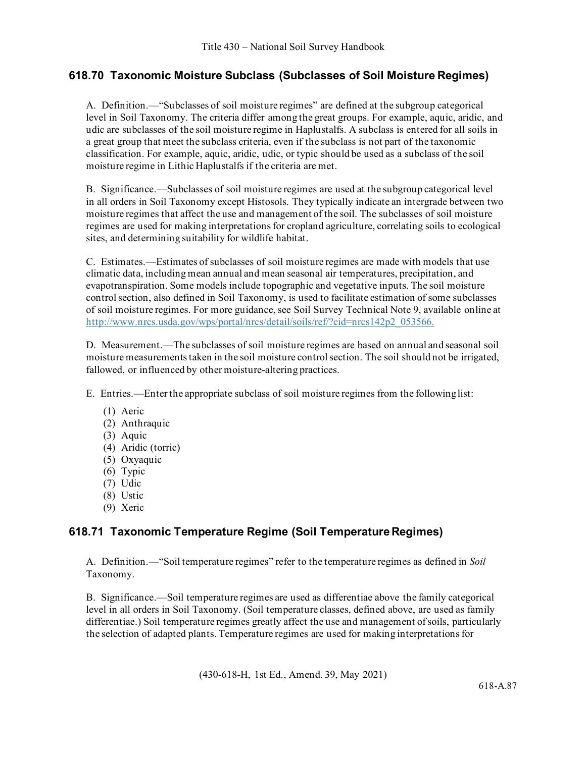# **618.70 Taxonomic Moisture Subclass (Subclasses of Soil Moisture Regimes)**

A. Definition.—"Subclasses of soil moisture regimes" are defined at the subgroup categorical level in Soil Taxonomy. The criteria differ among the great groups. For example, aquic, aridic, and udic are subclasses of the soil moisture regime in Haplustalfs. A subclass is entered for all soils in a great group that meet the subclass criteria, even if the subclass is not part of the taxonomic classification. For example, aquic, aridic, udic, or typic should be used as a subclass of the soil moisture regime in Lithic Haplustalfs if the criteria are met.

B. Significance.—Subclasses of soil moisture regimes are used at the subgroup categorical level in all orders in Soil Taxonomy except Histosols. They typically indicate an intergrade between two moisture regimes that affect the use and management of the soil. The subclasses of soil moisture regimes are used for making interpretations for cropland agriculture, correlating soils to ecological sites, and determining suitability for wildlife habitat.

C. Estimates.—Estimates of subclasses of soil moisture regimes are made with models that use climatic data, including mean annual and mean seasonal air temperatures, precipitation, and evapotranspiration. Some models include topographic and vegetative inputs. The soil moisture control section, also defined in Soil Taxonomy, is used to facilitate estimation of some subclasses of soil moisture regimes. For more guidance, see Soil Survey Technical Note 9, available online at [http://www.nrcs.usda.gov/wps/portal/nrcs/detail/soils/ref/?cid=nrcs142p2\\_053566.](http://www.nrcs.usda.gov/wps/portal/nrcs/detail/soils/ref/?cid=nrcs142p2_053566.)

D. Measurement.—The subclasses of soil moisture regimes are based on annual and seasonal soil moisture measurements taken in the soil moisture control section. The soil should not be irrigated, fallowed, or influenced by other moisture-altering practices.

E. Entries.—Enter the appropriate subclass of soil moisture regimes from the followinglist:

- (1) Aeric
- (2) Anthraquic
- (3) Aquic
- (4) Aridic (torric)
- (5) Oxyaquic
- (6) Typic
- (7) Udic
- (8) Ustic
- (9) Xeric

# **618.71 Taxonomic Temperature Regime (Soil TemperatureRegimes)**

A. Definition.—"Soil temperature regimes" refer to the temperature regimes as defined in *Soil*  Taxonomy.

B. Significance.—Soil temperature regimes are used as differentiae above the family categorical level in all orders in Soil Taxonomy. (Soil temperature classes, defined above, are used as family differentiae.) Soil temperature regimes greatly affect the use and management of soils, particularly the selection of adapted plants. Temperature regimes are used for making interpretations for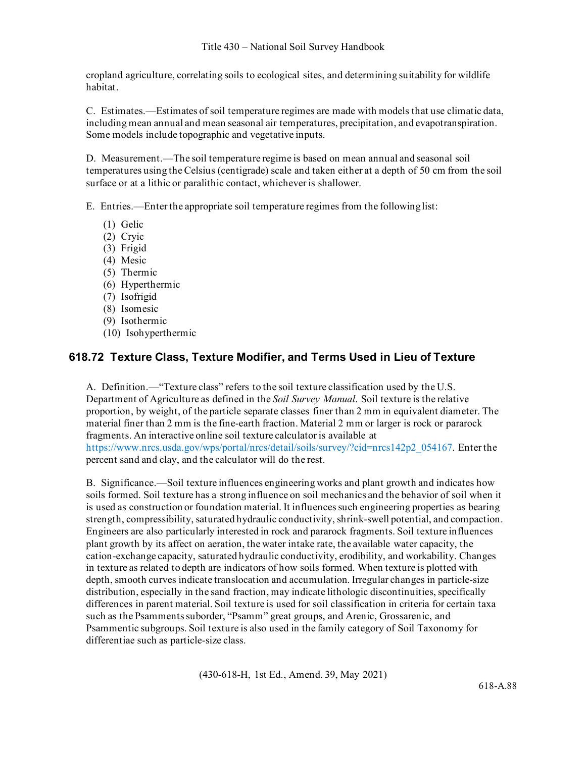cropland agriculture, correlating soils to ecological sites, and determining suitability for wildlife habitat.

C. Estimates.—Estimates of soil temperature regimes are made with models that use climatic data, including mean annual and mean seasonal air temperatures, precipitation, and evapotranspiration. Some models include topographic and vegetative inputs.

D. Measurement.—The soil temperature regime is based on mean annual and seasonal soil temperatures using the Celsius (centigrade) scale and taken either at a depth of 50 cm from the soil surface or at a lithic or paralithic contact, whichever is shallower.

E. Entries.—Enter the appropriate soil temperature regimes from the followinglist:

- (1) Gelic
- (2) Cryic
- (3) Frigid
- (4) Mesic
- (5) Thermic
- (6) Hyperthermic
- (7) Isofrigid
- (8) Isomesic
- (9) Isothermic
- (10) Isohyperthermic

## **618.72 Texture Class, Texture Modifier, and Terms Used in Lieu of Texture**

A. Definition.—"Texture class" refers to the soil texture classification used by the U.S. Department of Agriculture as defined in the *Soil Survey Manual*. Soil texture is the relative proportion, by weight, of the particle separate classes finer than 2 mm in equivalent diameter. The material finer than 2 mm is the fine-earth fraction. Material 2 mm or larger is rock or pararock fragments. An interactive online soil texture calculator is available at https:[//www.nrcs.usda.gov/wps/portal/nrcs/detail/soils/survey/?cid=nrcs142p2\\_054167.](http://www.nrcs.usda.gov/wps/portal/nrcs/detail/soils/survey/?cid=nrcs142p2_054167) Enter the percent sand and clay, and the calculator will do the rest.

B. Significance.—Soil texture influences engineering works and plant growth and indicates how soils formed. Soil texture has a strong influence on soil mechanics and the behavior of soil when it is used as construction or foundation material. It influences such engineering properties as bearing strength, compressibility, saturated hydraulic conductivity, shrink-swell potential, and compaction. Engineers are also particularly interested in rock and pararock fragments. Soil texture influences plant growth by its affect on aeration, the water intake rate, the available water capacity, the cation-exchange capacity, saturated hydraulic conductivity, erodibility, and workability. Changes in texture as related to depth are indicators of how soils formed. When texture is plotted with depth, smooth curves indicate translocation and accumulation. Irregular changes in particle-size distribution, especially in the sand fraction, may indicate lithologic discontinuities, specifically differences in parent material. Soil texture is used for soil classification in criteria for certain taxa such as the Psamments suborder, "Psamm" great groups, and Arenic, Grossarenic, and Psammentic subgroups. Soil texture is also used in the family category of Soil Taxonomy for differentiae such as particle-size class.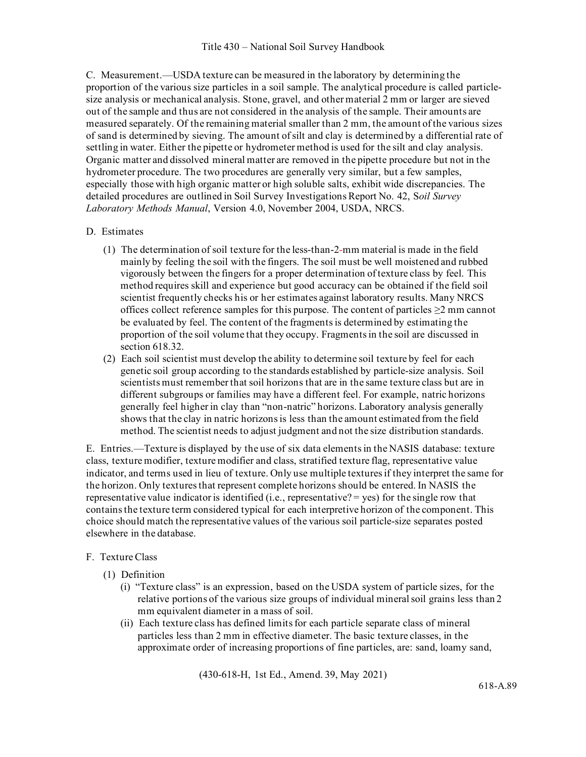C. Measurement.—USDA texture can be measured in the laboratory by determining the proportion of the various size particles in a soil sample. The analytical procedure is called particlesize analysis or mechanical analysis. Stone, gravel, and other material 2 mm or larger are sieved out of the sample and thus are not considered in the analysis of the sample. Their amounts are measured separately. Of the remaining material smaller than 2 mm, the amount of the various sizes of sand is determined by sieving. The amount of silt and clay is determined by a differential rate of settling in water. Either the pipette or hydrometer method is used for the silt and clay analysis. Organic matter and dissolved mineral matter are removed in the pipette procedure but not in the hydrometer procedure. The two procedures are generally very similar, but a few samples, especially those with high organic matter or high soluble salts, exhibit wide discrepancies. The detailed procedures are outlined in Soil Survey Investigations Report No. 42, S*oil Survey Laboratory Methods Manual*, Version 4.0, November 2004, USDA, NRCS.

### D. Estimates

- (1) The determination of soil texture for the less-than-2-mm material is made in the field mainly by feeling the soil with the fingers. The soil must be well moistened and rubbed vigorously between the fingers for a proper determination of texture class by feel. This method requires skill and experience but good accuracy can be obtained if the field soil scientist frequently checks his or her estimates against laboratory results. Many NRCS offices collect reference samples for this purpose. The content of particles  $\geq 2$  mm cannot be evaluated by feel. The content of the fragments is determined by estimating the proportion of the soil volume that they occupy. Fragments in the soil are discussed in section 618.32.
- (2) Each soil scientist must develop the ability to determine soil texture by feel for each genetic soil group according to the standards established by particle-size analysis. Soil scientists must remember that soil horizons that are in the same texture class but are in different subgroups or families may have a different feel. For example, natric horizons generally feel higher in clay than "non-natric" horizons. Laboratory analysis generally shows that the clay in natric horizons is less than the amount estimated from the field method. The scientist needs to adjust judgment and not the size distribution standards.

E. Entries.—Texture is displayed by the use of six data elements in the NASIS database: texture class, texture modifier, texture modifier and class, stratified texture flag, representative value indicator, and terms used in lieu of texture. Only use multiple textures if they interpret the same for the horizon. Only textures that represent complete horizons should be entered. In NASIS the representative value indicator is identified (i.e., representative? = yes) for the single row that contains the texture term considered typical for each interpretive horizon of the component. This choice should match the representative values of the various soil particle-size separates posted elsewhere in the database.

### F. Texture Class

- (1) Definition
	- (i) "Texture class" is an expression, based on the USDA system of particle sizes, for the relative portions of the various size groups of individual mineral soil grains less than 2 mm equivalent diameter in a mass of soil.
	- (ii) Each texture class has defined limits for each particle separate class of mineral particles less than 2 mm in effective diameter. The basic texture classes, in the approximate order of increasing proportions of fine particles, are: sand, loamy sand,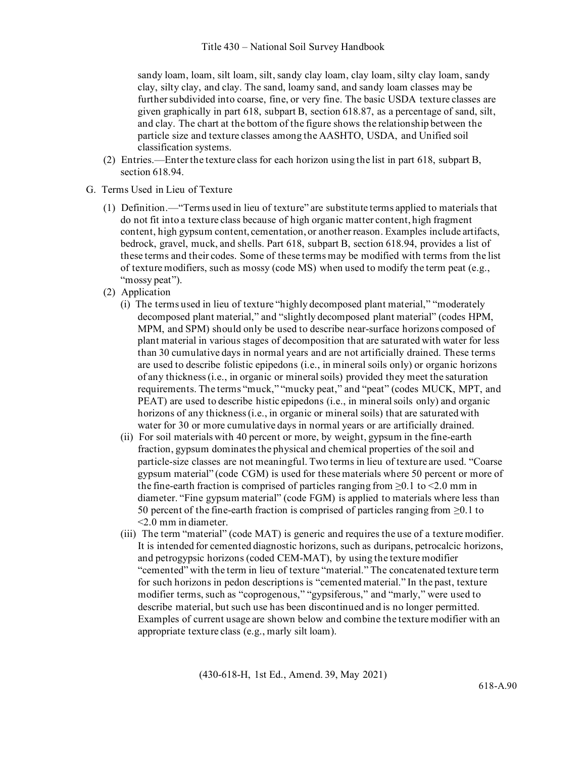sandy loam, loam, silt loam, silt, sandy clay loam, clay loam, silty clay loam, sandy clay, silty clay, and clay. The sand, loamy sand, and sandy loam classes may be further subdivided into coarse, fine, or very fine. The basic USDA texture classes are given graphically in part 618, subpart B, section 618.87, as a percentage of sand, silt, and clay. The chart at the bottom of the figure shows the relationship between the particle size and texture classes among the AASHTO, USDA, and Unified soil classification systems.

- (2) Entries.—Enter the texture class for each horizon using the list in part 618, subpart B, section 618.94.
- G. Terms Used in Lieu of Texture
	- (1) Definition.—"Terms used in lieu of texture" are substitute terms applied to materials that do not fit into a texture class because of high organic matter content, high fragment content, high gypsum content, cementation, or another reason. Examples include artifacts, bedrock, gravel, muck, and shells. Part 618, subpart B, section 618.94, provides a list of these terms and their codes. Some of these terms may be modified with terms from the list of texture modifiers, such as mossy (code MS) when used to modify the term peat  $(e.g.,)$ "mossy peat").
	- (2) Application
		- (i) The terms used in lieu of texture "highly decomposed plant material," "moderately decomposed plant material," and "slightly decomposed plant material" (codes HPM, MPM, and SPM) should only be used to describe near-surface horizons composed of plant material in various stages of decomposition that are saturated with water for less than 30 cumulative days in normal years and are not artificially drained. These terms are used to describe folistic epipedons (i.e., in mineral soils only) or organic horizons of any thickness (i.e., in organic or mineral soils) provided they meet the saturation requirements. The terms "muck," "mucky peat," and "peat" (codes MUCK, MPT, and PEAT) are used to describe histic epipedons (i.e., in mineral soils only) and organic horizons of any thickness (i.e., in organic or mineral soils) that are saturated with water for 30 or more cumulative days in normal years or are artificially drained.
		- (ii) For soil materials with 40 percent or more, by weight, gypsum in the fine-earth fraction, gypsum dominates the physical and chemical properties of the soil and particle-size classes are not meaningful. Two terms in lieu of texture are used. "Coarse gypsum material" (code CGM) is used for these materials where 50 percent or more of the fine-earth fraction is comprised of particles ranging from  $\geq 0.1$  to  $\leq 2.0$  mm in diameter. "Fine gypsum material" (code FGM) is applied to materials where less than 50 percent of the fine-earth fraction is comprised of particles ranging from  $\geq 0.1$  to <2.0 mm in diameter.
		- (iii) The term "material" (code MAT) is generic and requires the use of a texture modifier. It is intended for cemented diagnostic horizons, such as duripans, petrocalcic horizons, and petrogypsic horizons (coded CEM-MAT), by using the texture modifier "cemented" with the term in lieu of texture "material." The concatenated texture term for such horizons in pedon descriptions is "cemented material." In the past, texture modifier terms, such as "coprogenous," "gypsiferous," and "marly," were used to describe material, but such use has been discontinued and is no longer permitted. Examples of current usage are shown below and combine the texture modifier with an appropriate texture class (e.g., marly silt loam).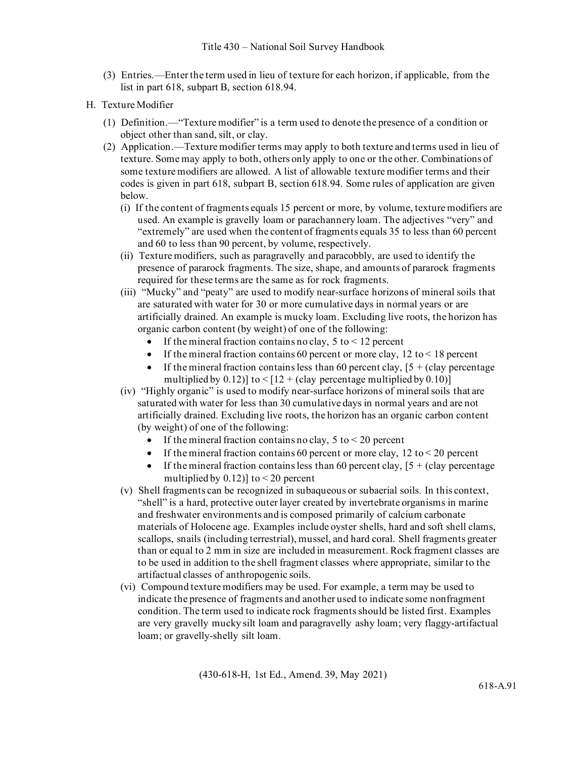- (3) Entries.—Enter the term used in lieu of texture for each horizon, if applicable, from the list in part 618, subpart B, section 618.94.
- H. Texture Modifier
	- (1) Definition.—"Texture modifier" is a term used to denote the presence of a condition or object other than sand, silt, or clay.
	- (2) Application.—Texture modifier terms may apply to both texture and terms used in lieu of texture. Some may apply to both, others only apply to one or the other. Combinations of some texture modifiers are allowed. A list of allowable texture modifier terms and their codes is given in part 618, subpart B, section 618.94. Some rules of application are given below.
		- (i) If the content of fragments equals 15 percent or more, by volume, texture modifiers are used. An example is gravelly loam or parachannery loam. The adjectives "very" and "extremely" are used when the content of fragments equals 35 to less than 60 percent and 60 to less than 90 percent, by volume, respectively.
		- (ii) Texture modifiers, such as paragravelly and paracobbly, are used to identify the presence of pararock fragments. The size, shape, and amounts of pararock fragments required for these terms are the same as for rock fragments.
		- (iii) "Mucky" and "peaty" are used to modify near-surface horizons of mineral soils that are saturated with water for 30 or more cumulative days in normal years or are artificially drained. An example is mucky loam. Excluding live roots, the horizon has organic carbon content (by weight) of one of the following:
			- If the mineral fraction contains no clay,  $5$  to  $\leq 12$  percent
			- If the mineral fraction contains 60 percent or more clay,  $12 \text{ to} < 18$  percent
			- If the mineral fraction contains less than 60 percent clay,  $[5 + (clay)$  percentage multiplied by  $(0.12)$ ] to  $\leq$  [12 + (clay percentage multiplied by  $(0.10)$ ]
		- (iv) "Highly organic" is used to modify near-surface horizons of mineral soils that are saturated with water for less than 30 cumulative days in normal years and are not artificially drained. Excluding live roots, the horizon has an organic carbon content (by weight) of one of the following:
			- If the mineral fraction contains no clay,  $5$  to  $\leq 20$  percent
			- If the mineral fraction contains 60 percent or more clay,  $12 \text{ to} < 20$  percent
			- If the mineral fraction contains less than 60 percent clay,  $[5 + (clav)$  percentage multiplied by  $0.12$ ] to  $\leq$  20 percent
		- (v) Shell fragments can be recognized in subaqueous or subaerial soils. In this context, "shell" is a hard, protective outer layer created by invertebrate organisms in marine and freshwater environments and is composed primarily of calcium carbonate materials of Holocene age. Examples include oyster shells, hard and soft shell clams, scallops, snails (including terrestrial), mussel, and hard coral. Shell fragments greater than or equal to 2 mm in size are included in measurement. Rock fragment classes are to be used in addition to the shell fragment classes where appropriate, similar to the artifactual classes of anthropogenic soils.
		- (vi) Compound texture modifiers may be used. For example, a term may be used to indicate the presence of fragments and another used to indicate some nonfragment condition. The term used to indicate rock fragments should be listed first. Examples are very gravelly mucky silt loam and paragravelly ashy loam; very flaggy-artifactual loam; or gravelly-shelly silt loam.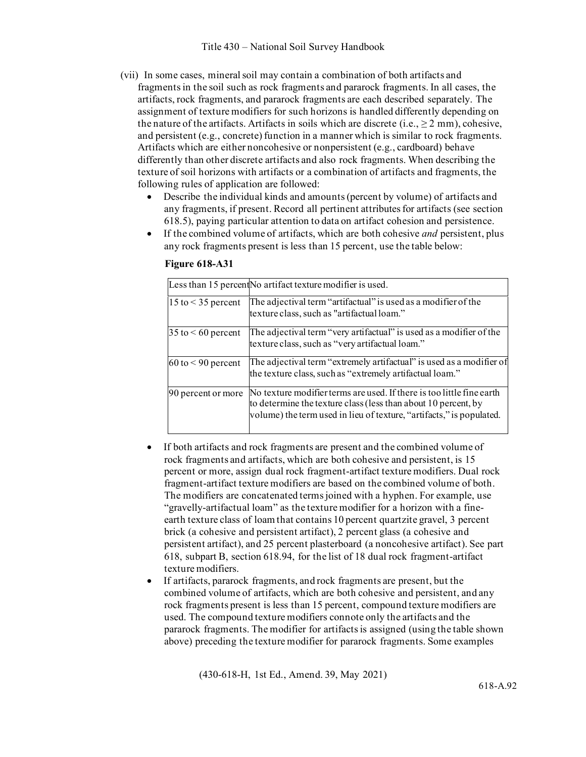- (vii) In some cases, mineral soil may contain a combination of both artifacts and fragments in the soil such as rock fragments and pararock fragments. In all cases, the artifacts, rock fragments, and pararock fragments are each described separately. The assignment of texture modifiers for such horizons is handled differently depending on the nature of the artifacts. Artifacts in soils which are discrete  $(i.e., \geq 2 mm)$ , cohesive, and persistent (e.g., concrete) function in a manner which is similar to rock fragments. Artifacts which are either noncohesive or nonpersistent (e.g., cardboard) behave differently than other discrete artifacts and also rock fragments. When describing the texture of soil horizons with artifacts or a combination of artifacts and fragments, the following rules of application are followed:
	- Describe the individual kinds and amounts (percent by volume) of artifacts and any fragments, if present. Record all pertinent attributes for artifacts (see section 618.5), paying particular attention to data on artifact cohesion and persistence.
	- If the combined volume of artifacts, which are both cohesive *and* persistent, plus any rock fragments present is less than 15 percent, use the table below:

|                           | Less than 15 percent No artifact texture modifier is used.                                                                                                                                                      |
|---------------------------|-----------------------------------------------------------------------------------------------------------------------------------------------------------------------------------------------------------------|
| 15 to $<$ 35 percent      | The adjectival term "artifactual" is used as a modifier of the<br>texture class, such as "artifactual loam."                                                                                                    |
| $35$ to $\leq 60$ percent | The adjectival term "very artifactual" is used as a modifier of the<br>texture class, such as "very artifactual loam."                                                                                          |
| $60$ to $\leq 90$ percent | The adjectival term "extremely artifactual" is used as a modifier of<br>the texture class, such as "extremely artifactual loam."                                                                                |
| 90 percent or more        | No texture modifier terms are used. If there is too little fine earth<br>to determine the texture class (less than about 10 percent, by<br>volume) the term used in lieu of texture, "artifacts," is populated. |

**Figure 618-A31**

- If both artifacts and rock fragments are present and the combined volume of rock fragments and artifacts, which are both cohesive and persistent, is 15 percent or more, assign dual rock fragment-artifact texture modifiers. Dual rock fragment-artifact texture modifiers are based on the combined volume of both. The modifiers are concatenated terms joined with a hyphen. For example, use "gravelly-artifactual loam" as the texture modifier for a horizon with a fineearth texture class of loam that contains 10 percent quartzite gravel, 3 percent brick (a cohesive and persistent artifact), 2 percent glass (a cohesive and persistent artifact), and 25 percent plasterboard (a noncohesive artifact). See part 618, subpart B, section 618.94, for the list of 18 dual rock fragment-artifact texture modifiers.
- If artifacts, pararock fragments, and rock fragments are present, but the combined volume of artifacts, which are both cohesive and persistent, and any rock fragments present is less than 15 percent, compound texture modifiers are used. The compound texture modifiers connote only the artifacts and the pararock fragments. The modifier for artifacts is assigned (using the table shown above) preceding the texture modifier for pararock fragments. Some examples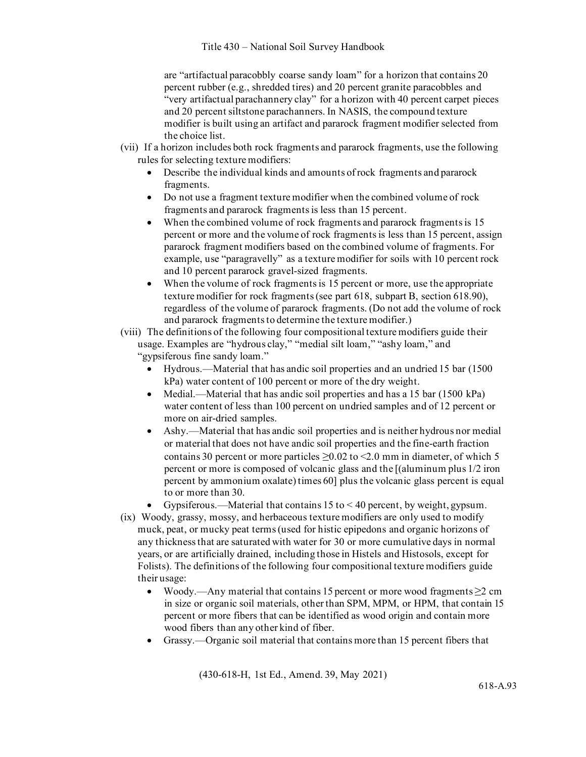are "artifactual paracobbly coarse sandy loam" for a horizon that contains 20 percent rubber (e.g., shredded tires) and 20 percent granite paracobbles and "very artifactual parachannery clay" for a horizon with 40 percent carpet pieces and 20 percent siltstone parachanners. In NASIS, the compound texture modifier is built using an artifact and pararock fragment modifier selected from the choice list.

- (vii) If a horizon includes both rock fragments and pararock fragments, use the following rules for selecting texture modifiers:
	- Describe the individual kinds and amounts of rock fragments and pararock fragments.
	- Do not use a fragment texture modifier when the combined volume of rock fragments and pararock fragments is less than 15 percent.
	- When the combined volume of rock fragments and pararock fragments is 15 percent or more and the volume of rock fragments is less than 15 percent, assign pararock fragment modifiers based on the combined volume of fragments. For example, use "paragravelly" as a texture modifier for soils with 10 percent rock and 10 percent pararock gravel-sized fragments.
	- When the volume of rock fragments is 15 percent or more, use the appropriate texture modifier for rock fragments (see part 618, subpart B, section 618.90), regardless of the volume of pararock fragments. (Do not add the volume of rock and pararock fragments to determine the texture modifier.)
- (viii) The definitions of the following four compositional texture modifiers guide their usage. Examples are "hydrous clay," "medial silt loam," "ashy loam," and "gypsiferous fine sandy loam."
	- Hydrous.—Material that has andic soil properties and an undried 15 bar (1500 kPa) water content of 100 percent or more of the dry weight.
	- Medial.—Material that has andic soil properties and has a 15 bar (1500 kPa) water content of less than 100 percent on undried samples and of 12 percent or more on air-dried samples.
	- Ashy.—Material that has andic soil properties and is neither hydrous nor medial or material that does not have andic soil properties and the fine-earth fraction contains 30 percent or more particles  $\geq$ 0.02 to <2.0 mm in diameter, of which 5 percent or more is composed of volcanic glass and the [(aluminum plus 1/2 iron percent by ammonium oxalate) times 60] plus the volcanic glass percent is equal to or more than 30.
	- Gypsiferous.—Material that contains  $15$  to  $\leq 40$  percent, by weight, gypsum.
- (ix) Woody, grassy, mossy, and herbaceous texture modifiers are only used to modify muck, peat, or mucky peat terms (used for histic epipedons and organic horizons of any thickness that are saturated with water for 30 or more cumulative days in normal years, or are artificially drained, including those in Histels and Histosols, except for Folists). The definitions of the following four compositional texture modifiers guide their usage:
	- Woody.—Any material that contains 15 percent or more wood fragments  $\geq$  2 cm in size or organic soil materials, other than SPM, MPM, or HPM, that contain 15 percent or more fibers that can be identified as wood origin and contain more wood fibers than any other kind of fiber.
	- Grassy.—Organic soil material that contains more than 15 percent fibers that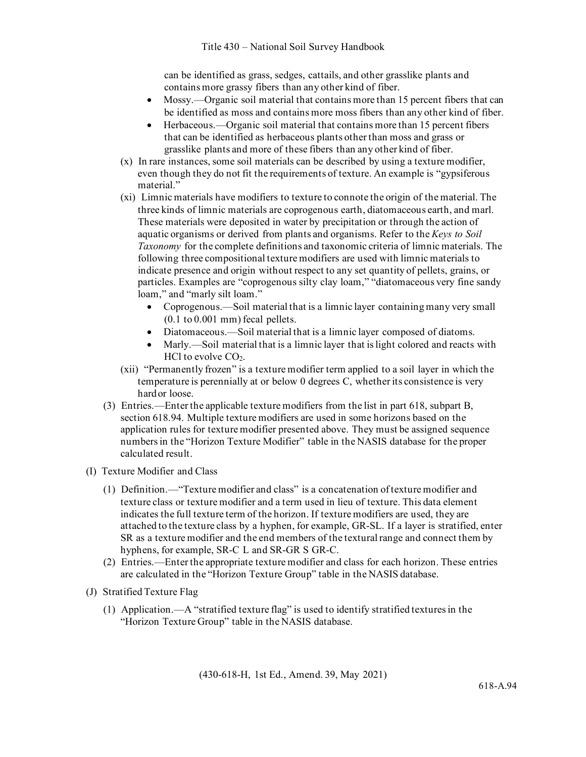can be identified as grass, sedges, cattails, and other grasslike plants and contains more grassy fibers than any other kind of fiber.

- Mossy.—Organic soil material that contains more than 15 percent fibers that can be identified as moss and contains more moss fibers than any other kind of fiber.
- Herbaceous.—Organic soil material that contains more than 15 percent fibers that can be identified as herbaceous plants other than moss and grass or grasslike plants and more of these fibers than any other kind of fiber.
- (x) In rare instances, some soil materials can be described by using a texture modifier, even though they do not fit the requirements of texture. An example is "gypsiferous material."
- (xi) Limnic materials have modifiers to texture to connote the origin of the material. The three kinds of limnic materials are coprogenous earth, diatomaceous earth, and marl. These materials were deposited in water by precipitation or through the action of aquatic organisms or derived from plants and organisms. Refer to the *Keys to Soil Taxonomy* for the complete definitions and taxonomic criteria of limnic materials. The following three compositional texture modifiers are used with limnic materials to indicate presence and origin without respect to any set quantity of pellets, grains, or particles. Examples are "coprogenous silty clay loam," "diatomaceous very fine sandy loam," and "marly silt loam."
	- Coprogenous.—Soil material that is a limnic layer containing many very small  $(0.1 \text{ to } 0.001 \text{ mm})$  fecal pellets.
	- Diatomaceous.—Soil material that is a limnic layer composed of diatoms.
	- Marly.—Soil material that is a limnic layer that is light colored and reacts with HCl to evolve  $CO<sub>2</sub>$ .
- (xii) "Permanently frozen" is a texture modifier term applied to a soil layer in which the temperature is perennially at or below 0 degrees C, whether its consistence is very hardor loose.
- (3) Entries.—Enter the applicable texture modifiers from the list in part 618, subpart B, section 618.94. Multiple texture modifiers are used in some horizons based on the application rules for texture modifier presented above. They must be assigned sequence numbers in the "Horizon Texture Modifier" table in the NASIS database for the proper calculated result.
- (I) Texture Modifier and Class
	- (1) Definition.—"Texture modifier and class" is a concatenation of texture modifier and texture class or texture modifier and a term used in lieu of texture. This data element indicates the full texture term of the horizon. If texture modifiers are used, they are attached to the texture class by a hyphen, for example, GR-SL. If a layer is stratified, enter SR as a texture modifier and the end members of the textural range and connect them by hyphens, for example, SR-C L and SR-GR S GR-C.
	- (2) Entries.—Enter the appropriate texture modifier and class for each horizon. These entries are calculated in the "Horizon Texture Group" table in the NASIS database.
- (J) Stratified Texture Flag
	- (1) Application.—A "stratified texture flag" is used to identify stratified textures in the "Horizon Texture Group" table in the NASIS database.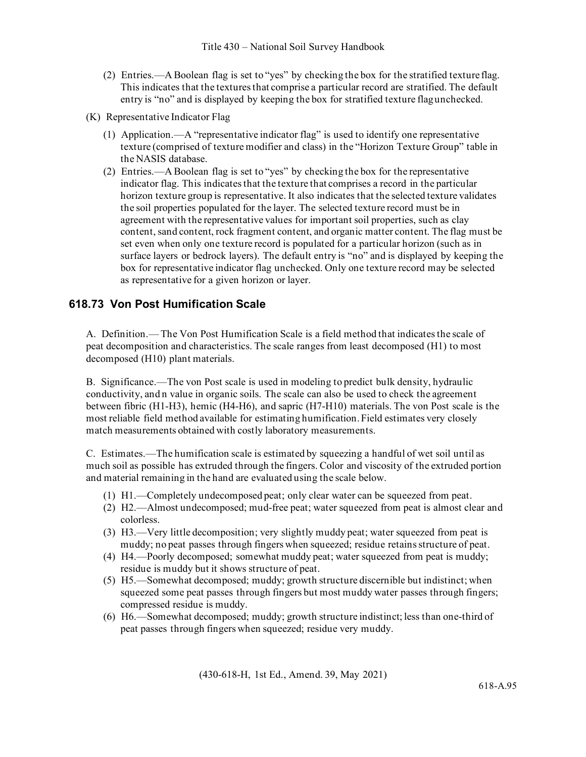- (2) Entries.—A Boolean flag is set to "yes" by checking the box for the stratified texture flag. This indicates that the textures that comprise a particular record are stratified. The default entry is "no" and is displayed by keeping the box for stratified texture flagunchecked.
- (K) Representative Indicator Flag
	- (1) Application.—A "representative indicator flag" is used to identify one representative texture (comprised of texture modifier and class) in the "Horizon Texture Group" table in the NASIS database.
	- (2) Entries.—A Boolean flag is set to "yes" by checking the box for the representative indicator flag. This indicates that the texture that comprises a record in the particular horizon texture group is representative. It also indicates that the selected texture validates the soil properties populated for the layer. The selected texture record must be in agreement with the representative values for important soil properties, such as clay content, sand content, rock fragment content, and organic matter content. The flag must be set even when only one texture record is populated for a particular horizon (such as in surface layers or bedrock layers). The default entry is "no" and is displayed by keeping the box for representative indicator flag unchecked. Only one texture record may be selected as representative for a given horizon or layer.

## **618.73 Von Post Humification Scale**

A. Definition.— The Von Post Humification Scale is a field method that indicates the scale of peat decomposition and characteristics. The scale ranges from least decomposed (H1) to most decomposed (H10) plant materials.

B. Significance.—The von Post scale is used in modeling to predict bulk density, hydraulic conductivity, and n value in organic soils. The scale can also be used to check the agreement between fibric (H1-H3), hemic (H4-H6), and sapric (H7-H10) materials. The von Post scale is the most reliable field method available for estimating humification. Field estimates very closely match measurements obtained with costly laboratory measurements.

C. Estimates.—The humification scale is estimated by squeezing a handful of wet soil until as much soil as possible has extruded through the fingers. Color and viscosity of the extruded portion and material remaining in the hand are evaluated using the scale below.

- (1) H1.—Completely undecomposed peat; only clear water can be squeezed from peat.
- (2) H2.—Almost undecomposed; mud-free peat; water squeezed from peat is almost clear and colorless.
- (3) H3.—Very little decomposition; very slightly muddy peat; water squeezed from peat is muddy; no peat passes through fingers when squeezed; residue retains structure of peat.
- (4) H4.—Poorly decomposed; somewhat muddy peat; water squeezed from peat is muddy; residue is muddy but it shows structure of peat.
- (5) H5.—Somewhat decomposed; muddy; growth structure discernible but indistinct; when squeezed some peat passes through fingers but most muddy water passes through fingers; compressed residue is muddy.
- (6) H6.—Somewhat decomposed; muddy; growth structure indistinct; less than one-third of peat passes through fingers when squeezed; residue very muddy.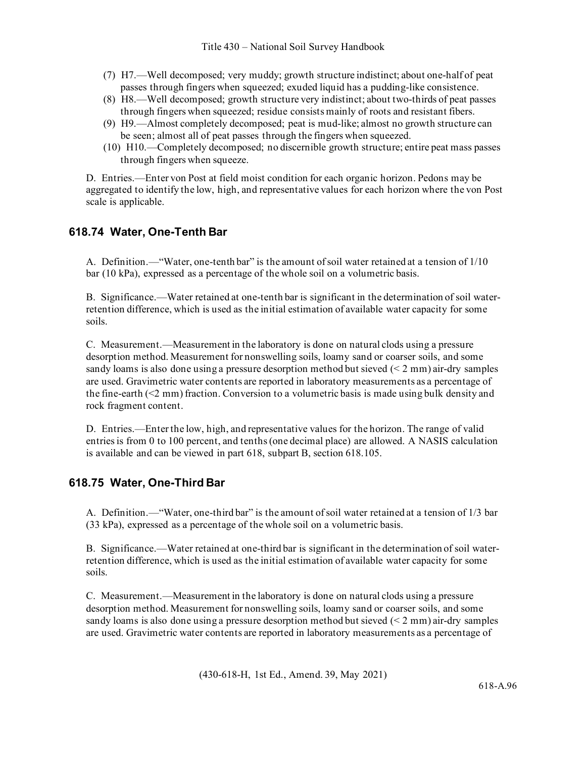- (7) H7.—Well decomposed; very muddy; growth structure indistinct; about one-half of peat passes through fingers when squeezed; exuded liquid has a pudding-like consistence.
- (8) H8.—Well decomposed; growth structure very indistinct; about two-thirds of peat passes through fingers when squeezed; residue consists mainly of roots and resistant fibers.
- (9) H9.—Almost completely decomposed; peat is mud-like; almost no growth structure can be seen; almost all of peat passes through the fingers when squeezed.
- (10) H10.—Completely decomposed; no discernible growth structure; entire peat mass passes through fingers when squeeze.

D. Entries.—Enter von Post at field moist condition for each organic horizon. Pedons may be aggregated to identify the low, high, and representative values for each horizon where the von Post scale is applicable.

## **618.74 Water, One-Tenth Bar**

A. Definition.—"Water, one-tenth bar" is the amount of soil water retained at a tension of 1/10 bar (10 kPa), expressed as a percentage of the whole soil on a volumetric basis.

B. Significance.—Water retained at one-tenth bar is significant in the determination of soil waterretention difference, which is used as the initial estimation of available water capacity for some soils.

C. Measurement.—Measurement in the laboratory is done on natural clods using a pressure desorption method. Measurement for nonswelling soils, loamy sand or coarser soils, and some sandy loams is also done using a pressure desorption method but sieved (< 2 mm) air-dry samples are used. Gravimetric water contents are reported in laboratory measurements as a percentage of the fine-earth (<2 mm) fraction. Conversion to a volumetric basis is made using bulk density and rock fragment content.

D. Entries.—Enter the low, high, and representative values for the horizon. The range of valid entries is from 0 to 100 percent, and tenths (one decimal place) are allowed. A NASIS calculation is available and can be viewed in part 618, subpart B, section 618.105.

## **618.75 Water, One-Third Bar**

A. Definition.—"Water, one-third bar" is the amount of soil water retained at a tension of 1/3 bar (33 kPa), expressed as a percentage of the whole soil on a volumetric basis.

B. Significance.—Water retained at one-third bar is significant in the determination of soil waterretention difference, which is used as the initial estimation of available water capacity for some soils.

C. Measurement.—Measurement in the laboratory is done on natural clods using a pressure desorption method. Measurement for nonswelling soils, loamy sand or coarser soils, and some sandy loams is also done using a pressure desorption method but sieved (< 2 mm) air-dry samples are used. Gravimetric water contents are reported in laboratory measurements as a percentage of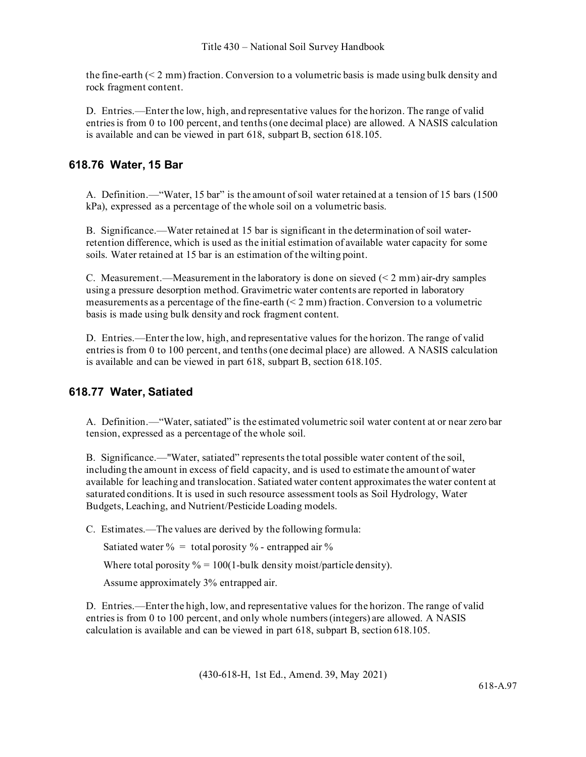the fine-earth (< 2 mm) fraction. Conversion to a volumetric basis is made using bulk density and rock fragment content.

D. Entries.—Enter the low, high, and representative values for the horizon. The range of valid entries is from 0 to 100 percent, and tenths (one decimal place) are allowed. A NASIS calculation is available and can be viewed in part 618, subpart B, section 618.105.

## **618.76 Water, 15 Bar**

A. Definition.—"Water, 15 bar" is the amount of soil water retained at a tension of 15 bars (1500 kPa), expressed as a percentage of the whole soil on a volumetric basis.

B. Significance.—Water retained at 15 bar is significant in the determination of soil waterretention difference, which is used as the initial estimation of available water capacity for some soils. Water retained at 15 bar is an estimation of the wilting point.

C. Measurement.—Measurement in the laboratory is done on sieved  $(2 \text{ mm})$  air-dry samples using a pressure desorption method. Gravimetric water contents are reported in laboratory measurements as a percentage of the fine-earth  $(< 2 \text{ mm})$  fraction. Conversion to a volumetric basis is made using bulk density and rock fragment content.

D. Entries.—Enter the low, high, and representative values for the horizon. The range of valid entries is from 0 to 100 percent, and tenths (one decimal place) are allowed. A NASIS calculation is available and can be viewed in part 618, subpart B, section 618.105.

# **618.77 Water, Satiated**

A. Definition.—"Water, satiated" is the estimated volumetric soil water content at or near zero bar tension, expressed as a percentage of the whole soil.

B. Significance.—"Water, satiated" represents the total possible water content of the soil, including the amount in excess of field capacity, and is used to estimate the amount of water available for leaching and translocation. Satiated water content approximates the water content at saturated conditions. It is used in such resource assessment tools as Soil Hydrology, Water Budgets, Leaching, and Nutrient/Pesticide Loading models.

C. Estimates.—The values are derived by the following formula:

Satiated water  $\% = \text{total porosity } %$  - entrapped air  $\%$ 

Where total porosity  $% = 100(1$ -bulk density moist/particle density).

Assume approximately 3% entrapped air.

D. Entries.—Enter the high, low, and representative values for the horizon. The range of valid entries is from 0 to 100 percent, and only whole numbers (integers) are allowed. A NASIS calculation is available and can be viewed in part 618, subpart B, section 618.105.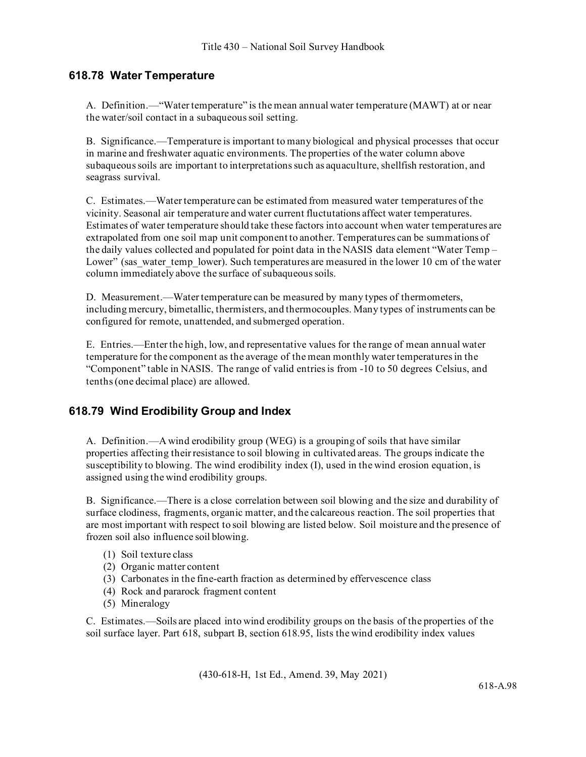## **618.78 Water Temperature**

A. Definition.—"Water temperature" is the mean annual water temperature (MAWT) at or near the water/soil contact in a subaqueous soil setting.

B. Significance.—Temperature is important to many biological and physical processes that occur in marine and freshwater aquatic environments. The properties of the water column above subaqueous soils are important to interpretations such as aquaculture, shellfish restoration, and seagrass survival.

C. Estimates.—Water temperature can be estimated from measured water temperatures of the vicinity. Seasonal air temperature and water current fluctutations affect water temperatures. Estimates of water temperature should take these factors into account when water temperatures are extrapolated from one soil map unit component to another. Temperatures can be summations of the daily values collected and populated for point data in the NASIS data element "Water Temp – Lower" (sas water temp lower). Such temperatures are measured in the lower 10 cm of the water column immediately above the surface of subaqueous soils.

D. Measurement.—Water temperature can be measured by many types of thermometers, including mercury, bimetallic, thermisters, and thermocouples. Many types of instruments can be configured for remote, unattended, and submerged operation.

E. Entries.—Enter the high, low, and representative values for the range of mean annual water temperature for the component as the average of the mean monthly water temperatures in the "Component" table in NASIS. The range of valid entries is from -10 to 50 degrees Celsius, and tenths (one decimal place) are allowed.

### **618.79 Wind Erodibility Group and Index**

A. Definition.—A wind erodibility group (WEG) is a grouping of soils that have similar properties affecting their resistance to soil blowing in cultivated areas. The groups indicate the susceptibility to blowing. The wind erodibility index (I), used in the wind erosion equation, is assigned using the wind erodibility groups.

B. Significance.—There is a close correlation between soil blowing and the size and durability of surface clodiness, fragments, organic matter, and the calcareous reaction. The soil properties that are most important with respect to soil blowing are listed below. Soil moisture and the presence of frozen soil also influence soil blowing.

- (1) Soil texture class
- (2) Organic matter content
- (3) Carbonates in the fine-earth fraction as determined by effervescence class
- (4) Rock and pararock fragment content
- (5) Mineralogy

C. Estimates.—Soils are placed into wind erodibility groups on the basis of the properties of the soil surface layer. Part 618, subpart B, section 618.95, lists the wind erodibility index values